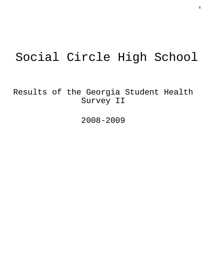# Social Circle High School

Results of the Georgia Student Health Survey II

2008-2009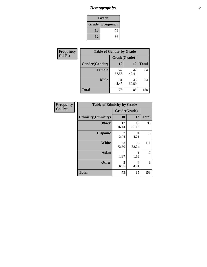### *Demographics* **2**

| Grade                    |    |  |
|--------------------------|----|--|
| <b>Grade   Frequency</b> |    |  |
| 10                       | 73 |  |
| 12<br>85                 |    |  |

| Frequency      | <b>Table of Gender by Grade</b> |              |             |              |
|----------------|---------------------------------|--------------|-------------|--------------|
| <b>Col Pct</b> |                                 | Grade(Grade) |             |              |
|                | Gender(Gender)                  | 10           | 12          | <b>Total</b> |
|                | <b>Female</b>                   | 42<br>57.53  | 42<br>49.41 | 84           |
|                | <b>Male</b>                     | 31<br>42.47  | 43<br>50.59 | 74           |
|                | <b>Total</b>                    | 73           | 85          | 158          |

| Frequency      | <b>Table of Ethnicity by Grade</b> |                                     |             |                |  |
|----------------|------------------------------------|-------------------------------------|-------------|----------------|--|
| <b>Col Pct</b> |                                    | Grade(Grade)                        |             |                |  |
|                | <b>Ethnicity</b> (Ethnicity)       | 10                                  | 12          | <b>Total</b>   |  |
|                | <b>Black</b>                       | 12<br>16.44                         | 18<br>21.18 | 30             |  |
|                | <b>Hispanic</b>                    | $\mathcal{D}_{\mathcal{L}}$<br>2.74 | 4<br>4.71   | 6              |  |
|                | <b>White</b>                       | 53<br>72.60                         | 58<br>68.24 | 111            |  |
|                | <b>Asian</b>                       | 1.37                                | 1<br>1.18   | $\overline{2}$ |  |
|                | <b>Other</b>                       | 5<br>6.85                           | 4<br>4.71   | 9              |  |
|                | <b>Total</b>                       | 73                                  | 85          | 158            |  |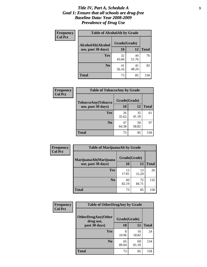#### *Title IV, Part A, Schedule A* **3** *Goal 1: Ensure that all schools are drug-free Baseline Data: Year 2008-2009 Prevalence of Drug Use*

| Frequency<br><b>Col Pct</b> | <b>Table of AlcoholAlt by Grade</b> |              |             |              |  |
|-----------------------------|-------------------------------------|--------------|-------------|--------------|--|
|                             | AlcoholAlt(Alcohol                  | Grade(Grade) |             |              |  |
|                             | use, past 30 days)                  | 10           | <b>12</b>   | <b>Total</b> |  |
|                             | <b>Yes</b>                          | 32<br>43.84  | 44<br>51.76 | 76           |  |
|                             | N <sub>0</sub>                      | 41<br>56.16  | 41<br>48.24 | 82           |  |
|                             | <b>Total</b>                        | 73           | 85          | 158          |  |

| <b>Frequency</b> | <b>Table of TobaccoAny by Grade</b> |              |             |              |  |
|------------------|-------------------------------------|--------------|-------------|--------------|--|
| <b>Col Pct</b>   | TobaccoAny(Tobacco                  | Grade(Grade) |             |              |  |
|                  | use, past 30 days)                  | 10           | 12          | <b>Total</b> |  |
|                  | Yes                                 | 26<br>35.62  | 35<br>41.18 | 61           |  |
|                  | N <sub>0</sub>                      | 47<br>64.38  | 50<br>58.82 | 97           |  |
|                  | Total                               | 73           | 85          | 158          |  |

| Frequency      | <b>Table of MarijuanaAlt by Grade</b> |              |             |              |  |
|----------------|---------------------------------------|--------------|-------------|--------------|--|
| <b>Col Pct</b> | MarijuanaAlt(Marijuana                | Grade(Grade) |             |              |  |
|                | use, past 30 days)                    | <b>10</b>    | 12          | <b>Total</b> |  |
|                | Yes                                   | 13<br>17.81  | 13<br>15.29 | 26           |  |
|                | N <sub>0</sub>                        | 60<br>82.19  | 72<br>84.71 | 132          |  |
|                | <b>Total</b>                          | 73           | 85          | 158          |  |

| Frequency<br><b>Col Pct</b> | <b>Table of OtherDrugAny by Grade</b>  |              |             |              |
|-----------------------------|----------------------------------------|--------------|-------------|--------------|
|                             | <b>OtherDrugAny(Other</b><br>drug use, | Grade(Grade) |             |              |
|                             | past 30 days)                          | 10           | 12          | <b>Total</b> |
|                             | <b>Yes</b>                             | 8<br>10.96   | 16<br>18.82 | 24           |
|                             | N <sub>0</sub>                         | 65<br>89.04  | 69<br>81.18 | 134          |
|                             | <b>Total</b>                           | 73           | 85          | 158          |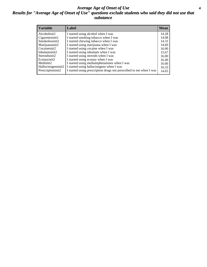#### *Average Age of Onset of Use* **4** *Results for "Average Age of Onset of Use" questions exclude students who said they did not use that substance*

| <b>Variable</b>       | Label                                                              | <b>Mean</b> |
|-----------------------|--------------------------------------------------------------------|-------------|
| Alcoholinit2          | I started using alcohol when I was                                 | 14.28       |
| Cigarettesinit2       | I started smoking tobacco when I was                               | 14.08       |
| Smokelessinit2        | I started chewing tobacco when I was                               | 14.31       |
| Marijuanainit2        | I started using marijuana when I was                               | 14.69       |
| Cocaineinit2          | I started using cocaine when I was                                 | 16.00       |
| Inhalantsinit2        | I started using inhalants when I was                               | 15.67       |
| Steroidsinit2         | I started using steroids when I was                                | 16.00       |
| Ecstasyinit2          | I started using ecstasy when I was                                 | 16.40       |
| Methinit <sub>2</sub> | I started using methamphetamines when I was                        | 16.00       |
| Hallucinogensinit2    | I started using hallucinogens when I was                           | 16.33       |
| Prescriptioninit2     | I started using prescription drugs not prescribed to me when I was | 14.65       |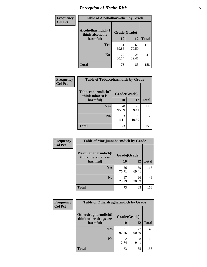# *Perception of Health Risk* **5**

| Frequency      | <b>Table of Alcoholharmdich by Grade</b> |              |             |              |
|----------------|------------------------------------------|--------------|-------------|--------------|
| <b>Col Pct</b> | Alcoholharmdich(I<br>think alcohol is    | Grade(Grade) |             |              |
|                | harmful)                                 | 10           | 12          | <b>Total</b> |
|                | <b>Yes</b>                               | 51<br>69.86  | 60<br>70.59 | 111          |
|                | N <sub>0</sub>                           | 22<br>30.14  | 25<br>29.41 | 47           |
|                | <b>Total</b>                             | 73           | 85          | 158          |

| Frequency      | <b>Table of Tobaccoharmdich by Grade</b> |              |             |              |
|----------------|------------------------------------------|--------------|-------------|--------------|
| <b>Col Pct</b> | Tobaccoharmdich(I<br>think tobacco is    | Grade(Grade) |             |              |
|                | harmful)                                 | 10           | 12          | <b>Total</b> |
|                | Yes                                      | 70<br>95.89  | 76<br>89.41 | 146          |
|                | N <sub>0</sub>                           | 4.11         | 9<br>10.59  | 12           |
|                | <b>Total</b>                             | 73           | 85          | 158          |

| Frequency      | <b>Table of Marijuanaharmdich by Grade</b> |              |             |              |
|----------------|--------------------------------------------|--------------|-------------|--------------|
| <b>Col Pct</b> | Marijuanaharmdich(I<br>think marijuana is  | Grade(Grade) |             |              |
|                | harmful)                                   | 10           | 12          | <b>Total</b> |
|                | Yes                                        | 56<br>76.71  | 59<br>69.41 | 115          |
|                | N <sub>0</sub>                             | 17<br>23.29  | 26<br>30.59 | 43           |
|                | <b>Total</b>                               | 73           | 85          | 158          |

| <b>Frequency</b> | <b>Table of Otherdrugharmdich by Grade</b>                   |             |             |              |
|------------------|--------------------------------------------------------------|-------------|-------------|--------------|
| <b>Col Pct</b>   | Otherdrugharmdich(I<br>Grade(Grade)<br>think other drugs are |             |             |              |
|                  | harmful)                                                     | 10          | 12          | <b>Total</b> |
|                  | <b>Yes</b>                                                   | 71<br>97.26 | 77<br>90.59 | 148          |
|                  | N <sub>0</sub>                                               | 2.74        | 8<br>9.41   | 10           |
|                  | <b>Total</b>                                                 | 73          | 85          | 158          |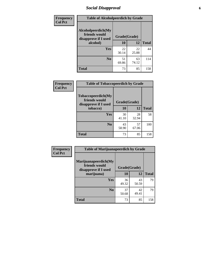# *Social Disapproval* **6**

| <b>Frequency</b> | <b>Table of Alcoholpeerdich by Grade</b>                    |              |             |              |  |
|------------------|-------------------------------------------------------------|--------------|-------------|--------------|--|
| <b>Col Pct</b>   | Alcoholpeerdich(My<br>friends would<br>disapprove if I used | Grade(Grade) |             |              |  |
|                  | alcohol)                                                    | 10           | 12          | <b>Total</b> |  |
|                  | Yes                                                         | 22<br>30.14  | 22<br>25.88 | 44           |  |
|                  | N <sub>0</sub>                                              | 51<br>69.86  | 63<br>74.12 | 114          |  |
|                  | <b>Total</b>                                                | 73           | 85          | 158          |  |

| <b>Frequency</b> |
|------------------|
| <b>Col Pct</b>   |

| <b>Table of Tobaccopeerdich by Grade</b>                    |              |             |              |  |  |  |
|-------------------------------------------------------------|--------------|-------------|--------------|--|--|--|
| Tobaccopeerdich(My<br>friends would<br>disapprove if I used | Grade(Grade) |             |              |  |  |  |
| tobacco)                                                    | 10           | 12          | <b>Total</b> |  |  |  |
| Yes                                                         | 30<br>41.10  | 28<br>32.94 | 58           |  |  |  |
| N <sub>0</sub>                                              | 43<br>58.90  | 57<br>67.06 | 100          |  |  |  |
| <b>Total</b>                                                | 73           | 85          | 158          |  |  |  |

| Frequency      | <b>Table of Marijuanapeerdich by Grade</b>                    |              |             |              |  |
|----------------|---------------------------------------------------------------|--------------|-------------|--------------|--|
| <b>Col Pct</b> | Marijuanapeerdich(My<br>friends would<br>disapprove if I used | Grade(Grade) |             |              |  |
|                | marijuana)                                                    | 10           | 12          | <b>Total</b> |  |
|                | <b>Yes</b>                                                    | 36<br>49.32  | 43<br>50.59 | 79           |  |
|                | N <sub>0</sub>                                                | 37<br>50.68  | 42<br>49.41 | 79           |  |
|                | <b>Total</b>                                                  | 73           | 85          | 158          |  |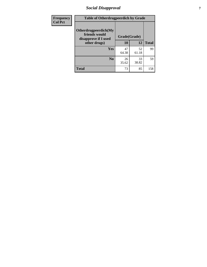# *Social Disapproval* **7**

| Frequency      | <b>Table of Otherdrugpeerdich by Grade</b>                    |              |             |              |  |
|----------------|---------------------------------------------------------------|--------------|-------------|--------------|--|
| <b>Col Pct</b> | Otherdrugpeerdich(My<br>friends would<br>disapprove if I used | Grade(Grade) |             |              |  |
|                | other drugs)                                                  | 10           | 12          | <b>Total</b> |  |
|                | Yes                                                           | 47<br>64.38  | 52<br>61.18 | 99           |  |
|                | N <sub>0</sub>                                                | 26<br>35.62  | 33<br>38.82 | 59           |  |
|                | <b>Total</b>                                                  | 73           | 85          | 158          |  |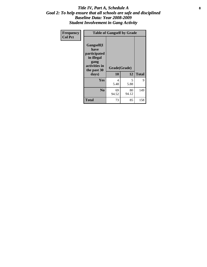#### Title IV, Part A, Schedule A **8** *Goal 2: To help ensure that all schools are safe and disciplined Baseline Data: Year 2008-2009 Student Involvement in Gang Activity*

| Frequency      | <b>Table of Gangself by Grade</b>                                                                 |                    |             |              |
|----------------|---------------------------------------------------------------------------------------------------|--------------------|-------------|--------------|
| <b>Col Pct</b> | Gangself(I<br>have<br>participated<br>in illegal<br>gang<br>activities in<br>the past 30<br>days) | Grade(Grade)<br>10 | 12          | <b>Total</b> |
|                | Yes                                                                                               | 4<br>5.48          | 5<br>5.88   | 9            |
|                | N <sub>0</sub>                                                                                    | 69<br>94.52        | 80<br>94.12 | 149          |
|                | <b>Total</b>                                                                                      | 73                 | 85          | 158          |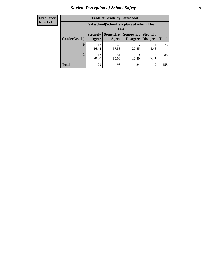# *Student Perception of School Safety* **9**

| <b>Frequency</b><br>Row Pct |
|-----------------------------|
|                             |

| <b>Table of Grade by Safeschool</b> |                          |                                                                                              |             |           |     |  |  |  |
|-------------------------------------|--------------------------|----------------------------------------------------------------------------------------------|-------------|-----------|-----|--|--|--|
|                                     |                          | Safeschool (School is a place at which I feel<br>safe)                                       |             |           |     |  |  |  |
| Grade(Grade)                        | <b>Strongly</b><br>Agree | Somewhat Somewhat<br><b>Strongly</b><br><b>Disagree</b><br>Disagree<br><b>Total</b><br>Agree |             |           |     |  |  |  |
| 10                                  | 12<br>16.44              | 42<br>57.53                                                                                  | 15<br>20.55 | 4<br>5.48 | 73  |  |  |  |
| 12                                  | 17<br>20.00              | 51<br>60.00                                                                                  | 9<br>10.59  | 8<br>9.41 | 85  |  |  |  |
| <b>Total</b>                        | 29                       | 93                                                                                           | 24          | 12        | 158 |  |  |  |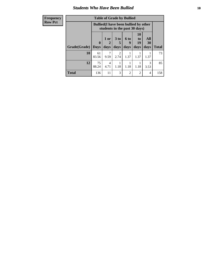### *Students Who Have Been Bullied* **10**

| <b>Frequency</b> | <b>Table of Grade by Bullied</b> |                                                                               |                        |                        |                |                                   |           |              |
|------------------|----------------------------------|-------------------------------------------------------------------------------|------------------------|------------------------|----------------|-----------------------------------|-----------|--------------|
| <b>Row Pct</b>   |                                  | <b>Bullied</b> (I have been bullied by other<br>students in the past 30 days) |                        |                        |                |                                   |           |              |
|                  |                                  | $\mathbf{0}$                                                                  | 1 or<br>2              | 3 <sub>to</sub>        | 6 to<br>9      | <b>10</b><br>t <sub>0</sub><br>19 | All<br>30 |              |
|                  | Grade(Grade)                     | <b>Days</b>                                                                   | days                   | days                   | days           | days                              | days      | <b>Total</b> |
|                  | 10                               | 61<br>83.56                                                                   | 7<br>9.59              | $\mathfrak{D}$<br>2.74 | 1.37           | 1.37                              | 1.37      | 73           |
|                  | 12                               | 75<br>88.24                                                                   | $\overline{4}$<br>4.71 | 1.18                   | 1.18           | 1.18                              | 3<br>3.53 | 85           |
|                  | <b>Total</b>                     | 136                                                                           | 11                     | 3                      | $\mathfrak{D}$ | 2                                 | 4         | 158          |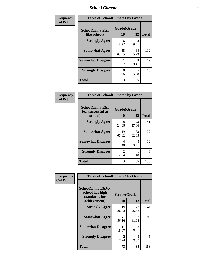### *School Climate* **11**

| Frequency      | <b>Table of SchoolClimate1 by Grade</b> |                    |             |              |  |
|----------------|-----------------------------------------|--------------------|-------------|--------------|--|
| <b>Col Pct</b> | SchoolClimate1(I<br>like school)        | Grade(Grade)<br>10 | 12          | <b>Total</b> |  |
|                | <b>Strongly Agree</b>                   | 6<br>8.22          | 8<br>9.41   | 14           |  |
|                | <b>Somewhat Agree</b>                   | 48<br>65.75        | 64<br>75.29 | 112          |  |
|                | <b>Somewhat Disagree</b>                | 11<br>15.07        | 8<br>9.41   | 19           |  |
|                | <b>Strongly Disagree</b>                | 8<br>10.96         | 5<br>5.88   | 13           |  |
|                | <b>Total</b>                            | 73                 | 85          | 158          |  |

| <b>Frequency</b> |
|------------------|
| <b>Col Pct</b>   |

| <b>Table of SchoolClimate2 by Grade</b>           |                        |             |              |  |  |  |
|---------------------------------------------------|------------------------|-------------|--------------|--|--|--|
| SchoolClimate2(I<br>feel successful at<br>school) | Grade(Grade)<br>10     | 12          | <b>Total</b> |  |  |  |
| <b>Strongly Agree</b>                             | 18<br>24.66            | 23<br>27.06 | 41           |  |  |  |
| <b>Somewhat Agree</b>                             | 49<br>67.12            | 53<br>62.35 | 102          |  |  |  |
| <b>Somewhat Disagree</b>                          | 4<br>5.48              | 8<br>9.41   | 12           |  |  |  |
| <b>Strongly Disagree</b>                          | $\mathfrak{D}$<br>2.74 | 1.18        | 3            |  |  |  |
| <b>Total</b>                                      | 73                     | 85          | 158          |  |  |  |

| Frequency      | <b>Table of SchoolClimate3 by Grade</b>                                      |                    |             |              |
|----------------|------------------------------------------------------------------------------|--------------------|-------------|--------------|
| <b>Col Pct</b> | <b>SchoolClimate3(My</b><br>school has high<br>standards for<br>achievement) | Grade(Grade)<br>10 | 12          | <b>Total</b> |
|                | <b>Strongly Agree</b>                                                        | 19<br>26.03        | 22<br>25.88 | 41           |
|                | <b>Somewhat Agree</b>                                                        | 41<br>56.16        | 52<br>61.18 | 93           |
|                | <b>Somewhat Disagree</b>                                                     | 11<br>15.07        | 8<br>9.41   | 19           |
|                | <b>Strongly Disagree</b>                                                     | 2<br>2.74          | 3<br>3.53   | 5            |
|                | Total                                                                        | 73                 | 85          | 158          |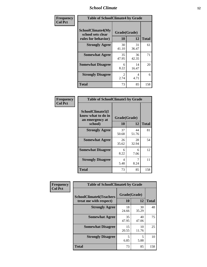### *School Climate* **12**

| Frequency      | <b>Table of SchoolClimate4 by Grade</b>                       |                       |             |              |
|----------------|---------------------------------------------------------------|-----------------------|-------------|--------------|
| <b>Col Pct</b> | SchoolClimate4(My<br>school sets clear<br>rules for behavior) | Grade(Grade)<br>10    | 12          | <b>Total</b> |
|                | <b>Strongly Agree</b>                                         | 30<br>41.10           | 31<br>36.47 | 61           |
|                | <b>Somewhat Agree</b>                                         | 35<br>47.95           | 36<br>42.35 | 71           |
|                | <b>Somewhat Disagree</b>                                      | 6<br>8.22             | 14<br>16.47 | 20           |
|                | <b>Strongly Disagree</b>                                      | $\mathcal{L}$<br>2.74 | 4<br>4.71   | 6            |
|                | <b>Total</b>                                                  | 73                    | 85          | 158          |

| <b>Table of SchoolClimate5 by Grade</b>                              |                          |             |     |  |
|----------------------------------------------------------------------|--------------------------|-------------|-----|--|
| SchoolClimate5(I<br>know what to do in<br>an emergency at<br>school) | Grade(Grade)<br>10<br>12 |             |     |  |
| <b>Strongly Agree</b>                                                | 37<br>50.68              | 44<br>51.76 | 81  |  |
| <b>Somewhat Agree</b>                                                | 26<br>35.62              | 28<br>32.94 | 54  |  |
| <b>Somewhat Disagree</b>                                             | 6<br>8.22                | 6<br>7.06   | 12  |  |
| <b>Strongly Disagree</b>                                             | 4<br>5.48                | 7<br>8.24   | 11  |  |
| Total                                                                | 73                       | 85          | 158 |  |

| Frequency      | <b>Table of SchoolClimate6 by Grade</b>                  |                    |             |              |
|----------------|----------------------------------------------------------|--------------------|-------------|--------------|
| <b>Col Pct</b> | <b>SchoolClimate6(Teachers</b><br>treat me with respect) | Grade(Grade)<br>10 | 12          | <b>Total</b> |
|                | <b>Strongly Agree</b>                                    | 18<br>24.66        | 30<br>35.29 | 48           |
|                | <b>Somewhat Agree</b>                                    | 35<br>47.95        | 40<br>47.06 | 75           |
|                | <b>Somewhat Disagree</b>                                 | 15<br>20.55        | 10<br>11.76 | 25           |
|                | <b>Strongly Disagree</b>                                 | 5<br>6.85          | 5<br>5.88   | 10           |
|                | <b>Total</b>                                             | 73                 | 85          | 158          |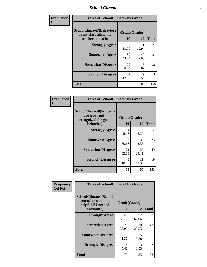### *School Climate* **13**

| Frequency      | <b>Table of SchoolClimate7 by Grade</b>                                       |                           |             |              |
|----------------|-------------------------------------------------------------------------------|---------------------------|-------------|--------------|
| <b>Col Pct</b> | <b>SchoolClimate7(Behaviors</b><br>in my class allow the<br>teacher to teach) | Grade(Grade)<br><b>10</b> | 12          | <b>Total</b> |
|                | <b>Strongly Agree</b>                                                         | 10<br>13.70               | 11<br>12.94 | 21           |
|                | <b>Somewhat Agree</b>                                                         | 32<br>43.84               | 49<br>57.65 | 81           |
|                | <b>Somewhat Disagree</b>                                                      | 22<br>30.14               | 16<br>18.82 | 38           |
|                | <b>Strongly Disagree</b>                                                      | $\mathbf Q$<br>12.33      | 9<br>10.59  | 18           |
|                | <b>Total</b>                                                                  | 73                        | 85          | 158          |

| Frequency      | <b>Table of SchoolClimate8 by Grade</b>                                              |                    |             |              |
|----------------|--------------------------------------------------------------------------------------|--------------------|-------------|--------------|
| <b>Col Pct</b> | <b>SchoolClimate8(Students</b><br>are frequently<br>recognized for good<br>behavior) | Grade(Grade)<br>10 | 12          | <b>Total</b> |
|                | <b>Strongly Agree</b>                                                                | 4<br>5.48          | 13<br>15.29 | 17           |
|                | <b>Somewhat Agree</b>                                                                | 37<br>50.68        | 36<br>42.35 | 73           |
|                | <b>Somewhat Disagree</b>                                                             | 24<br>32.88        | 25<br>29.41 | 49           |
|                | <b>Strongly Disagree</b>                                                             | 8<br>10.96         | 11<br>12.94 | 19           |
|                | <b>Total</b>                                                                         | 73                 | 85          | 158          |

| Frequency      | <b>Table of SchoolClimate9 by Grade</b>                            |              |             |              |
|----------------|--------------------------------------------------------------------|--------------|-------------|--------------|
| <b>Col Pct</b> | SchoolClimate9(School<br>counselor would be<br>helpful if I needed | Grade(Grade) |             |              |
|                | assistance)                                                        | 10           | 12          | <b>Total</b> |
|                | <b>Strongly Agree</b>                                              | 41<br>56.16  | 57<br>67.06 | 98           |
|                | <b>Somewhat Agree</b>                                              | 27<br>36.99  | 20<br>23.53 | 47           |
|                | <b>Somewhat Disagree</b>                                           | 1.37         | 5<br>5.88   | 6            |
|                | <b>Strongly Disagree</b>                                           | 4<br>5.48    | 3<br>3.53   | 7            |
|                | Total                                                              | 73           | 85          | 158          |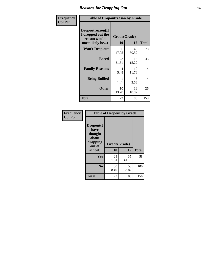### *Reasons for Dropping Out* **14**

| Frequency      | <b>Table of Dropoutreason by Grade</b>                                   |             |                    |              |
|----------------|--------------------------------------------------------------------------|-------------|--------------------|--------------|
| <b>Col Pct</b> | Dropoutreason(If<br>I dropped out the<br>reason would<br>most likely be) | 10          | Grade(Grade)<br>12 | <b>Total</b> |
|                | Won't Drop out                                                           | 35<br>47.95 | 43<br>50.59        | 78           |
|                | <b>Bored</b>                                                             | 23<br>31.51 | 13<br>15.29        | 36           |
|                | <b>Family Reasons</b>                                                    | 4<br>5.48   | 10<br>11.76        | 14           |
|                | <b>Being Bullied</b>                                                     | 1.37        | 3<br>3.53          | 4            |
|                | <b>Other</b>                                                             | 10<br>13.70 | 16<br>18.82        | 26           |
|                | <b>Total</b>                                                             | 73          | 85                 | 158          |

| Frequency      | <b>Table of Dropout by Grade</b>                                       |                    |             |              |  |
|----------------|------------------------------------------------------------------------|--------------------|-------------|--------------|--|
| <b>Col Pct</b> | Dropout(I<br>have<br>thought<br>about<br>dropping<br>out of<br>school) | Grade(Grade)<br>10 | 12          | <b>Total</b> |  |
|                | Yes                                                                    | 23<br>31.51        | 35<br>41.18 | 58           |  |
|                | N <sub>0</sub>                                                         | 50<br>68.49        | 50<br>58.82 | 100          |  |
|                | <b>Total</b>                                                           | 73                 | 85          | 158          |  |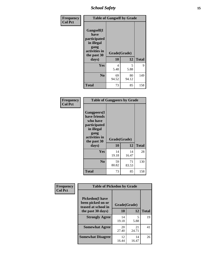*School Safety* **15**

| Frequency      | <b>Table of Gangself by Grade</b>                                                                 |                    |             |              |
|----------------|---------------------------------------------------------------------------------------------------|--------------------|-------------|--------------|
| <b>Col Pct</b> | Gangself(I<br>have<br>participated<br>in illegal<br>gang<br>activities in<br>the past 30<br>days) | Grade(Grade)<br>10 | 12          | <b>Total</b> |
|                | Yes                                                                                               | 4<br>5.48          | 5<br>5.88   | 9            |
|                | N <sub>0</sub>                                                                                    | 69<br>94.52        | 80<br>94.12 | 149          |
|                | <b>Total</b>                                                                                      | 73                 | 85          | 158          |

| Frequency<br><b>Col Pct</b> | <b>Table of Gangpeers by Grade</b>                                                                                             |                    |             |              |
|-----------------------------|--------------------------------------------------------------------------------------------------------------------------------|--------------------|-------------|--------------|
|                             | <b>Gangpeers</b> (I<br>have friends<br>who have<br>participated<br>in illegal<br>gang<br>activities in<br>the past 30<br>days) | Grade(Grade)<br>10 | 12          | <b>Total</b> |
|                             | <b>Yes</b>                                                                                                                     | 14<br>19.18        | 14<br>16.47 | 28           |
|                             | N <sub>0</sub>                                                                                                                 | 59<br>80.82        | 71<br>83.53 | 130          |
|                             | <b>Total</b>                                                                                                                   | 73                 | 85          | 158          |

| Frequency      | <b>Table of Pickedon by Grade</b>                                   |              |             |              |
|----------------|---------------------------------------------------------------------|--------------|-------------|--------------|
| <b>Col Pct</b> | <b>Pickedon</b> (I have<br>been picked on or<br>teased at school in | Grade(Grade) |             |              |
|                | the past 30 days)                                                   | 10           | 12          | <b>Total</b> |
|                | <b>Strongly Agree</b>                                               | 14<br>19.18  | 5<br>5.88   | 19           |
|                | <b>Somewhat Agree</b>                                               | 20<br>27.40  | 21<br>24.71 | 41           |
|                | <b>Somewhat Disagree</b>                                            | 12<br>16.44  | 14<br>16.47 | 26           |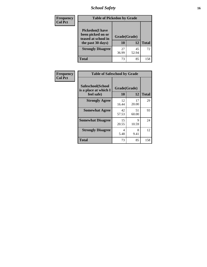*School Safety* **16**

| <b>Frequency</b> | <b>Table of Pickedon by Grade</b>                                                        |                    |              |     |
|------------------|------------------------------------------------------------------------------------------|--------------------|--------------|-----|
| <b>Col Pct</b>   | <b>Pickedon</b> (I have<br>been picked on or<br>teased at school in<br>the past 30 days) | Grade(Grade)<br>10 | <b>Total</b> |     |
|                  | <b>Strongly Disagree</b>                                                                 | 27<br>36.99        | 45<br>52.94  | 72  |
|                  | <b>Total</b>                                                                             | 73                 | 85           | 158 |

| Frequency      | <b>Table of Safeschool by Grade</b>                      |                    |              |     |  |  |  |  |  |  |
|----------------|----------------------------------------------------------|--------------------|--------------|-----|--|--|--|--|--|--|
| <b>Col Pct</b> | Safeschool(School<br>is a place at which I<br>feel safe) | Grade(Grade)<br>10 | <b>Total</b> |     |  |  |  |  |  |  |
|                | <b>Strongly Agree</b>                                    | 12<br>16.44        | 17<br>20.00  | 29  |  |  |  |  |  |  |
|                | <b>Somewhat Agree</b>                                    | 42<br>57.53        | 51<br>60.00  | 93  |  |  |  |  |  |  |
|                | <b>Somewhat Disagree</b>                                 | 15<br>20.55        | 9<br>10.59   | 24  |  |  |  |  |  |  |
|                | <b>Strongly Disagree</b>                                 | 4<br>5.48          | 8<br>9.41    | 12  |  |  |  |  |  |  |
|                | <b>Total</b>                                             | 73                 | 85           | 158 |  |  |  |  |  |  |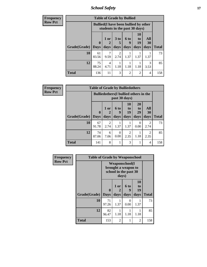*School Safety* **17**

| <b>Frequency</b> |                           |                                                                               | <b>Table of Grade by Bullied</b> |                              |                          |                        |                          |              |
|------------------|---------------------------|-------------------------------------------------------------------------------|----------------------------------|------------------------------|--------------------------|------------------------|--------------------------|--------------|
| <b>Row Pct</b>   |                           | <b>Bullied</b> (I have been bullied by other<br>students in the past 30 days) |                                  |                              |                          |                        |                          |              |
|                  | <b>Grade</b> (Grade) Days | $\mathbf 0$                                                                   | 1 or<br>days                     | 3 <sub>to</sub><br>5<br>days | <b>6 to</b><br>9<br>days | 10<br>to<br>19<br>days | All<br><b>30</b><br>days | <b>Total</b> |
|                  |                           |                                                                               |                                  |                              |                          |                        |                          |              |
|                  | 10                        | 61<br>83.56                                                                   | 9.59                             | $\mathfrak{D}$<br>2.74       | 1.37                     | 1.37                   | 1.37                     | 73           |
|                  | 12                        | 75<br>88.24                                                                   | 4<br>4.71                        | 1.18                         | 1.18                     | 1.18                   | 3<br>3.53                | 85           |
|                  | <b>Total</b>              | 136                                                                           | 11                               | 3                            | $\overline{2}$           | $\overline{2}$         | $\overline{4}$           | 158          |

| Frequency      |                     | <b>Table of Grade by Bulliedothers</b> |                                                                |                   |                        |                               |                        |              |  |  |
|----------------|---------------------|----------------------------------------|----------------------------------------------------------------|-------------------|------------------------|-------------------------------|------------------------|--------------|--|--|
| <b>Row Pct</b> |                     |                                        | <b>Bulliedothers</b> (I bullied others in the<br>past 30 days) |                   |                        |                               |                        |              |  |  |
|                | Grade(Grade)   Days | $\mathbf 0$                            | 1 or<br>days                                                   | 6 to<br>9<br>days | 10<br>to<br>19<br>days | <b>20</b><br>to<br>29<br>days | All<br>30<br>days      | <b>Total</b> |  |  |
|                | 10                  | 67<br>91.78                            | 2<br>2.74                                                      | 1.37              | 1.37                   | 0<br>0.00                     | $\overline{2}$<br>2.74 | 73           |  |  |
|                | 12                  | 74<br>87.06                            | 6<br>7.06                                                      | 0<br>0.00         | $\mathfrak{D}$<br>2.35 | 1.18                          | $\overline{2}$<br>2.35 | 85           |  |  |
|                | <b>Total</b>        | 141                                    | 8                                                              |                   | 3                      |                               | 4                      | 158          |  |  |

| <b>Frequency</b> | <b>Table of Grade by Weaponschool</b> |                                                                        |                |                   |                        |              |  |  |  |  |  |
|------------------|---------------------------------------|------------------------------------------------------------------------|----------------|-------------------|------------------------|--------------|--|--|--|--|--|
| <b>Row Pct</b>   |                                       | <b>Weaponschool</b> (I<br>brought a weapon to<br>school in the past 30 |                |                   |                        |              |  |  |  |  |  |
|                  | Grade(Grade)                          | $\boldsymbol{0}$<br><b>Days</b>                                        | 1 or<br>days   | 6 to<br>9<br>days | 10<br>to<br>19<br>days | <b>Total</b> |  |  |  |  |  |
|                  | 10                                    | 71<br>97.26                                                            | 1.37           | 0<br>0.00         | 1.37                   | 73           |  |  |  |  |  |
|                  | 12                                    | 82<br>96.47                                                            | 1.18           | 1.18              | 1.18                   | 85           |  |  |  |  |  |
|                  | <b>Total</b>                          | 153                                                                    | $\mathfrak{D}$ | 1                 | $\overline{c}$         | 158          |  |  |  |  |  |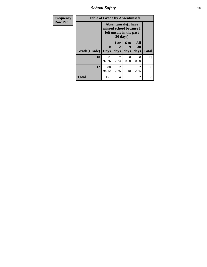*School Safety* **18**

| <b>Frequency</b> | <b>Table of Grade by Absentunsafe</b> |                                                                                   |                        |                   |                       |              |
|------------------|---------------------------------------|-----------------------------------------------------------------------------------|------------------------|-------------------|-----------------------|--------------|
| <b>Row Pct</b>   |                                       | <b>Absentunsafe</b> (I have<br>missed school because I<br>felt unsafe in the past |                        |                   |                       |              |
|                  | Grade(Grade)                          | 0<br><b>Days</b>                                                                  | 1 or<br>2<br>days      | 6 to<br>9<br>days | All<br>30<br>days     | <b>Total</b> |
|                  | 10                                    | 71<br>97.26                                                                       | 2<br>2.74              | 0<br>0.00         | 0<br>0.00             | 73           |
|                  | 12                                    | 80<br>94.12                                                                       | $\mathfrak{D}$<br>2.35 | 1.18              | $\mathcal{L}$<br>2.35 | 85           |
|                  | Total                                 | 151                                                                               | 4                      | 1                 | 2                     | 158          |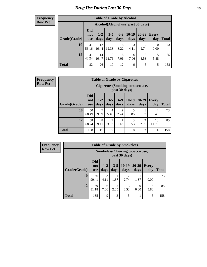# *Drug Use During Last 30 Days* **19**

#### **Frequency Row Pct**

| <b>Table of Grade by Alcohol</b> |                                 |                                     |                 |               |                 |                   |              |              |  |  |  |
|----------------------------------|---------------------------------|-------------------------------------|-----------------|---------------|-----------------|-------------------|--------------|--------------|--|--|--|
|                                  |                                 | Alcohol (Alcohol use, past 30 days) |                 |               |                 |                   |              |              |  |  |  |
| Grade(Grade)                     | <b>Did</b><br>not<br><b>use</b> | $1 - 2$<br>days                     | $3 - 5$<br>days | $6-9$<br>days | $10-19$<br>days | $20 - 29$<br>days | Every<br>day | <b>Total</b> |  |  |  |
| 10                               | 41<br>56.16                     | 12<br>16.44                         | 9<br>12.33      | 6<br>8.22     | 3<br>4.11       | 2<br>2.74         | 0<br>0.00    | 73           |  |  |  |
| 12                               | 41<br>48.24                     | 14<br>16.47                         | 10<br>11.76     | 6<br>7.06     | 6<br>7.06       | 3<br>3.53         | 5<br>5.88    | 85           |  |  |  |
| <b>Total</b>                     | 82                              | 26                                  | 19              | 12            | 9               | 5                 | 5            | 158          |  |  |  |

| <b>Frequency</b> |  |
|------------------|--|
| <b>Row Pct</b>   |  |

| <b>Table of Grade by Cigarettes</b> |                          |                                                   |                 |                        |                 |                        |                     |              |  |  |
|-------------------------------------|--------------------------|---------------------------------------------------|-----------------|------------------------|-----------------|------------------------|---------------------|--------------|--|--|
|                                     |                          | Cigarettes (Smoking tobacco use,<br>past 30 days) |                 |                        |                 |                        |                     |              |  |  |
| Grade(Grade)                        | Did<br>not<br><b>use</b> | $1 - 2$<br>days                                   | $3 - 5$<br>days | $6 - 9$<br>days        | $10-19$<br>days | 20-29<br>days          | <b>Every</b><br>day | <b>Total</b> |  |  |
| 10                                  | 50<br>68.49              | 9.59                                              | 4<br>5.48       | $\overline{2}$<br>2.74 | 5<br>6.85       | 1.37                   | 4<br>5.48           | 73           |  |  |
| 12                                  | 58<br>68.24              | 8<br>9.41                                         | 3<br>3.53       | 1.18                   | 3<br>3.53       | $\overline{2}$<br>2.35 | 10<br>11.76         | 85           |  |  |
| Total                               | 108                      | 15                                                | 7               | 3                      | 8               | 3                      | 14                  | 158          |  |  |

**Frequency Row Pct**

| <b>Table of Grade by Smokeless</b> |                          |                                                        |                        |                        |               |                     |              |  |  |  |
|------------------------------------|--------------------------|--------------------------------------------------------|------------------------|------------------------|---------------|---------------------|--------------|--|--|--|
|                                    |                          | <b>Smokeless</b> (Chewing tobaccouse,<br>past 30 days) |                        |                        |               |                     |              |  |  |  |
| Grade(Grade)                       | <b>Did</b><br>not<br>use | $1-2$<br>days                                          | $3 - 5$<br>days        | $10-19$<br>days        | 20-29<br>days | <b>Every</b><br>day | <b>Total</b> |  |  |  |
| 10                                 | 66<br>90.41              | 3<br>4.11                                              | 1.37                   | $\overline{c}$<br>2.74 | 1.37          | 0<br>0.00           | 73           |  |  |  |
| 12                                 | 69<br>81.18              | 6<br>7.06                                              | $\mathfrak{D}$<br>2.35 | 3<br>3.53              | 0.00          | 5<br>5.88           | 85           |  |  |  |
| <b>Total</b>                       | 135                      | $\mathbf Q$                                            | 3                      | 5                      | 1             | 5                   | 158          |  |  |  |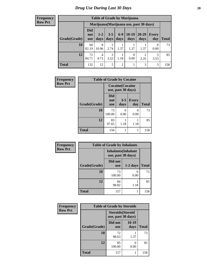#### **Frequency Row Pct**

| <b>Table of Grade by Marijuana</b> |                                 |                                         |                        |                |                  |                        |              |       |  |  |  |
|------------------------------------|---------------------------------|-----------------------------------------|------------------------|----------------|------------------|------------------------|--------------|-------|--|--|--|
|                                    |                                 | Marijuana (Marijuana use, past 30 days) |                        |                |                  |                        |              |       |  |  |  |
| Grade(Grade)                       | <b>Did</b><br>not<br><b>use</b> | $1 - 2$<br>days                         | $3 - 5$<br>days        | $6-9$<br>days  | $10-19$<br>days  | $20 - 29$<br>days      | Every<br>day | Total |  |  |  |
| 10                                 | 60<br>82.19                     | 8<br>10.96                              | $\mathfrak{D}$<br>2.74 | 1.37           | 1.37             | 1.37                   | 0<br>0.00    | 73    |  |  |  |
| 12                                 | 72<br>84.71                     | 4<br>4.71                               | 3<br>3.53              | 1.18           | $\theta$<br>0.00 | $\overline{2}$<br>2.35 | 3<br>3.53    | 85    |  |  |  |
| <b>Total</b>                       | 132                             | 12                                      | 5                      | $\overline{c}$ |                  | 3                      | 3            | 158   |  |  |  |

| Frequency      | <b>Table of Grade by Cocaine</b> |                                               |                 |                     |              |  |  |  |  |  |  |
|----------------|----------------------------------|-----------------------------------------------|-----------------|---------------------|--------------|--|--|--|--|--|--|
| <b>Row Pct</b> |                                  | <b>Cocaine</b> (Cocaine<br>use, past 30 days) |                 |                     |              |  |  |  |  |  |  |
|                | Grade(Grade)                     | <b>Did</b><br>not<br><b>use</b>               | $3 - 5$<br>days | <b>Every</b><br>day | <b>Total</b> |  |  |  |  |  |  |
|                | 10                               | 73<br>100.00                                  | 0<br>0.00       | 0<br>0.00           | 73           |  |  |  |  |  |  |
|                | 12                               | 83<br>97.65                                   | 1.18            | 1.18                | 85           |  |  |  |  |  |  |
|                | <b>Total</b>                     | 156                                           | 1               | 1                   | 158          |  |  |  |  |  |  |

| Frequency      | <b>Table of Grade by Inhalants</b> |                                                  |            |              |
|----------------|------------------------------------|--------------------------------------------------|------------|--------------|
| <b>Row Pct</b> |                                    | <b>Inhalants</b> (Inhalant<br>use, past 30 days) |            |              |
|                | Grade(Grade)                       | Did not<br><b>use</b>                            | $1-2$ days | <b>Total</b> |
|                | 10                                 | 73<br>100.00                                     | 0.00       | 73           |
|                | 12                                 | 84<br>98.82                                      | 1.18       | 85           |
|                | <b>Total</b>                       | 157                                              |            | 158          |

| Frequency      | <b>Table of Grade by Steroids</b> |                                                |               |              |
|----------------|-----------------------------------|------------------------------------------------|---------------|--------------|
| <b>Row Pct</b> |                                   | <b>Steroids</b> (Steroid<br>use, past 30 days) |               |              |
|                | Grade(Grade)                      | Did not<br><b>use</b>                          | 10-19<br>days | <b>Total</b> |
|                | 10                                | 72<br>98.63                                    | 1.37          | 73           |
|                | 12                                | 85<br>100.00                                   | 0<br>0.00     | 85           |
|                | <b>Total</b>                      | 157                                            |               | 158          |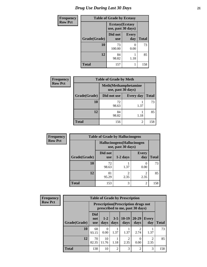# *Drug Use During Last 30 Days* **21**

| <b>Frequency</b> | <b>Table of Grade by Ecstasy</b> |                                               |                     |              |
|------------------|----------------------------------|-----------------------------------------------|---------------------|--------------|
| <b>Row Pct</b>   |                                  | <b>Ecstasy</b> (Ecstasy<br>use, past 30 days) |                     |              |
|                  | Grade(Grade)                     | Did not<br><b>use</b>                         | <b>Every</b><br>day | <b>Total</b> |
|                  | 10                               | 73<br>100.00                                  | $\Omega$<br>0.00    | 73           |
|                  | 12                               | 84<br>98.82                                   | 1.18                | 85           |
|                  | <b>Total</b>                     | 157                                           |                     | 158          |

| <b>Frequency</b> | <b>Table of Grade by Meth</b> |                                                    |                  |              |
|------------------|-------------------------------|----------------------------------------------------|------------------|--------------|
| <b>Row Pct</b>   |                               | <b>Meth</b> (Methamphetamine<br>use, past 30 days) |                  |              |
|                  | Grade(Grade)                  | Did not use                                        | <b>Every day</b> | <b>Total</b> |
|                  | 10                            | 72<br>98.63                                        | 1.37             | 73           |
|                  | 12                            | 84<br>98.82                                        | 1.18             | 85           |
|                  | <b>Total</b>                  | 156                                                | $\overline{2}$   | 158          |

| <b>Frequency</b> | <b>Table of Grade by Hallucinogens</b> |                                                   |                        |                        |              |
|------------------|----------------------------------------|---------------------------------------------------|------------------------|------------------------|--------------|
| <b>Row Pct</b>   |                                        | Hallucinogens (Hallucinogen<br>use, past 30 days) |                        |                        |              |
|                  | Grade(Grade)                           | Did not<br><b>use</b>                             | $1-2$ days             | <b>Every</b><br>day    | <b>Total</b> |
|                  | 10                                     | 72<br>98.63                                       | 1.37                   | 0<br>0.00              | 73           |
|                  | 12                                     | 81<br>95.29                                       | $\overline{2}$<br>2.35 | $\mathfrak{D}$<br>2.35 | 85           |
|                  | <b>Total</b>                           | 153                                               | 3                      | $\overline{2}$         | 158          |

| <b>Frequency</b> | <b>Table of Grade by Prescription</b> |                                                                                |                  |                 |                 |                        |                        |              |
|------------------|---------------------------------------|--------------------------------------------------------------------------------|------------------|-----------------|-----------------|------------------------|------------------------|--------------|
| <b>Row Pct</b>   |                                       | <b>Prescription</b> (Prescription drugs not<br>prescribed to me, past 30 days) |                  |                 |                 |                        |                        |              |
|                  | Grade(Grade)                          | <b>Did</b><br>not<br><b>use</b>                                                | $1-2$<br>days    | $3 - 5$<br>days | $10-19$<br>days | $20 - 29$<br>days      | Every<br>day           | <b>Total</b> |
|                  | 10                                    | 68<br>93.15                                                                    | $\Omega$<br>0.00 | 1.37            | 1.37            | $\mathfrak{D}$<br>2.74 | 1.37                   | 73           |
|                  | 12                                    | 70<br>82.35                                                                    | 10<br>11.76      | 1.18            | 2.35            | $\Omega$<br>0.00       | $\overline{2}$<br>2.35 | 85           |
|                  | <b>Total</b>                          | 138                                                                            | 10               | $\overline{2}$  | 3               | 2                      | 3                      | 158          |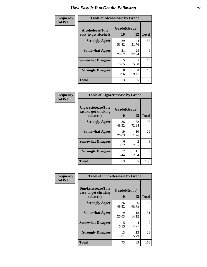| Frequency      | <b>Table of Alcoholease by Grade</b>              |                    |             |              |  |
|----------------|---------------------------------------------------|--------------------|-------------|--------------|--|
| <b>Col Pct</b> | <b>Alcoholease</b> (It is<br>easy to get alcohol) | Grade(Grade)<br>10 | 12          | <b>Total</b> |  |
|                | <b>Strongly Agree</b>                             | 39<br>53.42        | 44<br>51.76 | 83           |  |
|                | <b>Somewhat Agree</b>                             | 21<br>28.77        | 28<br>32.94 | 49           |  |
|                | <b>Somewhat Disagree</b>                          | 5<br>6.85          | 5<br>5.88   | 10           |  |
|                | <b>Strongly Disagree</b>                          | 8<br>10.96         | 8<br>9.41   | 16           |  |
|                | <b>Total</b>                                      | 73                 | 85          | 158          |  |

| Frequency      | <b>Table of Cigarettesease by Grade</b>                  |                    |                                     |              |
|----------------|----------------------------------------------------------|--------------------|-------------------------------------|--------------|
| <b>Col Pct</b> | Cigarettesease (It is<br>easy to get smoking<br>tobacco) | Grade(Grade)<br>10 | 12                                  | <b>Total</b> |
|                | <b>Strongly Agree</b>                                    | 36<br>49.32        | 62<br>72.94                         | 98           |
|                | <b>Somewhat Agree</b>                                    | 19<br>26.03        | 10<br>11.76                         | 29           |
|                | <b>Somewhat Disagree</b>                                 | 6<br>8.22          | $\mathcal{D}_{\mathcal{L}}$<br>2.35 | 8            |
|                | <b>Strongly Disagree</b>                                 | 12<br>16.44        | 11<br>12.94                         | 23           |
|                | Total                                                    | 73                 | 85                                  | 158          |

| Frequency      | <b>Table of Smokelessease by Grade</b>                         |                    |             |              |  |
|----------------|----------------------------------------------------------------|--------------------|-------------|--------------|--|
| <b>Col Pct</b> | <b>Smokelessease</b> (It is<br>easy to get chewing<br>tobacco) | Grade(Grade)<br>10 | 12          | <b>Total</b> |  |
|                | <b>Strongly Agree</b>                                          | 36<br>49.32        | 56<br>65.88 | 92           |  |
|                | <b>Somewhat Agree</b>                                          | 19<br>26.03        | 12<br>14.12 | 31           |  |
|                | <b>Somewhat Disagree</b>                                       | 5<br>6.85          | 4<br>4.71   | 9            |  |
|                | <b>Strongly Disagree</b>                                       | 13<br>17.81        | 13<br>15.29 | 26           |  |
|                | Total                                                          | 73                 | 85          | 158          |  |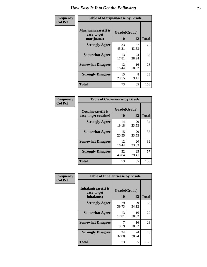| Frequency      | <b>Table of Marijuanaease by Grade</b>           |                    |             |              |
|----------------|--------------------------------------------------|--------------------|-------------|--------------|
| <b>Col Pct</b> | Marijuanaease(It is<br>easy to get<br>marijuana) | Grade(Grade)<br>10 | 12          | <b>Total</b> |
|                | <b>Strongly Agree</b>                            | 33<br>45.21        | 37<br>43.53 | 70           |
|                | <b>Somewhat Agree</b>                            | 13<br>17.81        | 24<br>28.24 | 37           |
|                | <b>Somewhat Disagree</b>                         | 12<br>16.44        | 16<br>18.82 | 28           |
|                | <b>Strongly Disagree</b>                         | 15<br>20.55        | 8<br>9.41   | 23           |
|                | <b>Total</b>                                     | 73                 | 85          | 158          |

| <b>Table of Cocaineease by Grade</b> |              |             |              |  |  |
|--------------------------------------|--------------|-------------|--------------|--|--|
| <b>Cocaineease</b> (It is            | Grade(Grade) |             |              |  |  |
| easy to get cocaine)                 | 10           | 12          | <b>Total</b> |  |  |
| <b>Strongly Agree</b>                | 14<br>19.18  | 20<br>23.53 | 34           |  |  |
| <b>Somewhat Agree</b>                | 15<br>20.55  | 20<br>23.53 | 35           |  |  |
| <b>Somewhat Disagree</b>             | 12<br>16.44  | 20<br>23.53 | 32           |  |  |
| <b>Strongly Disagree</b>             | 32<br>43.84  | 25<br>29.41 | 57           |  |  |
| <b>Total</b>                         | 73           | 85          | 158          |  |  |

| Frequency      | <b>Table of Inhalantsease by Grade</b>     |             |              |              |  |
|----------------|--------------------------------------------|-------------|--------------|--------------|--|
| <b>Col Pct</b> | <b>Inhalantsease</b> (It is<br>easy to get |             | Grade(Grade) |              |  |
|                | inhalants)                                 | 10          | 12           | <b>Total</b> |  |
|                | <b>Strongly Agree</b>                      | 29<br>39.73 | 29<br>34.12  | 58           |  |
|                | <b>Somewhat Agree</b>                      | 13<br>17.81 | 16<br>18.82  | 29           |  |
|                | <b>Somewhat Disagree</b>                   | 9.59        | 16<br>18.82  | 23           |  |
|                | <b>Strongly Disagree</b>                   | 24<br>32.88 | 24<br>28.24  | 48           |  |
|                | <b>Total</b>                               | 73          | 85           | 158          |  |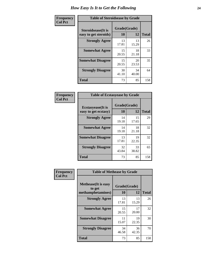| Frequency      | <b>Table of Steroidsease by Grade</b>               |                    |             |              |  |  |  |  |  |  |  |
|----------------|-----------------------------------------------------|--------------------|-------------|--------------|--|--|--|--|--|--|--|
| <b>Col Pct</b> | <b>Steroidsease</b> (It is<br>easy to get steroids) | Grade(Grade)<br>10 | 12          | <b>Total</b> |  |  |  |  |  |  |  |
|                | <b>Strongly Agree</b>                               | 13<br>17.81        | 13<br>15.29 | 26           |  |  |  |  |  |  |  |
|                | <b>Somewhat Agree</b>                               | 15<br>20.55        | 18<br>21.18 | 33           |  |  |  |  |  |  |  |
|                | <b>Somewhat Disagree</b>                            | 15<br>20.55        | 20<br>23.53 | 35           |  |  |  |  |  |  |  |
|                | <b>Strongly Disagree</b>                            | 30<br>41.10        | 34<br>40.00 | 64           |  |  |  |  |  |  |  |
|                | <b>Total</b>                                        | 73                 | 85          | 158          |  |  |  |  |  |  |  |

| Frequency      | <b>Table of Ecstasyease by Grade</b>              |                    |             |              |  |  |  |  |  |  |  |
|----------------|---------------------------------------------------|--------------------|-------------|--------------|--|--|--|--|--|--|--|
| <b>Col Pct</b> | <b>Ecstasyease</b> (It is<br>easy to get ecstasy) | Grade(Grade)<br>10 | 12          | <b>Total</b> |  |  |  |  |  |  |  |
|                | <b>Strongly Agree</b>                             | 14<br>19.18        | 15<br>17.65 | 29           |  |  |  |  |  |  |  |
|                | <b>Somewhat Agree</b>                             | 14<br>19.18        | 18<br>21.18 | 32           |  |  |  |  |  |  |  |
|                | <b>Somewhat Disagree</b>                          | 13<br>17.81        | 19<br>22.35 | 32           |  |  |  |  |  |  |  |
|                | <b>Strongly Disagree</b>                          | 32<br>43.84        | 33<br>38.82 | 65           |  |  |  |  |  |  |  |
|                | Total                                             | 73                 | 85          | 158          |  |  |  |  |  |  |  |

| Frequency      | <b>Table of Methease by Grade</b>     |              |             |              |
|----------------|---------------------------------------|--------------|-------------|--------------|
| <b>Col Pct</b> | <b>Methease</b> (It is easy<br>to get | Grade(Grade) |             |              |
|                | methamphetamines)                     | 10           | 12          | <b>Total</b> |
|                | <b>Strongly Agree</b>                 | 13<br>17.81  | 13<br>15.29 | 26           |
|                | <b>Somewhat Agree</b>                 | 15<br>20.55  | 17<br>20.00 | 32           |
|                | <b>Somewhat Disagree</b>              | 11<br>15.07  | 19<br>22.35 | 30           |
|                | <b>Strongly Disagree</b>              | 34<br>46.58  | 36<br>42.35 | 70           |
|                | Total                                 | 73           | 85          | 158          |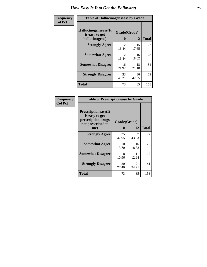| <b>Frequency</b> | <b>Table of Hallucinogensease by Grade</b>                       |                    |             |              |  |  |  |  |  |  |  |  |
|------------------|------------------------------------------------------------------|--------------------|-------------|--------------|--|--|--|--|--|--|--|--|
| <b>Col Pct</b>   | <b>Hallucinogensease</b> (It<br>is easy to get<br>hallucinogens) | Grade(Grade)<br>10 | 12          | <b>Total</b> |  |  |  |  |  |  |  |  |
|                  | <b>Strongly Agree</b>                                            | 12<br>16.44        | 15<br>17.65 | 27           |  |  |  |  |  |  |  |  |
|                  | <b>Somewhat Agree</b>                                            | 12<br>16.44        | 16<br>18.82 | 28           |  |  |  |  |  |  |  |  |
|                  | <b>Somewhat Disagree</b>                                         | 16<br>21.92        | 18<br>21.18 | 34           |  |  |  |  |  |  |  |  |
|                  | <b>Strongly Disagree</b>                                         | 33<br>45.21        | 36<br>42.35 | 69           |  |  |  |  |  |  |  |  |
|                  | <b>Total</b>                                                     | 73                 | 85          | 158          |  |  |  |  |  |  |  |  |

| <b>Table of Prescriptionease by Grade</b>                                                |              |             |              |  |  |  |  |  |  |
|------------------------------------------------------------------------------------------|--------------|-------------|--------------|--|--|--|--|--|--|
| <b>Prescriptionease</b> (It<br>is easy to get<br>prescription drugs<br>not prescribed to | Grade(Grade) |             |              |  |  |  |  |  |  |
| me)                                                                                      | 10           | 12          | <b>Total</b> |  |  |  |  |  |  |
| <b>Strongly Agree</b>                                                                    | 35<br>47.95  | 37<br>43.53 | 72           |  |  |  |  |  |  |
| <b>Somewhat Agree</b>                                                                    | 10<br>13.70  | 16<br>18.82 | 26           |  |  |  |  |  |  |
| <b>Somewhat Disagree</b>                                                                 | 8<br>10.96   | 11<br>12.94 | 19           |  |  |  |  |  |  |
| <b>Strongly Disagree</b>                                                                 | 20<br>27.40  | 21<br>24.71 | 41           |  |  |  |  |  |  |
| <b>Total</b>                                                                             | 73           | 85          | 158          |  |  |  |  |  |  |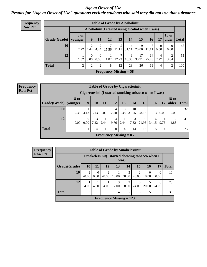#### *Age at Onset of Use* **26** *Results for "Age at Onset of Use" questions exclude students who said they did not use that substance*

| Frequency      | <b>Table of Grade by Alcoholinit</b> |                |                  |                  |            |            |                                                  |             |             |           |                       |              |
|----------------|--------------------------------------|----------------|------------------|------------------|------------|------------|--------------------------------------------------|-------------|-------------|-----------|-----------------------|--------------|
| <b>Row Pct</b> |                                      |                |                  |                  |            |            | Alcoholinit (I started using alcohol when I was) |             |             |           |                       |              |
|                | $Grade(Grade)$ younger               | <b>8 or</b>    | 9                | 11               | 12         | 13         | 14                                               | 15          | 16          | 17        | <b>18 or</b><br>older | <b>Total</b> |
|                | 10                                   | 2.22           | 4.44             | 4.44             | 7<br>15.56 | 11.11      | 14<br>31.11                                      | 9<br>20.00  | 5<br>11.11  | 0.00      | $\Omega$<br>0.00      | 45           |
|                | 12                                   | 1.82           | $\Omega$<br>0.00 | $\Omega$<br>0.00 | 1.82       | ⇁<br>12.73 | 9<br>16.36                                       | 17<br>30.91 | 14<br>25.45 | 4<br>7.27 | 2<br>3.64             | 55           |
|                | <b>Total</b>                         | $\overline{2}$ | 2                | 2                | 8          | 12         | 23                                               | 26          | 19          | 4         | 2                     | 100          |
|                |                                      |                |                  |                  |            |            | <b>Frequency Missing = 58</b>                    |             |             |           |                       |              |

| <b>Frequency</b> |
|------------------|
| <b>Row Pct</b>   |

| <b>Table of Grade by Cigarettesinit</b> |                  |                  |           |                      |                               |           |                                                       |            |             |                  |                       |              |  |  |
|-----------------------------------------|------------------|------------------|-----------|----------------------|-------------------------------|-----------|-------------------------------------------------------|------------|-------------|------------------|-----------------------|--------------|--|--|
|                                         |                  |                  |           |                      |                               |           | Cigarettesinit (I started smoking tobacco when I was) |            |             |                  |                       |              |  |  |
| Grade(Grade)   younger                  | <b>8 or</b>      | 9                | 10        | 11                   | 12                            | 13        | 14                                                    | 15         | 16          | 17               | <b>18 or</b><br>older | <b>Total</b> |  |  |
| 10                                      | 9.38             | 3.13             | 3.13      | $\theta$<br>$0.00\,$ | 4<br>12.50                    | 3<br>9.38 | 10<br>31.25                                           | 9<br>28.13 | 3.13        | $\left($<br>0.00 | $\theta$<br>0.00      | 32           |  |  |
| 12                                      | $\Omega$<br>0.00 | $\theta$<br>0.00 | 3<br>7.32 | 2.44                 | 4<br>9.76                     | 2.44      | 7.32                                                  | 9<br>21.95 | 14<br>34.15 | 4<br>9.76        | 2<br>4.88             | 41           |  |  |
| <b>Total</b>                            | 3                |                  | 4         |                      | 8                             | 4         | 13                                                    | 18         | 15          | 4                | $\overline{2}$        | 73           |  |  |
|                                         |                  |                  |           |                      | <b>Frequency Missing = 85</b> |           |                                                       |            |             |                  |                       |              |  |  |

| <b>Frequency</b> |
|------------------|
| <b>Row Pct</b>   |

|                                                                                                         |            |           |                         |       | <b>Table of Grade by Smokelessinit</b> |                         |      |                  |              |  |  |  |
|---------------------------------------------------------------------------------------------------------|------------|-----------|-------------------------|-------|----------------------------------------|-------------------------|------|------------------|--------------|--|--|--|
| Smokelessinit (I started chewing tobacco when I<br>was)                                                 |            |           |                         |       |                                        |                         |      |                  |              |  |  |  |
| Grade(Grade)                                                                                            | 10         | 11        | 12                      | 13    | 14                                     | 15                      | 16   | 17               | <b>Total</b> |  |  |  |
| 10                                                                                                      | 2<br>20.00 | 0<br>0.00 | $\overline{2}$<br>20.00 | 10.00 | 3<br>30.00                             | $\mathfrak{D}$<br>20.00 | 0.00 | $\Omega$<br>0.00 | 10           |  |  |  |
| 12<br>3<br>$\mathfrak{D}$<br>6<br>6<br>24.00<br>4.00<br>12.00<br>8.00<br>20.00<br>4.00<br>4.00<br>24.00 |            |           |                         |       |                                        |                         |      |                  |              |  |  |  |
| <b>Total</b>                                                                                            | 3          |           | 3                       | 4     | 5                                      | 8                       | 5    | 6                | 35           |  |  |  |
|                                                                                                         |            |           |                         |       | Frequency Missing $= 123$              |                         |      |                  |              |  |  |  |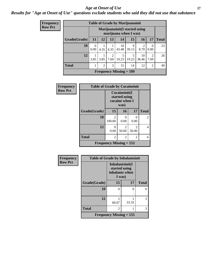#### *Age at Onset of Use* **27**

### *Results for "Age at Onset of Use" questions exclude students who said they did not use that substance*

| Frequency      |
|----------------|
| <b>Row Pct</b> |

|                                                         |           |      |           | <b>Table of Grade by Marijuanainit</b> |            |             |                |              |  |  |
|---------------------------------------------------------|-----------|------|-----------|----------------------------------------|------------|-------------|----------------|--------------|--|--|
| Marijuanainit (I started using<br>marijuana when I was) |           |      |           |                                        |            |             |                |              |  |  |
| Grade(Grade)                                            | 11        | 12   | 13        | 14                                     | 15         | <b>16</b>   | 17             | <b>Total</b> |  |  |
| 10                                                      | 0<br>0.00 | 4.35 | 4.35      | 10<br>43.48                            | 9<br>39.13 | 2<br>8.70   | 0<br>0.00      | 23           |  |  |
| 12                                                      | 3.85      | 3.85 | 2<br>7.69 | 5<br>19.23                             | 5<br>19.23 | 10<br>38.46 | 2<br>7.69      | 26           |  |  |
| <b>Total</b>                                            |           | 2    | 3         | 15                                     | 14         | 12          | $\overline{c}$ | 49           |  |  |
|                                                         |           |      |           | Frequency Missing $= 109$              |            |             |                |              |  |  |

| Frequency      | <b>Table of Grade by Cocaineinit</b> |                                                          |                         |                                   |              |
|----------------|--------------------------------------|----------------------------------------------------------|-------------------------|-----------------------------------|--------------|
| <b>Row Pct</b> |                                      | Cocaineinit(I<br>started using<br>cocaine when I<br>was) |                         |                                   |              |
|                | Grade(Grade)                         | 15                                                       | 16                      | 17                                | <b>Total</b> |
|                | 10                                   | 2<br>100.00                                              | 0.00                    | $\mathbf{\Omega}$<br>0.00         | 2            |
|                | 12                                   | 0<br>0.00                                                | $\mathfrak{D}$<br>50.00 | $\overline{\mathcal{L}}$<br>50.00 | 4            |
|                | <b>Total</b>                         | 2                                                        | 2                       | 2                                 | 6            |
|                |                                      | <b>Frequency Missing = 152</b>                           |                         |                                   |              |

| Frequency      | <b>Table of Grade by Inhalantsinit</b> |                                                              |       |              |
|----------------|----------------------------------------|--------------------------------------------------------------|-------|--------------|
| <b>Row Pct</b> |                                        | Inhalantsinit(I<br>started using<br>inhalants when<br>I was) |       |              |
|                | Grade(Grade)                           | 15                                                           | 17    | <b>Total</b> |
|                | 10                                     | 0                                                            | 0     | O            |
|                |                                        |                                                              |       |              |
|                | 12                                     | 2<br>66.67                                                   | 33.33 | 3            |
|                | <b>Total</b>                           | $\mathcal{L}$                                                |       | 3            |
|                |                                        | Frequency Missing $= 155$                                    |       |              |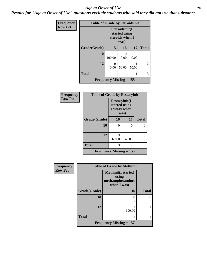#### *Age at Onset of Use* **28**

*Results for "Age at Onset of Use" questions exclude students who said they did not use that substance*

| Frequency      | <b>Table of Grade by Steroidsinit</b> |                                                            |                           |       |                |
|----------------|---------------------------------------|------------------------------------------------------------|---------------------------|-------|----------------|
| <b>Row Pct</b> |                                       | Steroidsinit(I<br>started using<br>steroids when I<br>was) |                           |       |                |
|                | Grade(Grade)                          | 15                                                         | <b>16</b>                 | 17    | <b>Total</b>   |
|                | 10                                    | 100.00                                                     | $\mathbf{\Omega}$<br>0.00 | 0.00  |                |
|                | 12                                    | $\mathbf{\Omega}$<br>0.00                                  | 50.00                     | 50.00 | $\overline{2}$ |
|                | <b>Total</b>                          |                                                            |                           |       | 3              |
|                |                                       | <b>Frequency Missing <math>= 155</math></b>                |                           |       |                |

| Frequency      | <b>Table of Grade by Ecstasyinit</b> |                                                          |               |              |
|----------------|--------------------------------------|----------------------------------------------------------|---------------|--------------|
| <b>Row Pct</b> |                                      | Ecstasyinit(I<br>started using<br>ecstasy when<br>I was) |               |              |
|                | Grade(Grade)                         | <b>16</b>                                                | 17            | <b>Total</b> |
|                | 10                                   | 0                                                        | 0             | 0            |
|                |                                      |                                                          |               |              |
|                | 12                                   | 3                                                        | $\mathcal{L}$ | 5            |
|                |                                      | 60.00                                                    | 40.00         |              |
|                | <b>Total</b>                         | 3                                                        | 2             | 5            |
|                | <b>Frequency Missing = 153</b>       |                                                          |               |              |

| Frequency      | <b>Table of Grade by Methinit</b>           |                                                                       |              |  |
|----------------|---------------------------------------------|-----------------------------------------------------------------------|--------------|--|
| <b>Row Pct</b> |                                             | <b>Methinit(I started</b><br>using<br>methamphetamines<br>when I was) |              |  |
|                | Grade(Grade)                                | 16                                                                    | <b>Total</b> |  |
|                | 10                                          | 0                                                                     | 0            |  |
|                | 12                                          | 100.00                                                                |              |  |
|                | <b>Total</b>                                |                                                                       |              |  |
|                | <b>Frequency Missing <math>= 157</math></b> |                                                                       |              |  |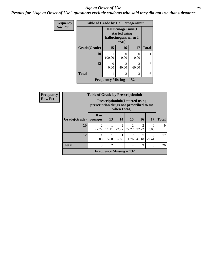#### *Age at Onset of Use* **29**

*Results for "Age at Onset of Use" questions exclude students who said they did not use that substance*

| Frequency      | <b>Table of Grade by Hallucinogensinit</b> |                                                                      |                         |                           |              |
|----------------|--------------------------------------------|----------------------------------------------------------------------|-------------------------|---------------------------|--------------|
| <b>Row Pct</b> |                                            | Hallucinogensinit(I<br>started using<br>hallucinogens when I<br>was) |                         |                           |              |
|                | Grade(Grade)                               | 15                                                                   | 16                      | 17                        | <b>Total</b> |
|                | 10                                         | 100.00                                                               | 0<br>0.00               | $\mathbf{\Omega}$<br>0.00 |              |
|                | 12                                         | $\mathbf{0}$<br>0.00                                                 | $\mathfrak{D}$<br>40.00 | 3<br>60.00                | 5            |
|                | <b>Total</b>                               |                                                                      | 2                       | 3                         | 6            |
|                | Frequency Missing $= 152$                  |                                                                      |                         |                           |              |

| <b>Frequency</b> | <b>Table of Grade by Prescriptioninit</b> |                                                                                                    |                |                           |                         |                         |                                   |              |
|------------------|-------------------------------------------|----------------------------------------------------------------------------------------------------|----------------|---------------------------|-------------------------|-------------------------|-----------------------------------|--------------|
| <b>Row Pct</b>   |                                           | <b>Prescriptioninit (I started using</b><br>prescription drugs not prescribed to me<br>when I was) |                |                           |                         |                         |                                   |              |
|                  | Grade(Grade)   younger                    | 8 or                                                                                               | 13             | 14                        | 15                      | <b>16</b>               | <b>17</b>                         | <b>Total</b> |
|                  | 10                                        | 22.22                                                                                              | 11.11          | $\mathfrak{D}$<br>22.22   | 2<br>22.22              | $\mathfrak{D}$<br>22.22 | 0<br>0.00                         | $\mathbf Q$  |
|                  | 12                                        | 5.88                                                                                               | 5.88           | 5.88                      | $\overline{2}$<br>11.76 | 7<br>41.18              | $\overline{\phantom{0}}$<br>29.41 | 17           |
|                  | <b>Total</b>                              | 3                                                                                                  | $\overline{2}$ | 3                         | $\overline{4}$          | 9                       | 5                                 | 26           |
|                  |                                           |                                                                                                    |                | Frequency Missing $= 132$ |                         |                         |                                   |              |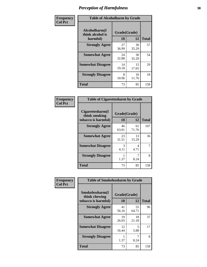| Frequency      | <b>Table of Alcoholharm by Grade</b>          |                           |             |              |
|----------------|-----------------------------------------------|---------------------------|-------------|--------------|
| <b>Col Pct</b> | Alcoholharm(I<br>think alcohol is<br>harmful) | Grade(Grade)<br><b>10</b> | 12          | <b>Total</b> |
|                | <b>Strongly Agree</b>                         | 27<br>36.99               | 30<br>35.29 | 57           |
|                | <b>Somewhat Agree</b>                         | 24<br>32.88               | 30<br>35.29 | 54           |
|                | <b>Somewhat Disagree</b>                      | 14<br>19.18               | 15<br>17.65 | 29           |
|                | <b>Strongly Disagree</b>                      | 8<br>10.96                | 10<br>11.76 | 18           |
|                | <b>Total</b>                                  | 73                        | 85          | 158          |

| <b>Table of Cigarettesharm by Grade</b>                  |                    |             |              |  |  |  |
|----------------------------------------------------------|--------------------|-------------|--------------|--|--|--|
| Cigarettesharm(I<br>think smoking<br>tobacco is harmful) | Grade(Grade)<br>10 | 12          | <b>Total</b> |  |  |  |
| <b>Strongly Agree</b>                                    | 46<br>63.01        | 61<br>71.76 | 107          |  |  |  |
| <b>Somewhat Agree</b>                                    | 23<br>31.51        | 13<br>15.29 | 36           |  |  |  |
| <b>Somewhat Disagree</b>                                 | 3<br>4.11          | 4<br>4.71   | 7            |  |  |  |
| <b>Strongly Disagree</b>                                 | 1.37               | 8.24        | 8            |  |  |  |
| <b>Total</b>                                             | 73                 | 85          | 158          |  |  |  |

| Frequency      | <b>Table of Smokelessharm by Grade</b>                  |                           |             |              |  |
|----------------|---------------------------------------------------------|---------------------------|-------------|--------------|--|
| <b>Col Pct</b> | Smokelessharm(I<br>think chewing<br>tobacco is harmful) | Grade(Grade)<br><b>10</b> | 12          | <b>Total</b> |  |
|                | <b>Strongly Agree</b>                                   | 41<br>56.16               | 55<br>64.71 | 96           |  |
|                | <b>Somewhat Agree</b>                                   | 19<br>26.03               | 18<br>21.18 | 37           |  |
|                | <b>Somewhat Disagree</b>                                | 12<br>16.44               | 5<br>5.88   | 17           |  |
|                | <b>Strongly Disagree</b>                                | 1.37                      | 8.24        | 8            |  |
|                | <b>Total</b>                                            | 73                        | 85          | 158          |  |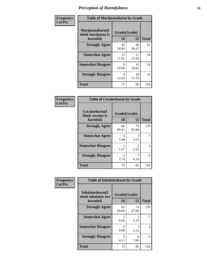| Frequency      | <b>Table of Marijuanaharm by Grade</b>            |                    |             |              |
|----------------|---------------------------------------------------|--------------------|-------------|--------------|
| <b>Col Pct</b> | Marijuanaharm(I<br>think marijuana is<br>harmful) | Grade(Grade)<br>10 | 12          | <b>Total</b> |
|                | <b>Strongly Agree</b>                             | 43<br>58.90        | 48<br>56.47 | 91           |
|                | <b>Somewhat Agree</b>                             | 13<br>17.81        | 11<br>12.94 | 24           |
|                | <b>Somewhat Disagree</b>                          | 8<br>10.96         | 16<br>18.82 | 24           |
|                | <b>Strongly Disagree</b>                          | 9<br>12.33         | 10<br>11.76 | 19           |
|                | <b>Total</b>                                      | 73                 | 85          | 158          |

| <b>Table of Cocaineharm by Grade</b>          |                        |                        |              |  |  |  |
|-----------------------------------------------|------------------------|------------------------|--------------|--|--|--|
| Cocaineharm(I<br>think cocaine is<br>harmful) | Grade(Grade)<br>10     | 12                     | <b>Total</b> |  |  |  |
| <b>Strongly Agree</b>                         | 66<br>90.41            | 73<br>85.88            | 139          |  |  |  |
| <b>Somewhat Agree</b>                         | 4<br>5.48              | 3<br>3.53              | 7            |  |  |  |
| <b>Somewhat Disagree</b>                      | 1.37                   | $\mathfrak{D}$<br>2.35 | 3            |  |  |  |
| <b>Strongly Disagree</b>                      | $\mathfrak{D}$<br>2.74 | 7<br>8.24              | 9            |  |  |  |
| <b>Total</b>                                  | 73                     | 85                     | 158          |  |  |  |

| Frequency      | <b>Table of Inhalantsharm by Grade</b>             |                    |                       |              |
|----------------|----------------------------------------------------|--------------------|-----------------------|--------------|
| <b>Col Pct</b> | Inhalantsharm(I<br>think inhalants are<br>harmful) | Grade(Grade)<br>10 | 12                    | <b>Total</b> |
|                | <b>Strongly Agree</b>                              | 65<br>89.04        | 74<br>87.06           | 139          |
|                | <b>Somewhat Agree</b>                              | 5<br>6.85          | $\mathcal{L}$<br>2.35 | 7            |
|                | <b>Somewhat Disagree</b>                           | 0<br>0.00          | 3<br>3.53             | 3            |
|                | <b>Strongly Disagree</b>                           | 3<br>4.11          | 6<br>7.06             | 9            |
|                | <b>Total</b>                                       | 73                 | 85                    | 158          |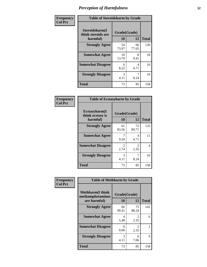| Frequency      | <b>Table of Steroidsharm by Grade</b>            |                    |             |              |
|----------------|--------------------------------------------------|--------------------|-------------|--------------|
| <b>Col Pct</b> | Steroidsharm(I<br>think steroids are<br>harmful) | Grade(Grade)<br>10 | 12          | <b>Total</b> |
|                | <b>Strongly Agree</b>                            | 54<br>73.97        | 66<br>77.65 | 120          |
|                | <b>Somewhat Agree</b>                            | 10<br>13.70        | 8<br>9.41   | 18           |
|                | <b>Somewhat Disagree</b>                         | 6<br>8.22          | 4<br>4.71   | 10           |
|                | <b>Strongly Disagree</b>                         | 3<br>4.11          | 7<br>8.24   | 10           |
|                | <b>Total</b>                                     | 73                 | 85          | 158          |

| <b>Table of Ecstasyharm by Grade</b>          |                    |                        |              |  |  |
|-----------------------------------------------|--------------------|------------------------|--------------|--|--|
| Ecstasyharm(I<br>think ecstasy is<br>harmful) | Grade(Grade)<br>10 | 12                     | <b>Total</b> |  |  |
| <b>Strongly Agree</b>                         | 61<br>83.56        | 72<br>84.71            | 133          |  |  |
| <b>Somewhat Agree</b>                         | 7<br>9.59          | 4<br>4.71              | 11           |  |  |
| <b>Somewhat Disagree</b>                      | 2<br>2.74          | $\mathfrak{D}$<br>2.35 | 4            |  |  |
| <b>Strongly Disagree</b>                      | 3<br>4.11          | 7<br>8.24              | 10           |  |  |
| <b>Total</b>                                  | 73                 | 85                     | 158          |  |  |

| Frequency      | <b>Table of Methharm by Grade</b>                            |                           |             |              |
|----------------|--------------------------------------------------------------|---------------------------|-------------|--------------|
| <b>Col Pct</b> | <b>Methharm</b> (I think<br>methamphetamines<br>are harmful) | Grade(Grade)<br><b>10</b> | 12          | <b>Total</b> |
|                | <b>Strongly Agree</b>                                        | 66<br>90.41               | 75<br>88.24 | 141          |
|                | <b>Somewhat Agree</b>                                        | 4<br>5.48                 | 2<br>2.35   | 6            |
|                | <b>Somewhat Disagree</b>                                     | 0<br>0.00                 | 2<br>2.35   | 2            |
|                | <b>Strongly Disagree</b>                                     | 3<br>4.11                 | 6<br>7.06   | 9            |
|                | <b>Total</b>                                                 | 73                        | 85          | 158          |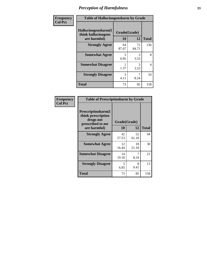| Frequency | <b>Table of Hallucinogensharm by Grade</b>                 |                    |             |              |
|-----------|------------------------------------------------------------|--------------------|-------------|--------------|
| Col Pct   | Hallucinogensharm(I<br>think hallucinogens<br>are harmful) | Grade(Grade)<br>10 | 12          | <b>Total</b> |
|           | <b>Strongly Agree</b>                                      | 64<br>87.67        | 72<br>84.71 | 136          |
|           | <b>Somewhat Agree</b>                                      | 5<br>6.85          | 3<br>3.53   | 8            |
|           | <b>Somewhat Disagree</b>                                   | 1.37               | 3<br>3.53   | 4            |
|           | <b>Strongly Disagree</b>                                   | 3<br>4.11          | 7<br>8.24   | 10           |
|           | <b>Total</b>                                               | 73                 | 85          | 158          |

| <b>Table of Prescriptionharm by Grade</b>                                                         |                    |             |              |  |
|---------------------------------------------------------------------------------------------------|--------------------|-------------|--------------|--|
| <b>Prescriptionharm</b> (I<br>think prescription<br>drugs not<br>prescribed to me<br>are harmful) | Grade(Grade)<br>10 | 12          | <b>Total</b> |  |
| <b>Strongly Agree</b>                                                                             | 42<br>57.53        | 52<br>61.18 | 94           |  |
| <b>Somewhat Agree</b>                                                                             | 12<br>16.44        | 18<br>21.18 | 30           |  |
| <b>Somewhat Disagree</b>                                                                          | 14<br>19.18        | 8.24        | 21           |  |
| <b>Strongly Disagree</b>                                                                          | 5<br>6.85          | 8<br>9.41   | 13           |  |
| <b>Total</b>                                                                                      | 73                 | 85          | 158          |  |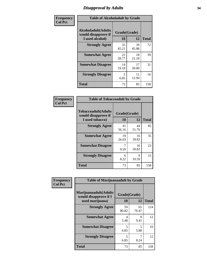# *Disapproval by Adults* **34**

| Frequency      | <b>Table of Alcoholadult by Grade</b>                                 |                    |             |              |
|----------------|-----------------------------------------------------------------------|--------------------|-------------|--------------|
| <b>Col Pct</b> | <b>Alcoholadult</b> (Adults<br>would disapprove if<br>I used alcohol) | Grade(Grade)<br>10 | 12          | <b>Total</b> |
|                | <b>Strongly Agree</b>                                                 | 33<br>45.21        | 39<br>45.88 | 72           |
|                | <b>Somewhat Agree</b>                                                 | 21<br>28.77        | 18<br>21.18 | 39           |
|                | <b>Somewhat Disagree</b>                                              | 14<br>19.18        | 17<br>20.00 | 31           |
|                | <b>Strongly Disagree</b>                                              | 5<br>6.85          | 11<br>12.94 | 16           |
|                | <b>Total</b>                                                          | 73                 | 85          | 158          |

| <b>Table of Tobaccoadult by Grade</b>                                 |             |                    |              |  |  |
|-----------------------------------------------------------------------|-------------|--------------------|--------------|--|--|
| <b>Tobaccoadult</b> (Adults<br>would disapprove if<br>I used tobacco) | 10          | Grade(Grade)<br>12 | <b>Total</b> |  |  |
| <b>Strongly Agree</b>                                                 | 41<br>56.16 | 44<br>51.76        | 85           |  |  |
| <b>Somewhat Agree</b>                                                 | 19<br>26.03 | 16<br>18.82        | 35           |  |  |
| <b>Somewhat Disagree</b>                                              | 7<br>9.59   | 16<br>18.82        | 23           |  |  |
| <b>Strongly Disagree</b>                                              | 6<br>8.22   | 9<br>10.59         | 15           |  |  |
| <b>Total</b>                                                          | 73          | 85                 | 158          |  |  |

| Frequency      | <b>Table of Marijuanaadult by Grade</b>                           |                    |             |              |
|----------------|-------------------------------------------------------------------|--------------------|-------------|--------------|
| <b>Col Pct</b> | Marijuanaadult(Adults<br>would disapprove if I<br>used marijuana) | Grade(Grade)<br>10 | 12          | <b>Total</b> |
|                | <b>Strongly Agree</b>                                             | 59<br>80.82        | 65<br>76.47 | 124          |
|                | <b>Somewhat Agree</b>                                             | 4<br>5.48          | 8<br>9.41   | 12           |
|                | <b>Somewhat Disagree</b>                                          | 5<br>6.85          | 5<br>5.88   | 10           |
|                | <b>Strongly Disagree</b>                                          | 5<br>6.85          | 7<br>8.24   | 12           |
|                | <b>Total</b>                                                      | 73                 | 85          | 158          |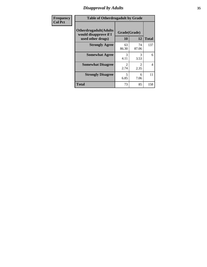# *Disapproval by Adults* **35**

| <b>Frequency</b> | <b>Table of Otherdrugadult by Grade</b>                                     |                                     |                                     |              |
|------------------|-----------------------------------------------------------------------------|-------------------------------------|-------------------------------------|--------------|
| <b>Col Pct</b>   | <b>Otherdrugadult</b> (Adults<br>would disapprove if I<br>used other drugs) | Grade(Grade)<br>10                  | 12                                  | <b>Total</b> |
|                  | <b>Strongly Agree</b>                                                       | 63<br>86.30                         | 74<br>87.06                         | 137          |
|                  | <b>Somewhat Agree</b>                                                       | 3<br>4.11                           | 3<br>3.53                           | 6            |
|                  | <b>Somewhat Disagree</b>                                                    | $\mathcal{D}_{\mathcal{L}}$<br>2.74 | $\mathcal{D}_{\mathcal{L}}$<br>2.35 | 4            |
|                  | <b>Strongly Disagree</b>                                                    | 5<br>6.85                           | 6<br>7.06                           | 11           |
|                  | <b>Total</b>                                                                | 73                                  | 85                                  | 158          |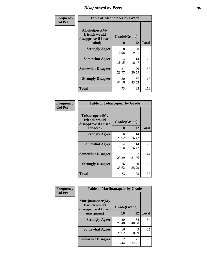# *Disapproval by Peers* **36**

| Frequency      | <b>Table of Alcoholpeer by Grade</b>                    |              |             |              |
|----------------|---------------------------------------------------------|--------------|-------------|--------------|
| <b>Col Pct</b> | Alcoholpeer(My<br>friends would<br>disapprove if I used | Grade(Grade) |             |              |
|                | alcohol)                                                | 10           | 12          | <b>Total</b> |
|                | <b>Strongly Agree</b>                                   | 8<br>10.96   | 8<br>9.41   | 16           |
|                | <b>Somewhat Agree</b>                                   | 14<br>19.18  | 14<br>16.47 | 28           |
|                | <b>Somewhat Disagree</b>                                | 21<br>28.77  | 26<br>30.59 | 47           |
|                | <b>Strongly Disagree</b>                                | 30<br>41.10  | 37<br>43.53 | 67           |
|                | Total                                                   | 73           | 85          | 158          |

| Frequency      | <b>Table of Tobaccopeer by Grade</b>                    |              |             |              |
|----------------|---------------------------------------------------------|--------------|-------------|--------------|
| <b>Col Pct</b> | Tobaccopeer(My<br>friends would<br>disapprove if I used | Grade(Grade) |             |              |
|                | tobacco)                                                | 10           | 12          | <b>Total</b> |
|                | <b>Strongly Agree</b>                                   | 16<br>21.92  | 14<br>16.47 | 30           |
|                | <b>Somewhat Agree</b>                                   | 14<br>19.18  | 14<br>16.47 | 28           |
|                | <b>Somewhat Disagree</b>                                | 17<br>23.29  | 27<br>31.76 | 44           |
|                | <b>Strongly Disagree</b>                                | 26<br>35.62  | 30<br>35.29 | 56           |
|                | Total                                                   | 73           | 85          | 158          |

| Frequency      | <b>Table of Marijuanapeer by Grade</b>                                  |                    |             |              |
|----------------|-------------------------------------------------------------------------|--------------------|-------------|--------------|
| <b>Col Pct</b> | Marijuanapeer(My<br>friends would<br>disapprove if I used<br>marijuana) | Grade(Grade)<br>10 | 12          | <b>Total</b> |
|                | <b>Strongly Agree</b>                                                   | 20<br>27.40        | 34<br>40.00 | 54           |
|                | <b>Somewhat Agree</b>                                                   | 16<br>21.92        | 9<br>10.59  | 25           |
|                | <b>Somewhat Disagree</b>                                                | 12<br>16.44        | 21<br>24.71 | 33           |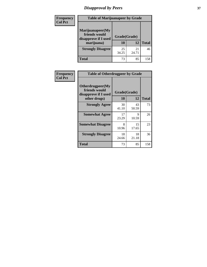# *Disapproval by Peers* **37**

| <b>Frequency</b> | <b>Table of Marijuanapeer by Grade</b>                                  |                    |             |              |  |
|------------------|-------------------------------------------------------------------------|--------------------|-------------|--------------|--|
| <b>Col Pct</b>   | Marijuanapeer(My<br>friends would<br>disapprove if I used<br>marijuana) | Grade(Grade)<br>10 | 12          | <b>Total</b> |  |
|                  | <b>Strongly Disagree</b>                                                | 25<br>34.25        | 21<br>24.71 | 46           |  |
|                  | <b>Total</b>                                                            | 73                 | 85          | 158          |  |

| Frequency      | <b>Table of Otherdrugpeer by Grade</b>                                    |                    |             |              |
|----------------|---------------------------------------------------------------------------|--------------------|-------------|--------------|
| <b>Col Pct</b> | Otherdrugpeer(My<br>friends would<br>disapprove if I used<br>other drugs) | Grade(Grade)<br>10 | 12          | <b>Total</b> |
|                | <b>Strongly Agree</b>                                                     | 30<br>41.10        | 43<br>50.59 | 73           |
|                | <b>Somewhat Agree</b>                                                     | 17<br>23.29        | 9<br>10.59  | 26           |
|                | <b>Somewhat Disagree</b>                                                  | 8<br>10.96         | 15<br>17.65 | 23           |
|                | <b>Strongly Disagree</b>                                                  | 18<br>24.66        | 18<br>21.18 | 36           |
|                | <b>Total</b>                                                              | 73                 | 85          | 158          |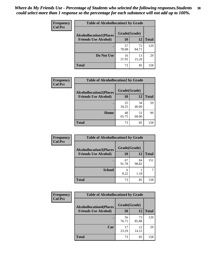| Frequency<br><b>Col Pct</b> | <b>Table of Alcohollocation1 by Grade</b> |              |             |              |  |
|-----------------------------|-------------------------------------------|--------------|-------------|--------------|--|
|                             | <b>Alcohollocation1(Places</b>            | Grade(Grade) |             |              |  |
|                             | <b>Friends Use Alcohol)</b>               | 10           | 12          | <b>Total</b> |  |
|                             |                                           | 57<br>78.08  | 72<br>84.71 | 129          |  |
|                             | Do Not Use                                | 16<br>21.92  | 13<br>15.29 | 29           |  |
|                             | <b>Total</b>                              | 73           | 85          | 158          |  |

| Frequency      | <b>Table of Alcohollocation2 by Grade</b> |              |             |              |
|----------------|-------------------------------------------|--------------|-------------|--------------|
| <b>Col Pct</b> | <b>Alcohollocation2(Places</b>            | Grade(Grade) |             |              |
|                | <b>Friends Use Alcohol)</b>               | 10           | 12          | <b>Total</b> |
|                |                                           | 25<br>34.25  | 34<br>40.00 | 59           |
|                | Home                                      | 48<br>65.75  | 51<br>60.00 | 99           |
|                | <b>Total</b>                              | 73           | 85          | 158          |

| Frequency<br><b>Col Pct</b> | <b>Table of Alcohollocation 3 by Grade</b>                    |                    |             |              |
|-----------------------------|---------------------------------------------------------------|--------------------|-------------|--------------|
|                             | <b>Alcohollocation3(Places</b><br><b>Friends Use Alcohol)</b> | Grade(Grade)<br>10 | 12          | <b>Total</b> |
|                             |                                                               | 67<br>91.78        | 84<br>98.82 | 151          |
|                             | <b>School</b>                                                 | 6<br>8.22          | 1.18        |              |
|                             | <b>Total</b>                                                  | 73                 | 85          | 158          |

| <b>Frequency</b> | <b>Table of Alcohollocation4 by Grade</b> |              |             |              |
|------------------|-------------------------------------------|--------------|-------------|--------------|
| <b>Col Pct</b>   | <b>Alcohollocation4(Places</b>            | Grade(Grade) |             |              |
|                  | <b>Friends Use Alcohol)</b>               | 10           | 12          | <b>Total</b> |
|                  |                                           | 56<br>76.71  | 73<br>85.88 | 129          |
|                  | Car                                       | 17<br>23.29  | 12<br>14.12 | 29           |
|                  | <b>Total</b>                              | 73           | 85          | 158          |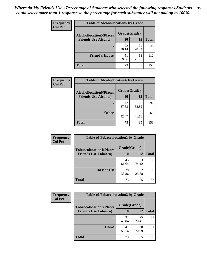| Frequency      | <b>Table of Alcohollocation5 by Grade</b> |              |             |              |
|----------------|-------------------------------------------|--------------|-------------|--------------|
| <b>Col Pct</b> | <b>Alcohollocation5(Places</b>            | Grade(Grade) |             |              |
|                | <b>Friends Use Alcohol)</b>               | 10           | 12          | <b>Total</b> |
|                |                                           | 22<br>30.14  | 24<br>28.24 | 46           |
|                | <b>Friend's House</b>                     | 51<br>69.86  | 61<br>71.76 | 112          |
|                | <b>Total</b>                              | 73           | 85          | 158          |

| <b>Frequency</b> | <b>Table of Alcohollocation6 by Grade</b>                     |                    |             |              |
|------------------|---------------------------------------------------------------|--------------------|-------------|--------------|
| <b>Col Pct</b>   | <b>Alcohollocation6(Places</b><br><b>Friends Use Alcohol)</b> | Grade(Grade)<br>10 | 12          | <b>Total</b> |
|                  |                                                               |                    |             |              |
|                  |                                                               | 42<br>57.53        | 50<br>58.82 | 92           |
|                  | <b>Other</b>                                                  | 31<br>42.47        | 35<br>41.18 | 66           |
|                  | <b>Total</b>                                                  | 73                 | 85          | 158          |

| Frequency      | <b>Table of Tobaccolocation1 by Grade</b> |              |             |              |
|----------------|-------------------------------------------|--------------|-------------|--------------|
| <b>Col Pct</b> | <b>Tobaccolocation1(Places</b>            | Grade(Grade) |             |              |
|                | <b>Friends Use Tobacco)</b>               | 10           | 12          | <b>Total</b> |
|                |                                           | 45<br>61.64  | 63<br>74.12 | 108          |
|                | Do Not Use                                | 28<br>38.36  | 22<br>25.88 | 50           |
|                | <b>Total</b>                              | 73           | 85          | 158          |

| <b>Frequency</b> | <b>Table of Tobaccolocation2 by Grade</b> |              |             |              |
|------------------|-------------------------------------------|--------------|-------------|--------------|
| <b>Col Pct</b>   | <b>Tobaccolocation2(Places</b>            | Grade(Grade) |             |              |
|                  | <b>Friends Use Tobacco)</b>               | 10           | 12          | <b>Total</b> |
|                  |                                           | 32<br>43.84  | 25<br>29.41 | 57           |
|                  | Home                                      | 41<br>56.16  | 60<br>70.59 | 101          |
|                  | <b>Total</b>                              | 73           | 85          | 158          |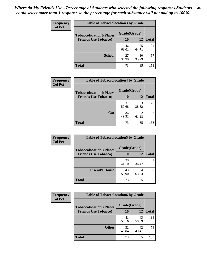| Frequency<br><b>Col Pct</b> | <b>Table of Tobaccolocation 3 by Grade</b> |              |             |              |  |
|-----------------------------|--------------------------------------------|--------------|-------------|--------------|--|
|                             | <b>Tobaccolocation3(Places</b>             | Grade(Grade) |             |              |  |
|                             | <b>Friends Use Tobacco)</b>                | 10           | <b>12</b>   | <b>Total</b> |  |
|                             | ٠                                          | 46<br>63.01  | 55<br>64.71 | 101          |  |
|                             | <b>School</b>                              | 27<br>36.99  | 30<br>35.29 | 57           |  |
|                             | <b>Total</b>                               | 73           | 85          | 158          |  |

| Frequency<br><b>Col Pct</b> | <b>Table of Tobaccolocation4 by Grade</b> |              |             |              |
|-----------------------------|-------------------------------------------|--------------|-------------|--------------|
|                             | <b>Tobaccolocation4(Places</b>            | Grade(Grade) |             |              |
|                             | <b>Friends Use Tobacco)</b>               | 10           | 12          | <b>Total</b> |
|                             |                                           | 37<br>50.68  | 33<br>38.82 | 70           |
|                             | Car                                       | 36<br>49.32  | 52<br>61.18 | 88           |
|                             | <b>Total</b>                              | 73           | 85          | 158          |

| Frequency      | <b>Table of Tobaccolocation5 by Grade</b> |              |             |              |
|----------------|-------------------------------------------|--------------|-------------|--------------|
| <b>Col Pct</b> | <b>Tobaccolocation5(Places</b>            | Grade(Grade) |             |              |
|                | <b>Friends Use Tobacco)</b>               | 10           | <b>12</b>   | <b>Total</b> |
|                |                                           | 30<br>41.10  | 31<br>36.47 | 61           |
|                | <b>Friend's House</b>                     | 43<br>58.90  | 54<br>63.53 | 97           |
|                | <b>Total</b>                              | 73           | 85          | 158          |

| <b>Frequency</b> | <b>Table of Tobaccolocation6 by Grade</b> |              |             |              |  |
|------------------|-------------------------------------------|--------------|-------------|--------------|--|
| <b>Col Pct</b>   | <b>Tobaccolocation6(Places</b>            | Grade(Grade) |             |              |  |
|                  | <b>Friends Use Tobacco)</b>               | 10           | <b>12</b>   | <b>Total</b> |  |
|                  |                                           | 41<br>56.16  | 43<br>50.59 | 84           |  |
|                  | <b>Other</b>                              | 32<br>43.84  | 42<br>49.41 | 74           |  |
|                  | <b>Total</b>                              | 73           | 85          | 158          |  |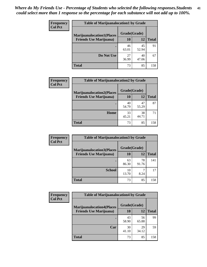| <b>Frequency</b> | <b>Table of Marijuanalocation1 by Grade</b>                        |              |             |              |
|------------------|--------------------------------------------------------------------|--------------|-------------|--------------|
| <b>Col Pct</b>   | <b>Marijuanalocation1(Places</b><br><b>Friends Use Marijuana</b> ) | Grade(Grade) |             |              |
|                  |                                                                    | <b>10</b>    | 12          | <b>Total</b> |
|                  |                                                                    | 46<br>63.01  | 45<br>52.94 | 91           |
|                  | Do Not Use                                                         | 27<br>36.99  | 40<br>47.06 | 67           |
|                  | <b>Total</b>                                                       | 73           | 85          | 158          |

| <b>Frequency</b> | <b>Table of Marijuanalocation2 by Grade</b>                        |                    |             |              |
|------------------|--------------------------------------------------------------------|--------------------|-------------|--------------|
| <b>Col Pct</b>   | <b>Marijuanalocation2(Places</b><br><b>Friends Use Marijuana</b> ) | Grade(Grade)<br>10 | 12          | <b>Total</b> |
|                  |                                                                    | 40<br>54.79        | 47<br>55.29 | 87           |
|                  | Home                                                               | 33<br>45.21        | 38<br>44.71 | 71           |
|                  | <b>Total</b>                                                       | 73                 | 85          | 158          |

| Frequency<br><b>Col Pct</b> | <b>Table of Marijuanalocation3 by Grade</b> |              |             |              |
|-----------------------------|---------------------------------------------|--------------|-------------|--------------|
|                             | <b>Marijuanalocation3</b> (Places           | Grade(Grade) |             |              |
|                             | <b>Friends Use Marijuana</b> )              | <b>10</b>    | 12          | <b>Total</b> |
|                             |                                             | 63<br>86.30  | 78<br>91.76 | 141          |
|                             | <b>School</b>                               | 10<br>13.70  | 8.24        | 17           |
|                             | <b>Total</b>                                | 73           | 85          | 158          |

| <b>Frequency</b> | <b>Table of Marijuanalocation4 by Grade</b> |              |             |              |  |
|------------------|---------------------------------------------|--------------|-------------|--------------|--|
| <b>Col Pct</b>   | <b>Marijuanalocation4(Places</b>            | Grade(Grade) |             |              |  |
|                  | <b>Friends Use Marijuana</b> )              | <b>10</b>    | 12          | <b>Total</b> |  |
|                  |                                             | 43<br>58.90  | 56<br>65.88 | 99           |  |
|                  | Car                                         | 30<br>41.10  | 29<br>34.12 | 59           |  |
|                  | <b>Total</b>                                | 73           | 85          | 158          |  |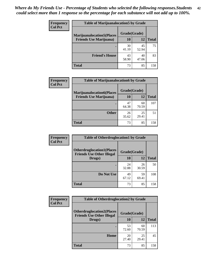| <b>Frequency</b> | <b>Table of Marijuanalocation5 by Grade</b>                         |              |             |              |
|------------------|---------------------------------------------------------------------|--------------|-------------|--------------|
| <b>Col Pct</b>   | <b>Marijuanalocation5(Places)</b><br><b>Friends Use Marijuana</b> ) | Grade(Grade) |             |              |
|                  |                                                                     | 10           | 12          | <b>Total</b> |
|                  |                                                                     | 30<br>41.10  | 45<br>52.94 | 75           |
|                  | <b>Friend's House</b>                                               | 43<br>58.90  | 40<br>47.06 | 83           |
|                  | <b>Total</b>                                                        | 73           | 85          | 158          |

| <b>Frequency</b> | <b>Table of Marijuanalocation6 by Grade</b>                        |                           |             |       |
|------------------|--------------------------------------------------------------------|---------------------------|-------------|-------|
| <b>Col Pct</b>   | <b>Marijuanalocation6(Places</b><br><b>Friends Use Marijuana</b> ) | Grade(Grade)<br><b>10</b> | 12          | Total |
|                  |                                                                    | 47<br>64.38               | 60<br>70.59 | 107   |
|                  | <b>Other</b>                                                       | 26<br>35.62               | 25<br>29.41 | 51    |
|                  | <b>Total</b>                                                       | 73                        | 85          | 158   |

| Frequency      | <b>Table of Otherdruglocation1 by Grade</b>                          |              |             |              |
|----------------|----------------------------------------------------------------------|--------------|-------------|--------------|
| <b>Col Pct</b> | <b>Otherdruglocation1(Places</b><br><b>Friends Use Other Illegal</b> | Grade(Grade) |             |              |
|                | Drugs)                                                               | 10           | 12          | <b>Total</b> |
|                |                                                                      | 24<br>32.88  | 26<br>30.59 | 50           |
|                | Do Not Use                                                           | 49<br>67.12  | 59<br>69.41 | 108          |
|                | <b>Total</b>                                                         | 73           | 85          | 158          |

| Frequency      | <b>Table of Otherdruglocation2 by Grade</b>                                           |             |             |              |
|----------------|---------------------------------------------------------------------------------------|-------------|-------------|--------------|
| <b>Col Pct</b> | <b>Otherdruglocation2(Places)</b><br>Grade(Grade)<br><b>Friends Use Other Illegal</b> |             |             |              |
|                | Drugs)                                                                                | 10          | 12          | <b>Total</b> |
|                |                                                                                       | 53<br>72.60 | 60<br>70.59 | 113          |
|                | Home                                                                                  | 20<br>27.40 | 25<br>29.41 | 45           |
|                | <b>Total</b>                                                                          | 73          | 85          | 158          |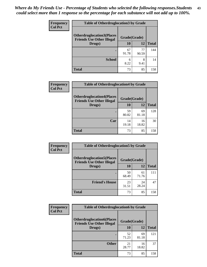| <b>Frequency</b> | <b>Table of Otherdruglocation 3 by Grade</b>                         |              |             |              |
|------------------|----------------------------------------------------------------------|--------------|-------------|--------------|
| <b>Col Pct</b>   | <b>Otherdruglocation3(Places</b><br><b>Friends Use Other Illegal</b> | Grade(Grade) |             |              |
|                  | Drugs)                                                               | 10           | 12          | <b>Total</b> |
|                  |                                                                      | 67<br>91.78  | 77<br>90.59 | 144          |
|                  | <b>School</b>                                                        | 6<br>8.22    | 8<br>9.41   | 14           |
|                  | Total                                                                | 73           | 85          | 158          |

| <b>Frequency</b> | <b>Table of Otherdruglocation4 by Grade</b>                          |              |             |              |
|------------------|----------------------------------------------------------------------|--------------|-------------|--------------|
| <b>Col Pct</b>   | <b>Otherdruglocation4(Places</b><br><b>Friends Use Other Illegal</b> | Grade(Grade) |             |              |
|                  | Drugs)                                                               | 10           | 12          | <b>Total</b> |
|                  |                                                                      | 59<br>80.82  | 69<br>81.18 | 128          |
|                  | Car                                                                  | 14<br>19.18  | 16<br>18.82 | 30           |
|                  | <b>Total</b>                                                         | 73           | 85          | 158          |

| <b>Frequency</b> | <b>Table of Otherdruglocation5 by Grade</b>                          |              |             |              |
|------------------|----------------------------------------------------------------------|--------------|-------------|--------------|
| <b>Col Pct</b>   | <b>Otherdruglocation5(Places</b><br><b>Friends Use Other Illegal</b> | Grade(Grade) |             |              |
|                  | Drugs)                                                               | 10           | 12          | <b>Total</b> |
|                  |                                                                      | 50<br>68.49  | 61<br>71.76 | 111          |
|                  | <b>Friend's House</b>                                                | 23<br>31.51  | 24<br>28.24 | 47           |
|                  | <b>Total</b>                                                         | 73           | 85          | 158          |

| <b>Frequency</b> | <b>Table of Otherdruglocation6 by Grade</b>                          |              |             |              |
|------------------|----------------------------------------------------------------------|--------------|-------------|--------------|
| <b>Col Pct</b>   | <b>Otherdruglocation6(Places</b><br><b>Friends Use Other Illegal</b> | Grade(Grade) |             |              |
|                  | Drugs)                                                               | 10           | 12          | <b>Total</b> |
|                  |                                                                      | 52<br>71.23  | 69<br>81.18 | 121          |
|                  | <b>Other</b>                                                         | 21<br>28.77  | 16<br>18.82 | 37           |
|                  | <b>Total</b>                                                         | 73           | 85          | 158          |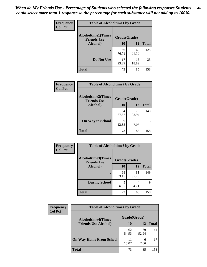| Frequency      | <b>Table of Alcoholtime1 by Grade</b>           |              |             |              |
|----------------|-------------------------------------------------|--------------|-------------|--------------|
| <b>Col Pct</b> | <b>Alcoholtime1(Times</b><br><b>Friends Use</b> | Grade(Grade) |             |              |
|                | Alcohol)                                        | 10           | <b>12</b>   | <b>Total</b> |
|                |                                                 | 56<br>76.71  | 69<br>81.18 | 125          |
|                | Do Not Use                                      | 17<br>23.29  | 16<br>18.82 | 33           |
|                | <b>Total</b>                                    | 73           | 85          | 158          |

| Frequency      | <b>Table of Alcoholtime2 by Grade</b>           |              |             |              |  |
|----------------|-------------------------------------------------|--------------|-------------|--------------|--|
| <b>Col Pct</b> | <b>Alcoholtime2(Times</b><br><b>Friends Use</b> | Grade(Grade) |             |              |  |
|                | Alcohol)                                        | 10           | 12          | <b>Total</b> |  |
|                |                                                 | 64<br>87.67  | 79<br>92.94 | 143          |  |
|                | <b>On Way to School</b>                         | q<br>12.33   | 6<br>7.06   | 15           |  |
|                | <b>Total</b>                                    | 73           | 85          | 158          |  |

| Frequency      | <b>Table of Alcoholtime3 by Grade</b>           |              |             |              |  |
|----------------|-------------------------------------------------|--------------|-------------|--------------|--|
| <b>Col Pct</b> | <b>Alcoholtime3(Times</b><br><b>Friends Use</b> | Grade(Grade) |             |              |  |
|                | Alcohol)                                        | 10           | <b>12</b>   | <b>Total</b> |  |
|                |                                                 | 68<br>93.15  | 81<br>95.29 | 149          |  |
|                | <b>During School</b>                            | 5<br>6.85    | 4<br>4.71   | 9            |  |
|                | <b>Total</b>                                    | 73           | 85          | 158          |  |

| <b>Frequency</b> | <b>Table of Alcoholtime4 by Grade</b> |              |             |              |  |
|------------------|---------------------------------------|--------------|-------------|--------------|--|
| <b>Col Pct</b>   | <b>Alcoholtime4(Times</b>             | Grade(Grade) |             |              |  |
|                  | <b>Friends Use Alcohol)</b>           | 10           | 12          | <b>Total</b> |  |
|                  | ٠                                     | 62<br>84.93  | 79<br>92.94 | 141          |  |
|                  | <b>On Way Home From School</b>        | 11<br>15.07  | 6<br>7.06   | 17           |  |
|                  | <b>Total</b>                          | 73           | 85          | 158          |  |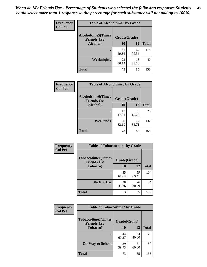*When do My Friends Use - Percentage of Students who selected the following responses.Students could select more than 1 response so the percentage for each substance will not add up to 100%.* **45**

| Frequency      | <b>Table of Alcoholtime5 by Grade</b>           |              |             |              |
|----------------|-------------------------------------------------|--------------|-------------|--------------|
| <b>Col Pct</b> | <b>Alcoholtime5(Times</b><br><b>Friends Use</b> | Grade(Grade) |             |              |
|                | Alcohol)                                        | 10           | <b>12</b>   | <b>Total</b> |
|                |                                                 | 51<br>69.86  | 67<br>78.82 | 118          |
|                | <b>Weeknights</b>                               | 22<br>30.14  | 18<br>21.18 | 40           |
|                | <b>Total</b>                                    | 73           | 85          | 158          |

| Frequency      | <b>Table of Alcoholtime6 by Grade</b>           |              |             |              |
|----------------|-------------------------------------------------|--------------|-------------|--------------|
| <b>Col Pct</b> | <b>Alcoholtime6(Times</b><br><b>Friends Use</b> | Grade(Grade) |             |              |
|                | Alcohol)                                        | 10           | 12          | <b>Total</b> |
|                |                                                 | 13<br>17.81  | 13<br>15.29 | 26           |
|                | Weekends                                        | 60<br>82.19  | 72<br>84.71 | 132          |
|                | <b>Total</b>                                    | 73           | 85          | 158          |

| Frequency      | <b>Table of Tobaccotime1 by Grade</b>           |              |             |              |
|----------------|-------------------------------------------------|--------------|-------------|--------------|
| <b>Col Pct</b> | <b>Tobaccotime1(Times</b><br><b>Friends Use</b> | Grade(Grade) |             |              |
|                | <b>Tobacco</b> )                                | 10           | 12          | <b>Total</b> |
|                | ٠                                               | 45<br>61.64  | 59<br>69.41 | 104          |
|                | Do Not Use                                      | 28<br>38.36  | 26<br>30.59 | 54           |
|                | <b>Total</b>                                    | 73           | 85          | 158          |

| Frequency      | <b>Table of Tobaccotime2 by Grade</b>           |              |             |              |
|----------------|-------------------------------------------------|--------------|-------------|--------------|
| <b>Col Pct</b> | <b>Tobaccotime2(Times</b><br><b>Friends Use</b> | Grade(Grade) |             |              |
|                | <b>Tobacco</b> )                                | 10           | 12          | <b>Total</b> |
|                |                                                 | 44<br>60.27  | 34<br>40.00 | 78           |
|                | <b>On Way to School</b>                         | 29<br>39.73  | 51<br>60.00 | 80           |
|                | <b>Total</b>                                    | 73           | 85          | 158          |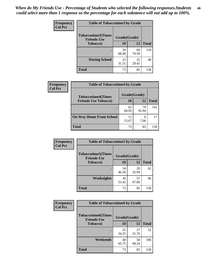| Frequency      | <b>Table of Tobaccotime3 by Grade</b>           |              |             |              |
|----------------|-------------------------------------------------|--------------|-------------|--------------|
| <b>Col Pct</b> | <b>Tobaccotime3(Times</b><br><b>Friends Use</b> | Grade(Grade) |             |              |
|                | <b>Tobacco</b> )                                | 10           | <b>12</b>   | <b>Total</b> |
|                | ٠                                               | 50<br>68.49  | 60<br>70.59 | 110          |
|                | <b>During School</b>                            | 23<br>31.51  | 25<br>29.41 | 48           |
|                | <b>Total</b>                                    | 73           | 85          | 158          |

| <b>Frequency</b><br><b>Col Pct</b> | <b>Table of Tobaccotime4 by Grade</b> |              |             |              |  |
|------------------------------------|---------------------------------------|--------------|-------------|--------------|--|
|                                    | <b>Tobaccotime4(Times</b>             | Grade(Grade) |             |              |  |
|                                    | <b>Friends Use Tobacco)</b>           | 10           | 12          | <b>Total</b> |  |
|                                    |                                       | 62<br>84.93  | 79<br>92.94 | 141          |  |
|                                    | <b>On Way Home From School</b>        | 15.07        | 6<br>7.06   | 17           |  |
|                                    | <b>Total</b>                          | 73           | 85          | 158          |  |

| Frequency      | <b>Table of Tobaccotime5 by Grade</b>           |              |             |              |
|----------------|-------------------------------------------------|--------------|-------------|--------------|
| <b>Col Pct</b> | <b>Tobaccotime5(Times</b><br><b>Friends Use</b> | Grade(Grade) |             |              |
|                | <b>Tobacco</b> )                                | 10           | 12          | <b>Total</b> |
|                |                                                 | 34<br>46.58  | 28<br>32.94 | 62           |
|                | Weeknights                                      | 39<br>53.42  | 57<br>67.06 | 96           |
|                | <b>Total</b>                                    | 73           | 85          | 158          |

| <b>Frequency</b> | <b>Table of Tobaccotime6 by Grade</b>           |              |             |              |
|------------------|-------------------------------------------------|--------------|-------------|--------------|
| <b>Col Pct</b>   | <b>Tobaccotime6(Times</b><br><b>Friends Use</b> | Grade(Grade) |             |              |
|                  | <b>Tobacco</b> )                                | 10           | 12          | <b>Total</b> |
|                  | ٠                                               | 25<br>34.25  | 27<br>31.76 | 52           |
|                  | Weekends                                        | 48<br>65.75  | 58<br>68.24 | 106          |
|                  | <b>Total</b>                                    | 73           | 85          | 158          |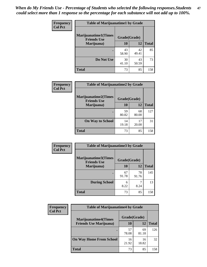| <b>Frequency</b><br><b>Col Pct</b> | <b>Table of Marijuanatime1 by Grade</b>           |              |             |              |
|------------------------------------|---------------------------------------------------|--------------|-------------|--------------|
|                                    | <b>Marijuanatime1(Times</b><br><b>Friends Use</b> | Grade(Grade) |             |              |
|                                    | Marijuana)                                        | 10           | 12          | <b>Total</b> |
|                                    |                                                   | 43<br>58.90  | 42<br>49.41 | 85           |
|                                    | Do Not Use                                        | 30<br>41.10  | 43<br>50.59 | 73           |
|                                    | <b>Total</b>                                      | 73           | 85          | 158          |

| Frequency      | <b>Table of Marijuanatime2 by Grade</b>           |              |             |              |
|----------------|---------------------------------------------------|--------------|-------------|--------------|
| <b>Col Pct</b> | <b>Marijuanatime2(Times</b><br><b>Friends Use</b> | Grade(Grade) |             |              |
|                | Marijuana)                                        | 10           | 12          | <b>Total</b> |
|                |                                                   | 59<br>80.82  | 68<br>80.00 | 127          |
|                | <b>On Way to School</b>                           | 14<br>19.18  | 17<br>20.00 | 31           |
|                | <b>Total</b>                                      | 73           | 85          | 158          |

| Frequency      | <b>Table of Marijuanatime3 by Grade</b>    |              |             |              |
|----------------|--------------------------------------------|--------------|-------------|--------------|
| <b>Col Pct</b> | Marijuanatime3(Times<br><b>Friends Use</b> | Grade(Grade) |             |              |
|                | Marijuana)                                 | 10           | 12          | <b>Total</b> |
|                |                                            | 67<br>91.78  | 78<br>91.76 | 145          |
|                | <b>During School</b>                       | 6<br>8.22    | 8.24        | 13           |
|                | <b>Total</b>                               | 73           | 85          | 158          |

| <b>Frequency</b> | <b>Table of Marijuanatime4 by Grade</b> |              |             |              |
|------------------|-----------------------------------------|--------------|-------------|--------------|
| <b>Col Pct</b>   | <b>Marijuanatime4(Times</b>             | Grade(Grade) |             |              |
|                  | <b>Friends Use Marijuana</b> )          | 10           | 12          | <b>Total</b> |
|                  |                                         | 57<br>78.08  | 69<br>81.18 | 126          |
|                  | <b>On Way Home From School</b>          | 16<br>21.92  | 16<br>18.82 | 32           |
|                  | <b>Total</b>                            | 73           | 85          | 158          |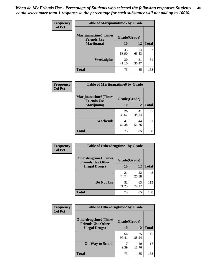| Frequency      | <b>Table of Marijuanatime5 by Grade</b>            |              |             |              |
|----------------|----------------------------------------------------|--------------|-------------|--------------|
| <b>Col Pct</b> | <b>Marijuanatime5</b> (Times<br><b>Friends Use</b> | Grade(Grade) |             |              |
|                | Marijuana)                                         | 10           | 12          | <b>Total</b> |
|                |                                                    | 43<br>58.90  | 54<br>63.53 | 97           |
|                | Weeknights                                         | 30<br>41.10  | 31<br>36.47 | 61           |
|                | <b>Total</b>                                       | 73           | 85          | 158          |

| Frequency      | <b>Table of Marijuanatime6 by Grade</b>            |              |             |              |  |
|----------------|----------------------------------------------------|--------------|-------------|--------------|--|
| <b>Col Pct</b> | <b>Marijuanatime6</b> (Times<br><b>Friends Use</b> | Grade(Grade) |             |              |  |
|                | Marijuana)                                         | 10           | 12          | <b>Total</b> |  |
|                |                                                    | 26<br>35.62  | 41<br>48.24 | 67           |  |
|                | Weekends                                           | 47<br>64.38  | 44<br>51.76 | 91           |  |
|                | <b>Total</b>                                       | 73           | 85          | 158          |  |

| Frequency      | <b>Table of Otherdrugtime1 by Grade</b>                 |              |             |              |
|----------------|---------------------------------------------------------|--------------|-------------|--------------|
| <b>Col Pct</b> | <b>Otherdrugtime1(Times</b><br><b>Friends Use Other</b> | Grade(Grade) |             |              |
|                | <b>Illegal Drugs</b> )                                  | 10           | 12          | <b>Total</b> |
|                |                                                         | 21<br>28.77  | 22<br>25.88 | 43           |
|                | Do Not Use                                              | 52<br>71.23  | 63<br>74.12 | 115          |
|                | <b>Total</b>                                            | 73           | 85          | 158          |

| <b>Frequency</b><br><b>Col Pct</b> | <b>Table of Otherdrugtime2 by Grade</b>                 |              |             |              |
|------------------------------------|---------------------------------------------------------|--------------|-------------|--------------|
|                                    | <b>Otherdrugtime2(Times</b><br><b>Friends Use Other</b> | Grade(Grade) |             |              |
|                                    | <b>Illegal Drugs</b> )                                  | 10           | 12          | <b>Total</b> |
|                                    |                                                         | 66<br>90.41  | 75<br>88.24 | 141          |
|                                    | <b>On Way to School</b>                                 | 9.59         | 10<br>11.76 | 17           |
|                                    | <b>Total</b>                                            | 73           | 85          | 158          |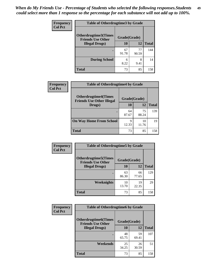| <b>Frequency</b> | <b>Table of Otherdrugtime3 by Grade</b>          |              |             |              |
|------------------|--------------------------------------------------|--------------|-------------|--------------|
| <b>Col Pct</b>   | Otherdrugtime3(Times<br><b>Friends Use Other</b> | Grade(Grade) |             |              |
|                  | <b>Illegal Drugs</b> )                           | 10           | 12          | <b>Total</b> |
|                  |                                                  | 67<br>91.78  | 77<br>90.59 | 144          |
|                  | <b>During School</b>                             | 6<br>8.22    | 8<br>9.41   | 14           |
|                  | Total                                            | 73           | 85          | 158          |

| Frequency      | <b>Table of Otherdrugtime4 by Grade</b>                         |              |             |              |
|----------------|-----------------------------------------------------------------|--------------|-------------|--------------|
| <b>Col Pct</b> | <b>Otherdrugtime4(Times</b><br><b>Friends Use Other Illegal</b> | Grade(Grade) |             |              |
|                | Drugs)                                                          | 10           | 12          | <b>Total</b> |
|                | ٠                                                               | 64<br>87.67  | 75<br>88.24 | 139          |
|                | <b>On Way Home From School</b>                                  | 9<br>12.33   | 10<br>11.76 | 19           |
|                | <b>Total</b>                                                    | 73           | 85          | 158          |

| <b>Frequency</b> | <b>Table of Otherdrugtime5 by Grade</b>                  |              |             |              |  |  |  |
|------------------|----------------------------------------------------------|--------------|-------------|--------------|--|--|--|
| <b>Col Pct</b>   | <b>Otherdrugtime5</b> (Times<br><b>Friends Use Other</b> | Grade(Grade) |             |              |  |  |  |
|                  | <b>Illegal Drugs</b> )                                   | 10           | 12          | <b>Total</b> |  |  |  |
|                  |                                                          | 63<br>86.30  | 66<br>77.65 | 129          |  |  |  |
|                  | Weeknights                                               | 10<br>13.70  | 19<br>22.35 | 29           |  |  |  |
|                  | <b>Total</b>                                             | 73           | 85          | 158          |  |  |  |

| Frequency      | <b>Table of Otherdrugtime6 by Grade</b>                                 |             |             |              |  |  |
|----------------|-------------------------------------------------------------------------|-------------|-------------|--------------|--|--|
| <b>Col Pct</b> | <b>Otherdrugtime6(Times</b><br>Grade(Grade)<br><b>Friends Use Other</b> |             |             |              |  |  |
|                | <b>Illegal Drugs)</b>                                                   | 10          | 12          | <b>Total</b> |  |  |
|                |                                                                         | 48<br>65.75 | 59<br>69.41 | 107          |  |  |
|                | Weekends                                                                | 25<br>34.25 | 26<br>30.59 | 51           |  |  |
|                | <b>Total</b>                                                            | 73          | 85          | 158          |  |  |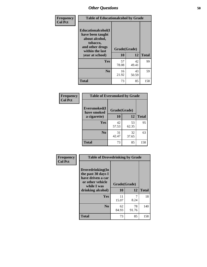| Frequency      | <b>Table of Educationalcohol by Grade</b>                                                                  |              |             |              |  |  |  |
|----------------|------------------------------------------------------------------------------------------------------------|--------------|-------------|--------------|--|--|--|
| <b>Col Pct</b> | Educationalcohol(I<br>have been taught<br>about alcohol,<br>tobacco,<br>and other drugs<br>within the last | Grade(Grade) |             |              |  |  |  |
|                | year at school)                                                                                            | 10           | 12          | <b>Total</b> |  |  |  |
|                | Yes                                                                                                        | 57<br>78.08  | 42<br>49.41 | 99           |  |  |  |
|                | N <sub>0</sub>                                                                                             | 16<br>21.92  | 43<br>50.59 | 59           |  |  |  |
|                | <b>Total</b>                                                                                               | 73           | 85          | 158          |  |  |  |

| Frequency      | <b>Table of Eversmoked by Grade</b> |              |             |              |  |  |  |
|----------------|-------------------------------------|--------------|-------------|--------------|--|--|--|
| <b>Col Pct</b> | Eversmoked(I<br>have smoked         | Grade(Grade) |             |              |  |  |  |
|                | a cigarette)                        | 10           | 12          | <b>Total</b> |  |  |  |
|                | Yes                                 | 42<br>57.53  | 53<br>62.35 | 95           |  |  |  |
|                | N <sub>0</sub>                      | 31<br>42.47  | 32<br>37.65 | 63           |  |  |  |
|                | <b>Total</b>                        | 73           | 85          | 158          |  |  |  |

| Frequency      | <b>Table of Drovedrinking by Grade</b>                                                                              |                    |             |              |  |  |  |
|----------------|---------------------------------------------------------------------------------------------------------------------|--------------------|-------------|--------------|--|--|--|
| <b>Col Pct</b> | Drovedrinking(In<br>the past 30 days I<br>have driven a car<br>or other vehicle<br>while I was<br>drinking alcohol) | Grade(Grade)<br>10 | 12          | <b>Total</b> |  |  |  |
|                | <b>Yes</b>                                                                                                          | 11<br>15.07        | 8.24        | 18           |  |  |  |
|                | N <sub>0</sub>                                                                                                      | 62<br>84.93        | 78<br>91.76 | 140          |  |  |  |
|                | <b>Total</b>                                                                                                        | 73                 | 85          | 158          |  |  |  |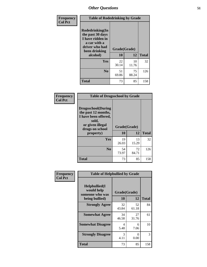| Frequency      | <b>Table of Rodedrinking by Grade</b>                                                                      |              |             |              |  |  |  |
|----------------|------------------------------------------------------------------------------------------------------------|--------------|-------------|--------------|--|--|--|
| <b>Col Pct</b> | Rodedrinking(In<br>the past 30 days<br>I have ridden in<br>a car with a<br>driver who had<br>been drinking | Grade(Grade) |             |              |  |  |  |
|                | alcohol)                                                                                                   | 10           | 12          | <b>Total</b> |  |  |  |
|                | <b>Yes</b>                                                                                                 | 22<br>30.14  | 10<br>11.76 | 32           |  |  |  |
|                | N <sub>0</sub>                                                                                             | 51<br>69.86  | 75<br>88.24 | 126          |  |  |  |
|                | <b>Total</b>                                                                                               | 73           | 85          | 158          |  |  |  |

#### **Frequency Col Pct**

| <b>Table of Drugsschool by Grade</b>                                                                                      |              |             |              |  |  |  |
|---------------------------------------------------------------------------------------------------------------------------|--------------|-------------|--------------|--|--|--|
| <b>Drugsschool</b> (During<br>the past 12 months,<br>I have been offered,<br>sold,<br>or given illegal<br>drugs on school | Grade(Grade) |             |              |  |  |  |
| property)                                                                                                                 | 10           | 12          | <b>Total</b> |  |  |  |
| Yes                                                                                                                       | 19<br>26.03  | 13<br>15.29 | 32           |  |  |  |
| N <sub>0</sub>                                                                                                            | 54<br>73.97  | 72<br>84.71 | 126          |  |  |  |
| Total                                                                                                                     | 73           | 85          | 158          |  |  |  |

| Frequency      | <b>Table of Helpbullied by Grade</b>                 |                    |              |     |  |  |  |  |
|----------------|------------------------------------------------------|--------------------|--------------|-----|--|--|--|--|
| <b>Col Pct</b> | $Helpb$ ullied $(I$<br>would help<br>someone who was | Grade(Grade)<br>10 | <b>Total</b> |     |  |  |  |  |
|                | being bullied)                                       |                    | 12           |     |  |  |  |  |
|                | <b>Strongly Agree</b>                                | 32<br>43.84        | 52<br>61.18  | 84  |  |  |  |  |
|                | <b>Somewhat Agree</b>                                | 34<br>46.58        | 27<br>31.76  | 61  |  |  |  |  |
|                | <b>Somewhat Disagree</b>                             | 4<br>5.48          | 6<br>7.06    | 10  |  |  |  |  |
|                | <b>Strongly Disagree</b>                             | 3<br>4.11          | 0<br>0.00    | 3   |  |  |  |  |
|                | Total                                                | 73                 | 85           | 158 |  |  |  |  |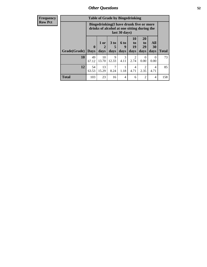| Frequency<br>Row Pct |
|----------------------|
|                      |

| <b>Table of Grade by Bingedrinking</b> |                             |                                                                                                         |                |                          |                        |                               |                   |              |
|----------------------------------------|-----------------------------|---------------------------------------------------------------------------------------------------------|----------------|--------------------------|------------------------|-------------------------------|-------------------|--------------|
|                                        |                             | Bingedrinking(I have drunk five or more<br>drinks of alcohol at one sitting during the<br>last 30 days) |                |                          |                        |                               |                   |              |
| Grade(Grade)                           | $\mathbf{0}$<br><b>Days</b> | 1 or<br>2<br>days                                                                                       | $3$ to<br>days | <b>6 to</b><br>9<br>days | 10<br>to<br>19<br>days | <b>20</b><br>to<br>29<br>days | All<br>30<br>days | <b>Total</b> |
| 10                                     | 49<br>67.12                 | 10<br>13.70                                                                                             | 9<br>12.33     | 3<br>4.11                | $\mathfrak{D}$<br>2.74 | 0<br>0.00                     | 0.00              | 73           |
| 12                                     | 54<br>63.53                 | 13<br>15.29                                                                                             | 8.24           | 1.18                     | 4<br>4.71              | $\overline{2}$<br>2.35        | 4<br>4.71         | 85           |
| <b>Total</b>                           | 103                         | 23                                                                                                      | 16             | 4                        | 6                      | $\overline{2}$                | 4                 | 158          |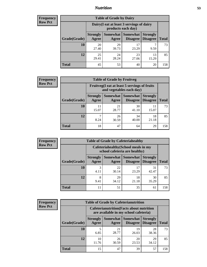### *Nutrition* **53**

| <b>Frequency</b><br>Row Pct |
|-----------------------------|
|                             |

| <b>Table of Grade by Dairy</b> |                                                                                                                                    |                                                                 |             |             |     |  |  |
|--------------------------------|------------------------------------------------------------------------------------------------------------------------------------|-----------------------------------------------------------------|-------------|-------------|-----|--|--|
|                                |                                                                                                                                    | Dairy (I eat at least 3 servings of dairy<br>products each day) |             |             |     |  |  |
| Grade(Grade)                   | Somewhat<br><b>Somewhat</b><br><b>Strongly</b><br><b>Strongly</b><br><b>Disagree</b><br>Agree<br>Disagree<br><b>Total</b><br>Agree |                                                                 |             |             |     |  |  |
| 10                             | 20<br>27.40                                                                                                                        | 29<br>39.73                                                     | 17<br>23.29 | 9.59        | 73  |  |  |
| 12                             | 25<br>29.41                                                                                                                        | 24<br>28.24                                                     | 23<br>27.06 | 13<br>15.29 | 85  |  |  |
| <b>Total</b>                   | 45                                                                                                                                 | 53                                                              | 40          | 20          | 158 |  |  |

| <b>Frequency</b> |  |
|------------------|--|
| <b>Row Pct</b>   |  |

| 'V | <b>Table of Grade by Fruitveg</b> |                                                                          |                     |                             |                                    |              |  |
|----|-----------------------------------|--------------------------------------------------------------------------|---------------------|-----------------------------|------------------------------------|--------------|--|
|    |                                   | Fruitveg(I eat at least 5 servings of fruits<br>and vegetables each day) |                     |                             |                                    |              |  |
|    | Grade(Grade)                      | <b>Strongly</b><br>Agree                                                 | Somewhat  <br>Agree | <b>Somewhat</b><br>Disagree | <b>Strongly</b><br><b>Disagree</b> | <b>Total</b> |  |
|    | <b>10</b>                         | 11<br>15.07                                                              | 21<br>28.77         | 30<br>41.10                 | 15.07                              | 73           |  |
|    | 12                                | 8.24                                                                     | 26<br>30.59         | 34<br>40.00                 | 18<br>21.18                        | 85           |  |
|    | Total                             | 18                                                                       | 47                  | 64                          | 29                                 | 158          |  |

| <b>Frequency</b> | <b>Table of Grade by Cafeteriahealthy</b>                             |                          |             |                                      |                                    |              |  |
|------------------|-----------------------------------------------------------------------|--------------------------|-------------|--------------------------------------|------------------------------------|--------------|--|
| <b>Row Pct</b>   | Cafeteriahealthy (School meals in my<br>school cafeteria are healthy) |                          |             |                                      |                                    |              |  |
|                  | Grade(Grade)                                                          | <b>Strongly</b><br>Agree | Agree       | Somewhat Somewhat<br><b>Disagree</b> | <b>Strongly</b><br><b>Disagree</b> | <b>Total</b> |  |
|                  | 10                                                                    | 3<br>4.11                | 22<br>30.14 | 17<br>23.29                          | 31<br>42.47                        | 73           |  |
|                  | 12                                                                    | 8<br>9.41                | 29<br>34.12 | 18<br>21.18                          | 30<br>35.29                        | 85           |  |
|                  | <b>Total</b>                                                          | 11                       | 51          | 35                                   | 61                                 | 158          |  |

| <b>Frequency</b> |
|------------------|
| <b>Row Pct</b>   |

| <b>Table of Grade by Cafeterianutrition</b> |                          |                                                                                           |                             |                                    |              |  |  |
|---------------------------------------------|--------------------------|-------------------------------------------------------------------------------------------|-----------------------------|------------------------------------|--------------|--|--|
|                                             |                          | <b>Cafeterianutrition</b> (Facts about nutrition<br>are available in my school cafeteria) |                             |                                    |              |  |  |
| Grade(Grade)                                | <b>Strongly</b><br>Agree | Somewhat<br>Agree                                                                         | <b>Somewhat</b><br>Disagree | <b>Strongly</b><br><b>Disagree</b> | <b>Total</b> |  |  |
| 10                                          | 5<br>6.85                | 21<br>28.77                                                                               | 19<br>26.03                 | 28<br>38.36                        | 73           |  |  |
| 12                                          | 10<br>11.76              | 26<br>30.59                                                                               | 20<br>23.53                 | 29<br>34.12                        | 85           |  |  |
| <b>Total</b>                                | 15                       | 47                                                                                        | 39                          | 57                                 | 158          |  |  |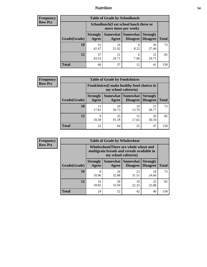### *Nutrition* **54**

| Frequency |
|-----------|
| Row Pct   |

| <b>Table of Grade by Schoollunch</b> |                          |                                                                 |                      |                                    |              |  |  |
|--------------------------------------|--------------------------|-----------------------------------------------------------------|----------------------|------------------------------------|--------------|--|--|
|                                      |                          | Schoollunch(I eat school lunch three or<br>more times per week) |                      |                                    |              |  |  |
| Grade(Grade)                         | <b>Strongly</b><br>Agree | Somewhat  <br>Agree                                             | Somewhat<br>Disagree | <b>Strongly</b><br><b>Disagree</b> | <b>Total</b> |  |  |
| 10                                   | 31<br>42.47              | 16<br>21.92                                                     | 6<br>8.22            | 20<br>27.40                        | 73           |  |  |
| 12                                   | 37<br>43.53              | 21<br>24.71                                                     | 6<br>7.06            | 21<br>24.71                        | 85           |  |  |
| <b>Total</b>                         | 68                       | 37                                                              | 12                   | 41                                 | 158          |  |  |

| <b>Frequency</b> |  |
|------------------|--|
| <b>Row Pct</b>   |  |

| <b>Table of Grade by Foodchoices</b>                                       |                          |             |                     |                                        |              |  |  |
|----------------------------------------------------------------------------|--------------------------|-------------|---------------------|----------------------------------------|--------------|--|--|
| <b>Foodchoices</b> (I make healthy food choices in<br>my school cafeteria) |                          |             |                     |                                        |              |  |  |
| Grade(Grade)                                                               | <b>Strongly</b><br>Agree | Agree       | Somewhat   Somewhat | <b>Strongly</b><br>Disagree   Disagree | <b>Total</b> |  |  |
| 10                                                                         | 13<br>17.81              | 29<br>39.73 | 10<br>13.70         | 21<br>28.77                            | 73           |  |  |
| 12                                                                         | 9<br>10.59               | 35<br>41.18 | 15<br>17.65         | 26<br>30.59                            | 85           |  |  |
| Total                                                                      | 22                       | 64          | 25                  | 47                                     | 158          |  |  |

| <b>Frequency</b> |
|------------------|
| <b>Row Pct</b>   |

г

| <b>Table of Grade by Wholewheat</b> |                                                                                                             |                     |                             |                                    |              |  |  |
|-------------------------------------|-------------------------------------------------------------------------------------------------------------|---------------------|-----------------------------|------------------------------------|--------------|--|--|
|                                     | Wholewheat (There are whole wheat and<br>multigrain breads and cereals available in<br>my school cafeteria) |                     |                             |                                    |              |  |  |
| Grade(Grade)                        | <b>Strongly</b><br>Agree                                                                                    | Somewhat  <br>Agree | <b>Somewhat</b><br>Disagree | <b>Strongly</b><br><b>Disagree</b> | <b>Total</b> |  |  |
| 10                                  | 8<br>10.96                                                                                                  | 24<br>32.88         | 23<br>31.51                 | 18<br>24.66                        | 73           |  |  |
| 12                                  | 16<br>18.82                                                                                                 | 28<br>32.94         | 19<br>22.35                 | 22<br>25.88                        | 85           |  |  |
| <b>Total</b>                        | 24                                                                                                          | 52                  | 42                          | 40                                 | 158          |  |  |

٦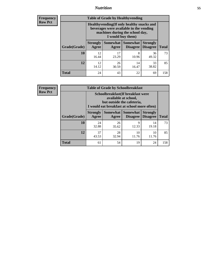### *Nutrition* **55**

**Frequency Row Pct**

| <b>Table of Grade by Healthyvending</b> |                                                                                                                                               |                          |                                    |                                    |              |  |  |
|-----------------------------------------|-----------------------------------------------------------------------------------------------------------------------------------------------|--------------------------|------------------------------------|------------------------------------|--------------|--|--|
|                                         | Healthyvending (If only healthy snacks and<br>beverages were available in the vending<br>machines during the school day,<br>I would buy them) |                          |                                    |                                    |              |  |  |
| Grade(Grade)                            | <b>Strongly</b><br>Agree                                                                                                                      | <b>Somewhat</b><br>Agree | <b>Somewhat</b><br><b>Disagree</b> | <b>Strongly</b><br><b>Disagree</b> | <b>Total</b> |  |  |
| 10                                      | 12<br>16.44                                                                                                                                   | 17<br>23.29              | 8<br>10.96                         | 36<br>49.32                        | 73           |  |  |
| 12                                      | 12<br>14.12                                                                                                                                   | 26<br>30.59              | 14<br>16.47                        | 33<br>38.82                        | 85           |  |  |
| <b>Total</b>                            | 24                                                                                                                                            | 43                       | 22                                 | 69                                 | 158          |  |  |

**Frequency Row Pct**

| <b>Table of Grade by Schoolbreakfast</b> |                                                                                                                                         |             |                                        |                                    |              |  |
|------------------------------------------|-----------------------------------------------------------------------------------------------------------------------------------------|-------------|----------------------------------------|------------------------------------|--------------|--|
|                                          | Schoolbreakfast (If breakfast were<br>available at school,<br>but outside the cafeteria,<br>I would eat breakfast at school more often) |             |                                        |                                    |              |  |
| Grade(Grade)                             | <b>Strongly</b><br>Agree                                                                                                                | Agree       | Somewhat   Somewhat<br><b>Disagree</b> | <b>Strongly</b><br><b>Disagree</b> | <b>Total</b> |  |
| 10                                       | 24<br>32.88                                                                                                                             | 26<br>35.62 | 9<br>12.33                             | 14<br>19.18                        | 73           |  |
| 12                                       | 37<br>43.53                                                                                                                             | 28<br>32.94 | 10<br>11.76                            | 10<br>11.76                        | 85           |  |
| <b>Total</b>                             | 61                                                                                                                                      | 54          | 19                                     | 24                                 | 158          |  |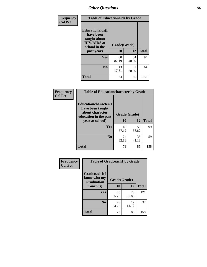| Frequency<br><b>Col Pct</b> | <b>Table of Educationaids by Grade</b>                                                                    |                          |             |              |
|-----------------------------|-----------------------------------------------------------------------------------------------------------|--------------------------|-------------|--------------|
|                             | <b>Educationaids</b> (I<br>have been<br>taught about<br><b>HIV/AIDS</b> at<br>school in the<br>past year) | Grade(Grade)<br>10<br>12 |             | <b>Total</b> |
|                             |                                                                                                           |                          |             |              |
|                             | Yes                                                                                                       | 60<br>82.19              | 34<br>40.00 | 94           |
|                             | N <sub>0</sub>                                                                                            | 13<br>17.81              | 51<br>60.00 | 64           |
|                             | <b>Total</b>                                                                                              | 73                       | 85          | 158          |

| Frequency      | <b>Table of Educationcharacter by Grade</b>                                          |              |             |              |  |
|----------------|--------------------------------------------------------------------------------------|--------------|-------------|--------------|--|
| <b>Col Pct</b> | Educationcharacter(I<br>have been taught<br>about character<br>education in the past | Grade(Grade) |             |              |  |
|                | year at school)                                                                      | 10           | 12          | <b>Total</b> |  |
|                | Yes                                                                                  | 49<br>67.12  | 50<br>58.82 | 99           |  |
|                | N <sub>0</sub>                                                                       | 24<br>32.88  | 35<br>41.18 | 59           |  |
|                | <b>Total</b>                                                                         | 73           | 85          | 158          |  |

| Frequency      | <b>Table of Gradcoach1 by Grade</b> |              |             |              |
|----------------|-------------------------------------|--------------|-------------|--------------|
| <b>Col Pct</b> | Gradcoach1(I<br>know who my         | Grade(Grade) |             |              |
|                | <b>Graduation</b><br>Coach is)      | 10           | 12          | <b>Total</b> |
|                | Yes                                 | 48<br>65.75  | 73<br>85.88 | 121          |
|                | N <sub>0</sub>                      | 25<br>34.25  | 12<br>14.12 | 37           |
|                | <b>Total</b>                        | 73           | 85          | 158          |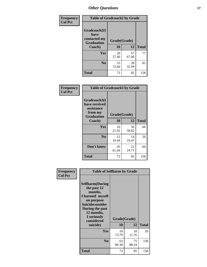| Frequency      | <b>Table of Gradcoach2 by Grade</b>                       |              |             |              |
|----------------|-----------------------------------------------------------|--------------|-------------|--------------|
| <b>Col Pct</b> | Gradcoach2(I<br>have<br>contacted my<br><b>Graduation</b> | Grade(Grade) |             |              |
|                | Coach)                                                    | 10           | 12          | <b>Total</b> |
|                | Yes                                                       | 20<br>27.40  | 57<br>67.06 | 77           |
|                | N <sub>0</sub>                                            | 53<br>72.60  | 28<br>32.94 | 81           |
|                | <b>Total</b>                                              | 73           | 85          | 158          |

| Frequency<br><b>Col Pct</b> | <b>Table of Gradcoach3 by Grade</b>                                         |              |             |              |
|-----------------------------|-----------------------------------------------------------------------------|--------------|-------------|--------------|
|                             | Gradcoach3(I<br>have received<br>assistance<br>from my<br><b>Graduation</b> | Grade(Grade) |             |              |
|                             | Coach)                                                                      | 10           | 12          | <b>Total</b> |
|                             | Yes                                                                         | 16<br>21.92  | 50<br>58.82 | 66           |
|                             | N <sub>0</sub>                                                              | 12<br>16.44  | 14<br>16.47 | 26           |
|                             | Don't know                                                                  | 45<br>61.64  | 21<br>24.71 | 66           |
|                             | <b>Total</b>                                                                | 73           | 85          | 158          |

| Frequency<br><b>Col Pct</b> | <b>Table of Selfharm by Grade</b>                                                                                                                                                      |                    |             |              |
|-----------------------------|----------------------------------------------------------------------------------------------------------------------------------------------------------------------------------------|--------------------|-------------|--------------|
|                             | <b>Selfharm</b> (During<br>the past 12<br>months,<br>I harmed myself<br>on purpose<br><b>Suicideconsider</b><br>During the past<br>12 months,<br>I seriously<br>considered<br>suicide) | Grade(Grade)<br>10 | 12          | <b>Total</b> |
|                             | Yes                                                                                                                                                                                    | 10                 | 10          | 20           |
|                             |                                                                                                                                                                                        | 13.70              | 11.76       |              |
|                             | N <sub>0</sub>                                                                                                                                                                         | 63<br>86.30        | 75<br>88.24 | 138          |
|                             | <b>Total</b>                                                                                                                                                                           | 73                 | 85          | 158          |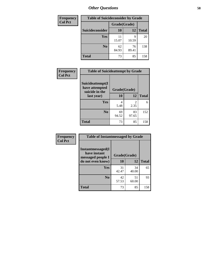| <b>Frequency</b> | <b>Table of Suicideconsider by Grade</b> |              |             |              |
|------------------|------------------------------------------|--------------|-------------|--------------|
| <b>Col Pct</b>   |                                          | Grade(Grade) |             |              |
|                  | <b>Suicideconsider</b>                   | 10           | 12          | <b>Total</b> |
|                  | Yes                                      | 11<br>15.07  | q<br>10.59  | 20           |
|                  | N <sub>0</sub>                           | 62<br>84.93  | 76<br>89.41 | 138          |
|                  | <b>Total</b>                             | 73           | 85          | 158          |

| Frequency      | <b>Table of Suicideattempt by Grade</b>              |              |                                                                                                                                                                         |              |
|----------------|------------------------------------------------------|--------------|-------------------------------------------------------------------------------------------------------------------------------------------------------------------------|--------------|
| <b>Col Pct</b> | Suicideattempt(I<br>have attempted<br>suicide in the | Grade(Grade) |                                                                                                                                                                         |              |
|                | last year)                                           | 10           | 12                                                                                                                                                                      | <b>Total</b> |
|                | Yes                                                  | 4<br>5.48    | $\mathcal{D}_{\mathcal{A}}^{\mathcal{A}}(\mathcal{A})=\mathcal{D}_{\mathcal{A}}^{\mathcal{A}}(\mathcal{A})\mathcal{D}_{\mathcal{A}}^{\mathcal{A}}(\mathcal{A})$<br>2.35 | 6            |
|                | N <sub>0</sub>                                       | 69<br>94.52  | 83<br>97.65                                                                                                                                                             | 152          |
|                | <b>Total</b>                                         | 73           | 85                                                                                                                                                                      | 158          |

| Frequency<br><b>Col Pct</b> | <b>Table of Instantmessaged by Grade</b>               |              |             |              |
|-----------------------------|--------------------------------------------------------|--------------|-------------|--------------|
|                             | Instantmessaged(I<br>have instant<br>messaged people I | Grade(Grade) |             |              |
|                             | do not even know)                                      | 10           | 12          | <b>Total</b> |
|                             | Yes                                                    | 31<br>42.47  | 34<br>40.00 | 65           |
|                             | N <sub>0</sub>                                         | 42<br>57.53  | 51<br>60.00 | 93           |
|                             | <b>Total</b>                                           | 73           | 85          | 158          |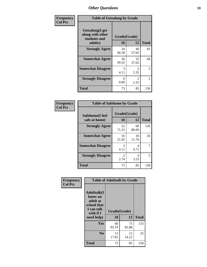| Frequency      | <b>Table of Getsalong by Grade</b>                                     |                    |             |              |
|----------------|------------------------------------------------------------------------|--------------------|-------------|--------------|
| <b>Col Pct</b> | <b>Getsalong</b> (I get<br>along with other<br>students and<br>adults) | Grade(Grade)<br>10 | 12          | <b>Total</b> |
|                | <b>Strongly Agree</b>                                                  | 34<br>46.58        | 49<br>57.65 | 83           |
|                | <b>Somewhat Agree</b>                                                  | 36<br>49.32        | 32<br>37.65 | 68           |
|                | <b>Somewhat Disagree</b>                                               | 3<br>4.11          | 2<br>2.35   | 5            |
|                | <b>Strongly Disagree</b>                                               | 0<br>0.00          | 2<br>2.35   | 2            |
|                | <b>Total</b>                                                           | 73                 | 85          | 158          |

| Frequency      | <b>Table of Safehome by Grade</b> |                        |             |              |
|----------------|-----------------------------------|------------------------|-------------|--------------|
| <b>Col Pct</b> | Safehome(I feel<br>safe at home)  | Grade(Grade)<br>10     | 12          | <b>Total</b> |
|                | <b>Strongly Agree</b>             | 52<br>71.23            | 68<br>80.00 | 120          |
|                | <b>Somewhat Agree</b>             | 16<br>21.92            | 10<br>11.76 | 26           |
|                | <b>Somewhat Disagree</b>          | 3<br>4.11              | 4<br>4.71   | 7            |
|                | <b>Strongly Disagree</b>          | $\mathfrak{D}$<br>2.74 | 3<br>3.53   | 5            |
|                | <b>Total</b>                      | 73                     | 85          | 158          |

| Frequency      |                                                                                      | <b>Table of Adulttalk by Grade</b> |             |              |  |  |  |
|----------------|--------------------------------------------------------------------------------------|------------------------------------|-------------|--------------|--|--|--|
| <b>Col Pct</b> | <b>Adulttalk</b> (I<br>know an<br>adult at<br>school that<br>I can talk<br>with if I | Grade(Grade)                       |             |              |  |  |  |
|                | need help)                                                                           | 10                                 | 12          | <b>Total</b> |  |  |  |
|                | Yes                                                                                  | 60<br>82.19                        | 73<br>85.88 | 133          |  |  |  |
|                | N <sub>0</sub>                                                                       | 13<br>17.81                        | 12<br>14.12 | 25           |  |  |  |
|                | <b>Total</b>                                                                         | 73                                 | 85          | 158          |  |  |  |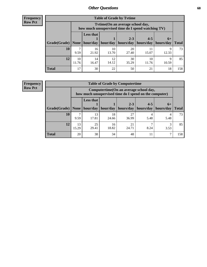**Frequency Row Pct**

| <b>Table of Grade by Tvtime</b> |             |                                                                                         |             |                                                |             |            |              |  |  |  |
|---------------------------------|-------------|-----------------------------------------------------------------------------------------|-------------|------------------------------------------------|-------------|------------|--------------|--|--|--|
|                                 |             | Tytime (On an average school day,<br>how much unsupervised time do I spend watching TV) |             |                                                |             |            |              |  |  |  |
| Grade(Grade)   None             |             | <b>Less that</b><br>hour/day                                                            | hour/day    | $2 - 3$<br>  hours/day   hours/day   hours/day | $4 - 5$     | $6+$       | <b>Total</b> |  |  |  |
| <b>10</b>                       | 9.59        | 16<br>21.92                                                                             | 10<br>13.70 | 20<br>27.40                                    | 15.07       | 12.33      | 73           |  |  |  |
| 12                              | 10<br>11.76 | 14<br>16.47                                                                             | 12<br>14.12 | 30<br>35.29                                    | 10<br>11.76 | 9<br>10.59 | 85           |  |  |  |
| <b>Total</b>                    | 17          | 30                                                                                      | 22          | 50                                             | 21          | 18         | 158          |  |  |  |

**Frequency Row Pct**

| <b>Table of Grade by Computertime</b> |             |                                                                                                                              |             |             |      |           |     |  |  |
|---------------------------------------|-------------|------------------------------------------------------------------------------------------------------------------------------|-------------|-------------|------|-----------|-----|--|--|
|                                       |             | Computertime (On an average school day,<br>how much unsupervised time do I spend on the computer)                            |             |             |      |           |     |  |  |
| Grade(Grade)                          | None $ $    | <b>Less that</b><br>$2 - 3$<br>$4 - 5$<br>$6+$<br>hour/day<br>hour/day   hours/day<br>hours/day<br>hours/day<br><b>Total</b> |             |             |      |           |     |  |  |
| 10                                    | 9.59        | 13<br>17.81                                                                                                                  | 18<br>24.66 | 27<br>36.99 | 5.48 | 4<br>5.48 | 73  |  |  |
| 12                                    | 13<br>15.29 | 25<br>29.41                                                                                                                  | 16<br>18.82 | 21<br>24.71 | 8.24 | 3<br>3.53 | 85  |  |  |
| <b>Total</b>                          | 20          | 38                                                                                                                           | 34          | 48          | 11   |           | 158 |  |  |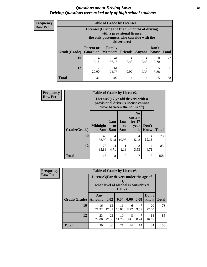#### *Questions about Driving Laws* **61** *Driving Questions were asked only of high school students.*

| <b>Frequency</b> |
|------------------|
| <b>Row Pct</b>   |

| <b>Table of Grade by License1</b> |                                                                          |                                                                                                                                           |                |           |               |              |  |  |  |
|-----------------------------------|--------------------------------------------------------------------------|-------------------------------------------------------------------------------------------------------------------------------------------|----------------|-----------|---------------|--------------|--|--|--|
|                                   |                                                                          | License1(During the first 6 months of driving<br>with a provisional license,<br>the only passengers who can ride with the<br>driver are:) |                |           |               |              |  |  |  |
| Grade(Grade)                      | <b>Parent or</b><br><b>Guardian</b>                                      | <b>Family</b><br>  Members                                                                                                                | <b>Friends</b> | Anyone    | Don't<br>Know | <b>Total</b> |  |  |  |
| 10                                | 14<br>19.18                                                              | 41<br>56.16                                                                                                                               | 4<br>5.48      | 4<br>5.48 | 10<br>13.70   | 73           |  |  |  |
| 12                                | 17<br>61<br>2<br>5<br>$\theta$<br>20.00<br>2.35<br>0.00<br>5.88<br>71.76 |                                                                                                                                           |                |           |               |              |  |  |  |
| Total                             | 31                                                                       | 102                                                                                                                                       | 4              | 6         | 15            | 158          |  |  |  |

| Frequency      | <b>Table of Grade by License2</b> |                           |                  |                  |                                                                                                          |                      |              |  |  |
|----------------|-----------------------------------|---------------------------|------------------|------------------|----------------------------------------------------------------------------------------------------------|----------------------|--------------|--|--|
| <b>Row Pct</b> |                                   |                           |                  |                  | License2(17 yr old drivers with a<br>provisional driver's license cannot<br>drive between the hours of:) |                      |              |  |  |
|                | Grade(Grade)                      | <b>Midnight</b><br>to 6am | 1am<br>to<br>5am | 1am<br>to<br>6am | N <sub>0</sub><br>curfew<br>for $17$<br>year<br>olds                                                     | Don't<br><b>Know</b> | <b>Total</b> |  |  |
|                | 10                                | 43<br>58.90               | 4<br>5.48        | 8<br>10.96       | 4<br>5.48                                                                                                | 14<br>19.18          | 73           |  |  |
|                | 12                                | 73<br>85.88               | 4<br>4.71        | 1.18             | 3<br>3.53                                                                                                | 4<br>4.71            | 85           |  |  |
|                | <b>Total</b>                      | 116                       | 8                | 9                | 7                                                                                                        | 18                   | 158          |  |  |

| <b>Frequency</b> | <b>Table of Grade by License3</b> |                                       |             |                                                        |           |           |               |              |  |  |
|------------------|-----------------------------------|---------------------------------------|-------------|--------------------------------------------------------|-----------|-----------|---------------|--------------|--|--|
| <b>Row Pct</b>   |                                   | License3(For drivers under the age of |             | 21,<br>what level of alcohol is considered<br>$DUI$ ?) |           |           |               |              |  |  |
|                  | Grade(Grade)                      | Any<br><b>Amount</b>                  | 0.02        | 0.04                                                   | 0.06      | 0.08      | Don't<br>know | <b>Total</b> |  |  |
|                  | <b>10</b>                         | 16<br>21.92                           | 13<br>17.81 | 11<br>15.07                                            | 6<br>8.22 | 9.59      | 20<br>27.40   | 73           |  |  |
|                  | 12                                | 23<br>27.06                           | 23<br>27.06 | 10<br>11.76                                            | 8<br>9.41 | 7<br>8.24 | 14<br>16.47   | 85           |  |  |
|                  | <b>Total</b>                      | 39                                    | 36          | 21                                                     | 14        | 14        | 34            | 158          |  |  |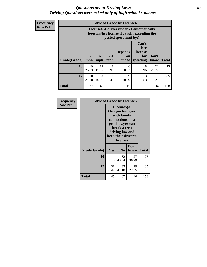#### *Questions about Driving Laws* **62** *Driving Questions were asked only of high school students.*

**Frequency Row Pct**

| <b>Table of Grade by License4</b> |              |                                                                                                                      |              |                               |                                             |               |              |  |  |
|-----------------------------------|--------------|----------------------------------------------------------------------------------------------------------------------|--------------|-------------------------------|---------------------------------------------|---------------|--------------|--|--|
|                                   |              | License4(A driver under 21 automatically<br>loses his/her license if caught exceeding the<br>posted speet limit by:) |              |                               |                                             |               |              |  |  |
| Grade(Grade)                      | $15+$<br>mph | $25+$<br>mph                                                                                                         | $35+$<br>mph | <b>Depends</b><br>on<br>judge | Can't<br>lose<br>license<br>for<br>speeding | Don't<br>know | <b>Total</b> |  |  |
| 10                                | 19<br>26.03  | 11<br>15.07                                                                                                          | 8<br>10.96   | 6<br>8.22                     | 8<br>10.96                                  | 21<br>28.77   | 73           |  |  |
| 12                                | 18<br>21.18  | 34<br>40.00                                                                                                          | 8<br>9.41    | $\mathbf Q$<br>10.59          | 3<br>3.53                                   | 13<br>15.29   | 85           |  |  |
| <b>Total</b>                      | 37           | 45                                                                                                                   | 16           | 15                            | 11                                          | 34            | 158          |  |  |

| Frequency<br><b>Row Pct</b> |              | <b>Table of Grade by License5</b> |                                                                                                                                      |                     |              |  |  |  |
|-----------------------------|--------------|-----------------------------------|--------------------------------------------------------------------------------------------------------------------------------------|---------------------|--------------|--|--|--|
|                             |              |                                   | License5(A)<br>Georgia teenager<br>with family<br>connections or a<br>good lawyer can<br>break a teen<br>driving law and<br>license) | keep their driver's |              |  |  |  |
|                             | Grade(Grade) | Yes                               | N <sub>0</sub>                                                                                                                       | Don't<br>know       | <b>Total</b> |  |  |  |
|                             | 10           | 14<br>19.18                       | 32<br>43.84                                                                                                                          | 27<br>36.99         | 73           |  |  |  |
|                             | 12           | 31<br>36.47                       | 35<br>41.18                                                                                                                          | 19<br>22.35         | 85           |  |  |  |
|                             | <b>Total</b> | 45                                | 67                                                                                                                                   | 46                  | 158          |  |  |  |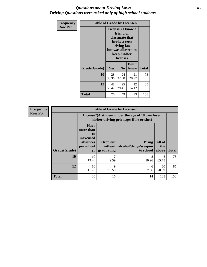### *Questions about Driving Laws* **63** *Driving Questions were asked only of high school students.*

| <b>Frequency</b> | <b>Table of Grade by License6</b> |             |                                                                                                                                                 |               |              |  |
|------------------|-----------------------------------|-------------|-------------------------------------------------------------------------------------------------------------------------------------------------|---------------|--------------|--|
| <b>Row Pct</b>   |                                   |             | License <sub>6</sub> (I know a<br>friend or<br>classmate that<br>broke a teen<br>driving law,<br>but was allowed to<br>keep his/her<br>license) |               |              |  |
|                  | Grade(Grade)                      | <b>Yes</b>  | N <sub>0</sub>                                                                                                                                  | Don't<br>know | <b>Total</b> |  |
|                  | 10                                | 28<br>38.36 | 24<br>32.88                                                                                                                                     | 21<br>28.77   | 73           |  |
|                  | 12                                | 48<br>56.47 | 25<br>29.41                                                                                                                                     | 12<br>14.12   | 85           |  |
|                  | <b>Total</b>                      | 76          | 49                                                                                                                                              | 33            | 158          |  |

| <b>Frequency</b> | <b>Table of Grade by License7</b> |                                                                                                                                                                                            |            |                                                                                               |             |     |  |  |  |
|------------------|-----------------------------------|--------------------------------------------------------------------------------------------------------------------------------------------------------------------------------------------|------------|-----------------------------------------------------------------------------------------------|-------------|-----|--|--|--|
| <b>Row Pct</b>   |                                   |                                                                                                                                                                                            |            | License7(A student under the age of 18 cam loser<br>his/her driving privileges if he or she:) |             |     |  |  |  |
|                  | Grade(Grade)                      | <b>Have</b><br>more than<br>10<br>unexcused<br>All of<br>Drop out<br>Bring<br>absences<br>alcohol/drugs/weapon<br>per school<br>without<br>the<br>graduating<br>to school  <br>above<br>yr |            |                                                                                               |             |     |  |  |  |
|                  | 10                                | 10<br>13.70                                                                                                                                                                                | 9.59       | 8<br>10.96                                                                                    | 48<br>65.75 | 73  |  |  |  |
|                  | 12                                | 10<br>11.76                                                                                                                                                                                | 9<br>10.59 | 6<br>7.06                                                                                     | 60<br>70.59 | 85  |  |  |  |
|                  | <b>Total</b>                      | 20                                                                                                                                                                                         | 16         | 14                                                                                            | 108         | 158 |  |  |  |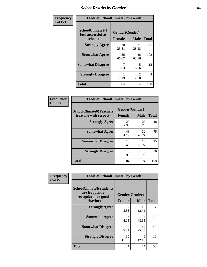## *Select Results by Gender* **64**

| Frequency      |                                                   | <b>Table of SchoolClimate2 by Gender</b> |                                     |              |  |  |  |  |
|----------------|---------------------------------------------------|------------------------------------------|-------------------------------------|--------------|--|--|--|--|
| <b>Col Pct</b> | SchoolClimate2(I<br>feel successful at<br>school) | Gender(Gender)<br><b>Female</b>          | <b>Male</b>                         | <b>Total</b> |  |  |  |  |
|                | <b>Strongly Agree</b>                             | 20<br>23.81                              | 21<br>28.38                         | 41           |  |  |  |  |
|                | <b>Somewhat Agree</b>                             | 56<br>66.67                              | 46<br>62.16                         | 102          |  |  |  |  |
|                | <b>Somewhat Disagree</b>                          | 8.33                                     | 5<br>6.76                           | 12           |  |  |  |  |
|                | <b>Strongly Disagree</b>                          | 1.19                                     | $\mathcal{D}_{\mathcal{L}}$<br>2.70 | 3            |  |  |  |  |
|                | <b>Total</b>                                      | 84                                       | 74                                  | 158          |  |  |  |  |

| Frequency      | <b>Table of SchoolClimate6 by Gender</b>                 |                                                |             |              |
|----------------|----------------------------------------------------------|------------------------------------------------|-------------|--------------|
| <b>Col Pct</b> | <b>SchoolClimate6(Teachers</b><br>treat me with respect) | Gender(Gender)<br><b>Male</b><br><b>Female</b> |             | <b>Total</b> |
|                | <b>Strongly Agree</b>                                    | 23<br>27.38                                    | 25<br>33.78 | 48           |
|                | <b>Somewhat Agree</b>                                    | 43<br>51.19                                    | 32<br>43.24 | 75           |
|                | <b>Somewhat Disagree</b>                                 | 13<br>15.48                                    | 12<br>16.22 | 25           |
|                | <b>Strongly Disagree</b>                                 | 5<br>5.95                                      | 5<br>6.76   | 10           |
|                | <b>Total</b>                                             | 84                                             | 74          | 158          |

| Frequency      | <b>Table of SchoolClimate8 by Gender</b>                                             |                                 |             |              |
|----------------|--------------------------------------------------------------------------------------|---------------------------------|-------------|--------------|
| <b>Col Pct</b> | <b>SchoolClimate8(Students</b><br>are frequently<br>recognized for good<br>behavior) | Gender(Gender)<br><b>Female</b> | <b>Male</b> | <b>Total</b> |
|                | <b>Strongly Agree</b>                                                                | 7<br>8.33                       | 10<br>13.51 | 17           |
|                | <b>Somewhat Agree</b>                                                                | 37<br>44.05                     | 36<br>48.65 | 73           |
|                | <b>Somewhat Disagree</b>                                                             | 30<br>35.71                     | 19<br>25.68 | 49           |
|                | <b>Strongly Disagree</b>                                                             | 10<br>11.90                     | 9<br>12.16  | 19           |
|                | Total                                                                                | 84                              | 74          | 158          |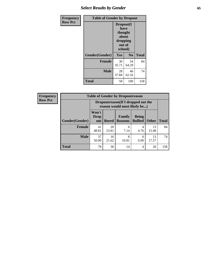## *Select Results by Gender* **65**

| Frequency      | <b>Table of Gender by Dropout</b> |                                                                        |                |              |
|----------------|-----------------------------------|------------------------------------------------------------------------|----------------|--------------|
| <b>Row Pct</b> |                                   | Dropout(I<br>have<br>thought<br>about<br>dropping<br>out of<br>school) |                |              |
|                | Gender(Gender)                    | Yes                                                                    | N <sub>0</sub> | <b>Total</b> |
|                | <b>Female</b>                     | 30<br>35.71                                                            | 54<br>64.29    | 84           |
|                | <b>Male</b>                       | 28<br>37.84                                                            | 46<br>62.16    | 74           |
|                | <b>Total</b>                      | 58                                                                     | 100            | 158          |

| <b>Frequency</b> | <b>Table of Gender by Dropoutreason</b> |                                                                    |              |                          |                                |              |              |
|------------------|-----------------------------------------|--------------------------------------------------------------------|--------------|--------------------------|--------------------------------|--------------|--------------|
| <b>Row Pct</b>   |                                         | Dropoutreason(If I dropped out the<br>reason would most likely be) |              |                          |                                |              |              |
|                  | <b>Gender(Gender)</b>                   | Won't<br><b>Drop</b><br>out                                        | <b>Bored</b> | Family<br><b>Reasons</b> | <b>Being</b><br><b>Bullied</b> | <b>Other</b> | <b>Total</b> |
|                  | <b>Female</b>                           | 41<br>48.81                                                        | 20<br>23.81  | 6<br>7.14                | 4<br>4.76                      | 13<br>15.48  | 84           |
|                  | <b>Male</b>                             | 37<br>50.00                                                        | 16<br>21.62  | 8<br>10.81               | 0<br>0.00                      | 13<br>17.57  | 74           |
|                  | <b>Total</b>                            | 78                                                                 | 36           | 14                       | 4                              | 26           | 158          |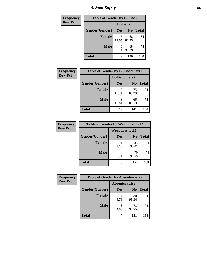*School Safety* **66**

| Frequency      | <b>Table of Gender by Bullied2</b> |                 |                |              |
|----------------|------------------------------------|-----------------|----------------|--------------|
| <b>Row Pct</b> |                                    | <b>Bullied2</b> |                |              |
|                | Gender(Gender)                     | Yes             | N <sub>0</sub> | <b>Total</b> |
|                | <b>Female</b>                      | 16<br>19.05     | 68<br>80.95    | 84           |
|                | <b>Male</b>                        | 6<br>8.11       | 68<br>91.89    | 74           |
|                | Total                              | 22              | 136            | 158          |

| <b>Frequency</b> | <b>Table of Gender by Bulliedothers2</b> |                       |             |              |
|------------------|------------------------------------------|-----------------------|-------------|--------------|
| <b>Row Pct</b>   |                                          | <b>Bulliedothers2</b> |             |              |
|                  | Gender(Gender)                           | <b>Yes</b>            | $\bf N_0$   | <b>Total</b> |
|                  | <b>Female</b>                            | 9<br>10.71            | 75<br>89.29 | 84           |
|                  | <b>Male</b>                              | 8<br>10.81            | 66<br>89.19 | 74           |
|                  | Total                                    | 17                    | 141         | 158          |

| Frequency      | <b>Table of Gender by Weaponschool2</b> |               |                |              |
|----------------|-----------------------------------------|---------------|----------------|--------------|
| <b>Row Pct</b> |                                         | Weaponschool2 |                |              |
|                | Gender(Gender)                          | Yes           | N <sub>0</sub> | <b>Total</b> |
|                | <b>Female</b>                           | 1.19          | 83<br>98.81    | 84           |
|                | <b>Male</b>                             | 5.41          | 70<br>94.59    | 74           |
|                | <b>Total</b>                            | 5             | 153            | 158          |

| Frequency      | <b>Table of Gender by Absentunsafe2</b> |               |                |              |  |
|----------------|-----------------------------------------|---------------|----------------|--------------|--|
| <b>Row Pct</b> |                                         | Absentunsafe2 |                |              |  |
|                | Gender(Gender)                          | Yes           | N <sub>0</sub> | <b>Total</b> |  |
|                | <b>Female</b>                           | 4.76          | 80<br>95.24    | 84           |  |
|                | <b>Male</b>                             | 4.05          | 71<br>95.95    | 74           |  |
|                | <b>Total</b>                            |               | 151            | 158          |  |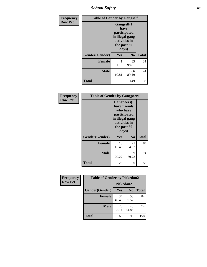*School Safety* **67**

| Frequency      | <b>Table of Gender by Gangself</b> |                                                                                                |                |              |
|----------------|------------------------------------|------------------------------------------------------------------------------------------------|----------------|--------------|
| <b>Row Pct</b> |                                    | Gangself(I<br>have<br>participated<br>in illegal gang<br>activities in<br>the past 30<br>days) |                |              |
|                | Gender(Gender)                     | Yes                                                                                            | N <sub>0</sub> | <b>Total</b> |
|                | <b>Female</b>                      | 1.19                                                                                           | 83<br>98.81    | 84           |
|                | <b>Male</b>                        | 8<br>10.81                                                                                     | 66<br>89.19    | 74           |
|                | <b>Total</b>                       | 9                                                                                              | 149            | 158          |

| Frequency      | <b>Table of Gender by Gangpeers</b> |                                                                                                                             |                |              |
|----------------|-------------------------------------|-----------------------------------------------------------------------------------------------------------------------------|----------------|--------------|
| <b>Row Pct</b> |                                     | <b>Gangpeers</b> (I<br>have friends<br>who have<br>participated<br>in illegal gang<br>activities in<br>the past 30<br>days) |                |              |
|                | Gender(Gender)                      | <b>Yes</b>                                                                                                                  | N <sub>0</sub> | <b>Total</b> |
|                | <b>Female</b>                       | 13<br>15.48                                                                                                                 | 71<br>84.52    | 84           |
|                | <b>Male</b>                         | 15<br>20.27                                                                                                                 | 59<br>79.73    | 74           |
|                | <b>Total</b>                        | 28                                                                                                                          | 130            | 158          |

| Frequency      | <b>Table of Gender by Pickedon2</b> |             |                |              |
|----------------|-------------------------------------|-------------|----------------|--------------|
| <b>Row Pct</b> |                                     | Pickedon2   |                |              |
|                | Gender(Gender)                      | <b>Yes</b>  | N <sub>0</sub> | <b>Total</b> |
|                | <b>Female</b>                       | 34<br>40.48 | 50<br>59.52    | 84           |
|                | <b>Male</b>                         | 26<br>35.14 | 48<br>64.86    | 74           |
|                | <b>Total</b>                        | 60          | 98             | 158          |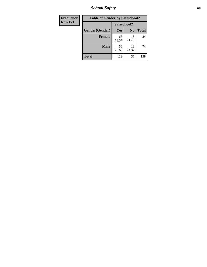*School Safety* **68**

| Frequency      | <b>Table of Gender by Safeschool2</b> |             |                |              |
|----------------|---------------------------------------|-------------|----------------|--------------|
| <b>Row Pct</b> |                                       | Safeschool2 |                |              |
|                | Gender(Gender)                        | Yes         | N <sub>0</sub> | <b>Total</b> |
|                | <b>Female</b>                         | 66<br>78.57 | 18<br>21.43    | 84           |
|                | <b>Male</b>                           | 56<br>75.68 | 18<br>24.32    | 74           |
|                | <b>Total</b>                          | 122         | 36             | 158          |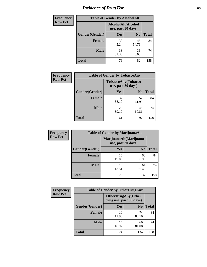# *Incidence of Drug Use* 69

| <b>Frequency</b> | <b>Table of Gender by AlcoholAlt</b> |                                          |                |              |
|------------------|--------------------------------------|------------------------------------------|----------------|--------------|
| <b>Row Pct</b>   |                                      | AlcoholAlt(Alcohol<br>use, past 30 days) |                |              |
|                  | Gender(Gender)                       | Yes                                      | N <sub>0</sub> | <b>Total</b> |
|                  | <b>Female</b>                        | 38<br>45.24                              | 46<br>54.76    | 84           |
|                  | <b>Male</b>                          | 38<br>51.35                              | 36<br>48.65    | 74           |
|                  | <b>Total</b>                         | 76                                       | 82             | 158          |

| Frequency      | <b>Table of Gender by TobaccoAny</b> |                                          |                |              |  |
|----------------|--------------------------------------|------------------------------------------|----------------|--------------|--|
| <b>Row Pct</b> |                                      | TobaccoAny(Tobacco<br>use, past 30 days) |                |              |  |
|                | Gender(Gender)                       | Yes                                      | N <sub>0</sub> | <b>Total</b> |  |
|                | <b>Female</b>                        | 32<br>38.10                              | 52<br>61.90    | 84           |  |
|                | <b>Male</b>                          | 29<br>39.19                              | 45<br>60.81    | 74           |  |
|                | <b>Total</b>                         | 61                                       | 97             | 158          |  |

| <b>Frequency</b> | <b>Table of Gender by MarijuanaAlt</b> |             |                                              |              |
|------------------|----------------------------------------|-------------|----------------------------------------------|--------------|
| <b>Row Pct</b>   |                                        |             | MarijuanaAlt(Marijuana<br>use, past 30 days) |              |
|                  | Gender(Gender)                         | <b>Yes</b>  | N <sub>0</sub>                               | <b>Total</b> |
|                  | <b>Female</b>                          | 16<br>19.05 | 68<br>80.95                                  | 84           |
|                  | <b>Male</b>                            | 10<br>13.51 | 64<br>86.49                                  | 74           |
|                  | <b>Total</b>                           | 26          | 132                                          | 158          |

| <b>Frequency</b> | <b>Table of Gender by OtherDrugAny</b> |                                                       |                |              |
|------------------|----------------------------------------|-------------------------------------------------------|----------------|--------------|
| <b>Row Pct</b>   |                                        | <b>OtherDrugAny</b> (Other<br>drug use, past 30 days) |                |              |
|                  | Gender(Gender)                         | <b>Yes</b>                                            | N <sub>0</sub> | <b>Total</b> |
|                  | <b>Female</b>                          | 10<br>11.90                                           | 74<br>88.10    | 84           |
|                  | <b>Male</b>                            | 14<br>18.92                                           | 60<br>81.08    | 74           |
|                  | <b>Total</b>                           | 24                                                    | 134            | 158          |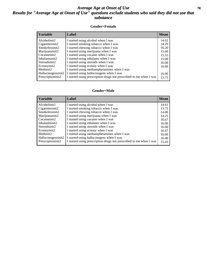### *Average Age at Onset of Use* 70 *Results for "Average Age at Onset of Use" questions exclude students who said they did not use that substance*

#### **Gender=Female**

| <i><b>Variable</b></i> | <b>Label</b>                                                       | <b>Mean</b> |
|------------------------|--------------------------------------------------------------------|-------------|
| Alcoholinit2           | I started using alcohol when I was                                 | 14.02       |
| Cigarettesinit2        | I started smoking tobacco when I was                               | 14.29       |
| Smokelessinit2         | I started chewing tobacco when I was                               | 16.20       |
| Marijuanainit2         | I started using marijuana when I was                               | 15.00       |
| Cocaineinit2           | I started using cocaine when I was                                 | 15.33       |
| Inhalantsinit2         | I started using inhalants when I was                               | 15.00       |
| Steroidsinit2          | I started using steroids when I was                                | 16.00       |
| Ecstasyinit2           | I started using ecstasy when I was                                 | 16.00       |
| Methinit2              | I started using methamphetamines when I was                        |             |
| Hallucinogensinit2     | I started using hallucinogens when I was                           | 16.00       |
| Prescription in t2     | I started using prescription drugs not prescribed to me when I was | 13.75       |

### **Gender=Male**

| <b>Variable</b>                 | Label                                                              | <b>Mean</b> |
|---------------------------------|--------------------------------------------------------------------|-------------|
| Alcoholinit2                    | I started using alcohol when I was                                 | 14.61       |
| Cigarettesinit2                 | I started smoking tobacco when I was                               | 13.75       |
| Smokelessinit2                  | I started chewing tobacco when I was                               | 14.00       |
| Marijuanainit2                  | I started using marijuana when I was                               | 14.25       |
| Cocaineinit2                    | I started using cocaine when I was                                 | 16.67       |
| Inhalantsinit2                  | I started using inhalants when I was                               | 16.00       |
| Steroidsinit2                   | I started using steroids when I was                                | 16.00       |
| Ecstasyinit2                    | I started using ecstasy when I was                                 | 16.67       |
| Methinit2                       | I started using methamphetamines when I was                        | 16.00       |
| Hallucinogensinit2              | I started using hallucinogens when I was                           | 16.40       |
| Prescription in it <sub>2</sub> | I started using prescription drugs not prescribed to me when I was | 15.43       |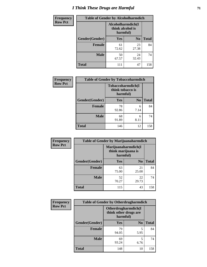# *I Think These Drugs are Harmful* **71**

| <b>Frequency</b> | <b>Table of Gender by Alcoholharmdich</b> |                  |                               |              |
|------------------|-------------------------------------------|------------------|-------------------------------|--------------|
| <b>Row Pct</b>   |                                           | think alcohol is | Alcoholharmdich(I<br>harmful) |              |
|                  | Gender(Gender)                            | <b>Yes</b>       | N <sub>0</sub>                | <b>Total</b> |
|                  | <b>Female</b>                             | 61<br>72.62      | 23<br>27.38                   | 84           |
|                  | <b>Male</b>                               | 50<br>67.57      | 24<br>32.43                   | 74           |
|                  | <b>Total</b>                              | 111              | 47                            | 158          |

| Frequency      | <b>Table of Gender by Tobaccoharmdich</b> |                  |                               |              |
|----------------|-------------------------------------------|------------------|-------------------------------|--------------|
| <b>Row Pct</b> |                                           | think tobacco is | Tobaccoharmdich(I<br>harmful) |              |
|                | Gender(Gender)                            | <b>Yes</b>       | N <sub>0</sub>                | <b>Total</b> |
|                | <b>Female</b>                             | 78<br>92.86      | 6<br>7.14                     | 84           |
|                | <b>Male</b>                               | 68<br>91.89      | 6<br>8.11                     | 74           |
|                | <b>Total</b>                              | 146              | 12                            | 158          |

| Frequency      | <b>Table of Gender by Marijuanaharmdich</b> |                                |                     |              |  |
|----------------|---------------------------------------------|--------------------------------|---------------------|--------------|--|
| <b>Row Pct</b> |                                             | think marijuana is<br>harmful) | Marijuanaharmdich(I |              |  |
|                | Gender(Gender)                              | <b>Yes</b>                     | N <sub>0</sub>      | <b>Total</b> |  |
|                | <b>Female</b>                               | 63<br>75.00                    | 21<br>25.00         | 84           |  |
|                | <b>Male</b>                                 | 52<br>70.27                    | 22<br>29.73         | 74           |  |
|                | <b>Total</b>                                | 115                            | 43                  | 158          |  |

| <b>Frequency</b> | <b>Table of Gender by Otherdrugharmdich</b> |                                                          |                |              |  |
|------------------|---------------------------------------------|----------------------------------------------------------|----------------|--------------|--|
| <b>Row Pct</b>   |                                             | Otherdrugharmdich(I<br>think other drugs are<br>harmful) |                |              |  |
|                  | Gender(Gender)                              | <b>Yes</b>                                               | N <sub>0</sub> | <b>Total</b> |  |
|                  | <b>Female</b>                               | 79<br>94.05                                              | 5<br>5.95      | 84           |  |
|                  | <b>Male</b>                                 | 69<br>93.24                                              | 5<br>6.76      | 74           |  |
|                  | <b>Total</b>                                | 148                                                      | 10             | 158          |  |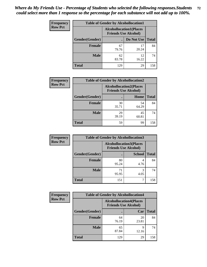| <b>Frequency</b> | <b>Table of Gender by Alcohollocation1</b> |                                                               |             |              |
|------------------|--------------------------------------------|---------------------------------------------------------------|-------------|--------------|
| <b>Row Pct</b>   |                                            | <b>Alcohollocation1(Places</b><br><b>Friends Use Alcohol)</b> |             |              |
|                  | Gender(Gender)                             |                                                               | Do Not Use  | <b>Total</b> |
|                  | <b>Female</b>                              | 67<br>79.76                                                   | 17<br>20.24 | 84           |
|                  | <b>Male</b>                                | 62<br>83.78                                                   | 12<br>16.22 | 74           |
|                  | <b>Total</b>                               | 129                                                           | 29          | 158          |

| <b>Frequency</b> | <b>Table of Gender by Alcohollocation2</b> |                                                               |             |              |
|------------------|--------------------------------------------|---------------------------------------------------------------|-------------|--------------|
| <b>Row Pct</b>   |                                            | <b>Alcohollocation2(Places</b><br><b>Friends Use Alcohol)</b> |             |              |
|                  | Gender(Gender)                             |                                                               | Home        | <b>Total</b> |
|                  | <b>Female</b>                              | 30<br>35.71                                                   | 54<br>64.29 | 84           |
|                  | <b>Male</b>                                | 29<br>39.19                                                   | 45<br>60.81 | 74           |
|                  | <b>Total</b>                               | 59                                                            | 99          | 158          |

| Frequency      | <b>Table of Gender by Alcohollocation3</b> |                                                               |               |              |
|----------------|--------------------------------------------|---------------------------------------------------------------|---------------|--------------|
| <b>Row Pct</b> |                                            | <b>Alcohollocation3(Places</b><br><b>Friends Use Alcohol)</b> |               |              |
|                | Gender(Gender)                             |                                                               | <b>School</b> | <b>Total</b> |
|                | <b>Female</b>                              | 80<br>95.24                                                   | 4.76          | 84           |
|                | <b>Male</b>                                | 71<br>95.95                                                   | 4.05          | 74           |
|                | <b>Total</b>                               | 151                                                           |               | 158          |

| <b>Frequency</b> | <b>Table of Gender by Alcohollocation4</b> |                                                               |             |              |
|------------------|--------------------------------------------|---------------------------------------------------------------|-------------|--------------|
| <b>Row Pct</b>   |                                            | <b>Alcohollocation4(Places</b><br><b>Friends Use Alcohol)</b> |             |              |
|                  | Gender(Gender)                             |                                                               | Car         | <b>Total</b> |
|                  | <b>Female</b>                              | 64<br>76.19                                                   | 20<br>23.81 | 84           |
|                  | <b>Male</b>                                | 65<br>87.84                                                   | Q<br>12.16  | 74           |
|                  | <b>Total</b>                               | 129                                                           | 29          | 158          |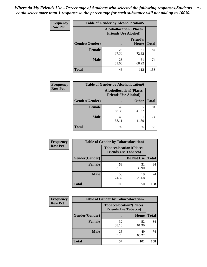| <b>Frequency</b> | <b>Table of Gender by Alcohollocation5</b> |                                                               |                          |              |
|------------------|--------------------------------------------|---------------------------------------------------------------|--------------------------|--------------|
| <b>Row Pct</b>   |                                            | <b>Alcohollocation5(Places</b><br><b>Friends Use Alcohol)</b> |                          |              |
|                  | Gender(Gender)                             |                                                               | <b>Friend's</b><br>House | <b>Total</b> |
|                  | <b>Female</b>                              | 23<br>27.38                                                   | 61<br>72.62              | 84           |
|                  | <b>Male</b>                                | 23<br>31.08                                                   | 51<br>68.92              | 74           |
|                  | <b>Total</b>                               | 46                                                            | 112                      | 158          |

| Frequency      | <b>Table of Gender by Alcohollocation6</b> |             |                                                               |              |
|----------------|--------------------------------------------|-------------|---------------------------------------------------------------|--------------|
| <b>Row Pct</b> |                                            |             | <b>Alcohollocation6(Places</b><br><b>Friends Use Alcohol)</b> |              |
|                | Gender(Gender)                             |             | <b>Other</b>                                                  | <b>Total</b> |
|                | <b>Female</b>                              | 49<br>58.33 | 35<br>41.67                                                   | 84           |
|                | <b>Male</b>                                | 43<br>58.11 | 31<br>41.89                                                   | 74           |
|                | <b>Total</b>                               | 92          | 66                                                            | 158          |

| Frequency      | <b>Table of Gender by Tobaccolocation1</b> |                                                               |             |              |  |
|----------------|--------------------------------------------|---------------------------------------------------------------|-------------|--------------|--|
| <b>Row Pct</b> |                                            | <b>Tobaccolocation1(Places</b><br><b>Friends Use Tobacco)</b> |             |              |  |
|                | Gender(Gender)                             |                                                               | Do Not Use  | <b>Total</b> |  |
|                | <b>Female</b>                              | 53<br>63.10                                                   | 31<br>36.90 | 84           |  |
|                | <b>Male</b>                                | 55<br>74.32                                                   | 19<br>25.68 | 74           |  |
|                | <b>Total</b>                               | 108                                                           | 50          | 158          |  |

| <b>Frequency</b> |                | <b>Table of Gender by Tobaccolocation2</b> |                                |              |  |
|------------------|----------------|--------------------------------------------|--------------------------------|--------------|--|
| <b>Row Pct</b>   |                | <b>Friends Use Tobacco)</b>                | <b>Tobaccolocation2(Places</b> |              |  |
|                  | Gender(Gender) |                                            | Home                           | <b>Total</b> |  |
|                  | Female         | 32<br>38.10                                | 52<br>61.90                    | 84           |  |
|                  | <b>Male</b>    | 25<br>33.78                                | 49<br>66.22                    | 74           |  |
|                  | <b>Total</b>   | 57                                         | 101                            | 158          |  |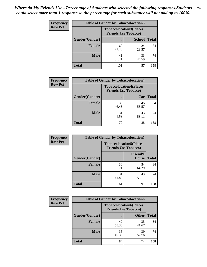| <b>Frequency</b> | <b>Table of Gender by Tobaccolocation3</b> |                             |                                |              |
|------------------|--------------------------------------------|-----------------------------|--------------------------------|--------------|
| <b>Row Pct</b>   |                                            | <b>Friends Use Tobacco)</b> | <b>Tobaccolocation3(Places</b> |              |
|                  | Gender(Gender)                             |                             | <b>School</b>                  | <b>Total</b> |
|                  | Female                                     | 60<br>71.43                 | 24<br>28.57                    | 84           |
|                  | <b>Male</b>                                | 41<br>55.41                 | 33<br>44.59                    | 74           |
|                  | <b>Total</b>                               | 101                         | 57                             | 158          |

| <b>Frequency</b> | <b>Table of Gender by Tobaccolocation4</b> |                             |                                |              |
|------------------|--------------------------------------------|-----------------------------|--------------------------------|--------------|
| <b>Row Pct</b>   |                                            | <b>Friends Use Tobacco)</b> | <b>Tobaccolocation4(Places</b> |              |
|                  | Gender(Gender)                             |                             | Car                            | <b>Total</b> |
|                  | <b>Female</b>                              | 39<br>46.43                 | 45<br>53.57                    | 84           |
|                  | <b>Male</b>                                | 31<br>41.89                 | 43<br>58.11                    | 74           |
|                  | <b>Total</b>                               | 70                          | 88                             | 158          |

| <b>Frequency</b> | <b>Table of Gender by Tobaccolocation5</b> |                                                               |                                 |              |  |
|------------------|--------------------------------------------|---------------------------------------------------------------|---------------------------------|--------------|--|
| <b>Row Pct</b>   |                                            | <b>Tobaccolocation5(Places</b><br><b>Friends Use Tobacco)</b> |                                 |              |  |
|                  | Gender(Gender)                             |                                                               | <b>Friend's</b><br><b>House</b> | <b>Total</b> |  |
|                  | <b>Female</b>                              | 30<br>35.71                                                   | 54<br>64.29                     | 84           |  |
|                  | <b>Male</b>                                | 31<br>41.89                                                   | 43<br>58.11                     | 74           |  |
|                  | <b>Total</b>                               | 61                                                            | 97                              | 158          |  |

| <b>Frequency</b> | <b>Table of Gender by Tobaccolocation6</b> |                                                               |              |              |
|------------------|--------------------------------------------|---------------------------------------------------------------|--------------|--------------|
| <b>Row Pct</b>   |                                            | <b>Tobaccolocation6(Places</b><br><b>Friends Use Tobacco)</b> |              |              |
|                  | Gender(Gender)                             |                                                               | <b>Other</b> | <b>Total</b> |
|                  | Female                                     | 49<br>58.33                                                   | 35<br>41.67  | 84           |
|                  | <b>Male</b>                                | 35<br>47.30                                                   | 39<br>52.70  | 74           |
|                  | <b>Total</b>                               | 84                                                            | 74           | 158          |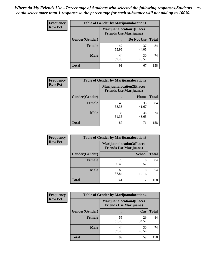| <b>Frequency</b> | <b>Table of Gender by Marijuanalocation1</b> |                                                                    |             |              |  |
|------------------|----------------------------------------------|--------------------------------------------------------------------|-------------|--------------|--|
| <b>Row Pct</b>   |                                              | <b>Marijuanalocation1(Places</b><br><b>Friends Use Marijuana</b> ) |             |              |  |
|                  | Gender(Gender)                               |                                                                    | Do Not Use  | <b>Total</b> |  |
|                  | <b>Female</b>                                | 47<br>55.95                                                        | 37<br>44.05 | 84           |  |
|                  | <b>Male</b>                                  | 44<br>59.46                                                        | 30<br>40.54 | 74           |  |
|                  | <b>Total</b>                                 | 91                                                                 | 67          | 158          |  |

| <b>Frequency</b> | <b>Table of Gender by Marijuanalocation2</b> |             |                                                                    |              |
|------------------|----------------------------------------------|-------------|--------------------------------------------------------------------|--------------|
| <b>Row Pct</b>   |                                              |             | <b>Marijuanalocation2(Places</b><br><b>Friends Use Marijuana</b> ) |              |
|                  | Gender(Gender)                               |             | Home                                                               | <b>Total</b> |
|                  | <b>Female</b>                                | 49<br>58.33 | 35<br>41.67                                                        | 84           |
|                  | <b>Male</b>                                  | 38<br>51.35 | 36<br>48.65                                                        | 74           |
|                  | <b>Total</b>                                 | 87          | 71                                                                 | 158          |

| Frequency      | <b>Table of Gender by Marijuanalocation3</b> |                                                                    |               |              |
|----------------|----------------------------------------------|--------------------------------------------------------------------|---------------|--------------|
| <b>Row Pct</b> |                                              | <b>Marijuanalocation3(Places</b><br><b>Friends Use Marijuana</b> ) |               |              |
|                | Gender(Gender)                               |                                                                    | <b>School</b> | <b>Total</b> |
|                | Female                                       | 76<br>90.48                                                        | 8<br>9.52     | 84           |
|                | <b>Male</b>                                  | 65<br>87.84                                                        | 9<br>12.16    | 74           |
|                | <b>Total</b>                                 | 141                                                                | 17            | 158          |

| <b>Frequency</b> | <b>Table of Gender by Marijuanalocation4</b> |                                                                    |             |              |
|------------------|----------------------------------------------|--------------------------------------------------------------------|-------------|--------------|
| <b>Row Pct</b>   |                                              | <b>Marijuanalocation4(Places</b><br><b>Friends Use Marijuana</b> ) |             |              |
|                  | Gender(Gender)                               |                                                                    | Car         | <b>Total</b> |
|                  | <b>Female</b>                                | 55<br>65.48                                                        | 29<br>34.52 | 84           |
|                  | <b>Male</b>                                  | 44<br>59.46                                                        | 30<br>40.54 | 74           |
|                  | <b>Total</b>                                 | 99                                                                 | 59          | 158          |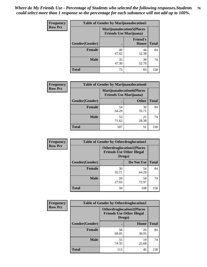| <b>Frequency</b> |                | <b>Table of Gender by Marijuanalocation5</b>                       |                          |              |
|------------------|----------------|--------------------------------------------------------------------|--------------------------|--------------|
| <b>Row Pct</b>   |                | <b>Marijuanalocation5(Places</b><br><b>Friends Use Marijuana</b> ) |                          |              |
|                  | Gender(Gender) |                                                                    | <b>Friend's</b><br>House | <b>Total</b> |
|                  | <b>Female</b>  | 40<br>47.62                                                        | 44<br>52.38              | 84           |
|                  | <b>Male</b>    | 35<br>47.30                                                        | 39<br>52.70              | 74           |
|                  | <b>Total</b>   | 75                                                                 | 83                       | 158          |

| <b>Frequency</b> |                        | <b>Table of Gender by Marijuanalocation6</b>                       |              |       |
|------------------|------------------------|--------------------------------------------------------------------|--------------|-------|
| <b>Row Pct</b>   |                        | <b>Marijuanalocation6(Places</b><br><b>Friends Use Marijuana</b> ) |              |       |
|                  | <b>Gender</b> (Gender) |                                                                    | <b>Other</b> | Total |
|                  | <b>Female</b>          | 54<br>64.29                                                        | 30<br>35.71  | 84    |
|                  | <b>Male</b>            | 53<br>71.62                                                        | 21<br>28.38  | 74    |
|                  | <b>Total</b>           | 107                                                                | 51           | 158   |

| <b>Frequency</b> | <b>Table of Gender by Otherdruglocation1</b> |                                                                                |             |              |
|------------------|----------------------------------------------|--------------------------------------------------------------------------------|-------------|--------------|
| <b>Row Pct</b>   |                                              | <b>Otherdruglocation1(Places</b><br><b>Friends Use Other Illegal</b><br>Drugs) |             |              |
|                  | Gender(Gender)                               |                                                                                | Do Not Use  | <b>Total</b> |
|                  | <b>Female</b>                                | 30<br>35.71                                                                    | 54<br>64.29 | 84           |
|                  | <b>Male</b>                                  | 20<br>27.03                                                                    | 54<br>72.97 | 74           |
|                  | <b>Total</b>                                 | 50                                                                             | 108         | 158          |

| Frequency      | <b>Table of Gender by Otherdruglocation2</b> |                                                                                |             |              |
|----------------|----------------------------------------------|--------------------------------------------------------------------------------|-------------|--------------|
| <b>Row Pct</b> |                                              | <b>Otherdruglocation2(Places</b><br><b>Friends Use Other Illegal</b><br>Drugs) |             |              |
|                | Gender(Gender)                               |                                                                                | Home        | <b>Total</b> |
|                | Female                                       | 58<br>69.05                                                                    | 26<br>30.95 | 84           |
|                | <b>Male</b>                                  | 55<br>74.32                                                                    | 19<br>25.68 | 74           |
|                | <b>Total</b>                                 | 113                                                                            | 45          | 158          |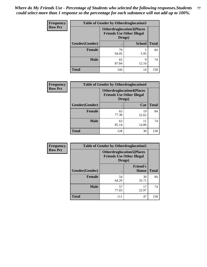| Frequency      | <b>Table of Gender by Otherdruglocation3</b> |                                                                                |               |              |
|----------------|----------------------------------------------|--------------------------------------------------------------------------------|---------------|--------------|
| <b>Row Pct</b> |                                              | <b>Otherdruglocation3(Places</b><br><b>Friends Use Other Illegal</b><br>Drugs) |               |              |
|                | Gender(Gender)                               |                                                                                | <b>School</b> | <b>Total</b> |
|                | Female                                       | 79<br>94.05                                                                    | 5<br>5.95     | 84           |
|                | <b>Male</b>                                  | 65<br>87.84                                                                    | q<br>12.16    | 74           |
|                | <b>Total</b>                                 | 144                                                                            | 14            | 158          |

| Frequency      | <b>Table of Gender by Otherdruglocation4</b> |                                                                                |             |              |
|----------------|----------------------------------------------|--------------------------------------------------------------------------------|-------------|--------------|
| <b>Row Pct</b> |                                              | <b>Otherdruglocation4(Places</b><br><b>Friends Use Other Illegal</b><br>Drugs) |             |              |
|                | Gender(Gender)                               |                                                                                | Car         | <b>Total</b> |
|                | <b>Female</b>                                | 65<br>77.38                                                                    | 19<br>22.62 | 84           |
|                | <b>Male</b>                                  | 63<br>85.14                                                                    | 11<br>14.86 | 74           |
|                | <b>Total</b>                                 | 128                                                                            | 30          | 158          |

| Frequency      | <b>Table of Gender by Otherdruglocation5</b> |                                                                                |                                 |              |
|----------------|----------------------------------------------|--------------------------------------------------------------------------------|---------------------------------|--------------|
| <b>Row Pct</b> |                                              | <b>Otherdruglocation5(Places</b><br><b>Friends Use Other Illegal</b><br>Drugs) |                                 |              |
|                | Gender(Gender)                               |                                                                                | <b>Friend's</b><br><b>House</b> | <b>Total</b> |
|                | <b>Female</b>                                | 54<br>64.29                                                                    | 30<br>35.71                     | 84           |
|                | <b>Male</b>                                  | 57<br>77.03                                                                    | 17<br>22.97                     | 74           |
|                | <b>Total</b>                                 | 111                                                                            | 47                              | 158          |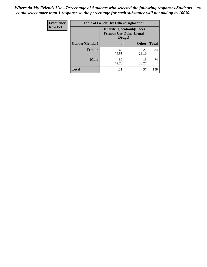| Frequency      | <b>Table of Gender by Otherdruglocation6</b> |                                                                                |              |              |
|----------------|----------------------------------------------|--------------------------------------------------------------------------------|--------------|--------------|
| <b>Row Pct</b> |                                              | <b>Otherdruglocation6(Places</b><br><b>Friends Use Other Illegal</b><br>Drugs) |              |              |
|                | Gender(Gender)                               |                                                                                | <b>Other</b> | <b>Total</b> |
|                | <b>Female</b>                                | 62<br>73.81                                                                    | 22<br>26.19  | 84           |
|                | <b>Male</b>                                  | 59<br>79.73                                                                    | 15<br>20.27  | 74           |
|                | <b>Total</b>                                 | 121                                                                            | 37           | 158          |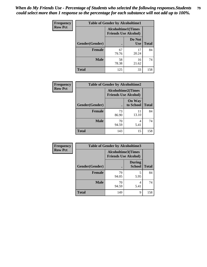| <b>Frequency</b> | <b>Table of Gender by Alcoholtime1</b> |                                                          |                      |              |
|------------------|----------------------------------------|----------------------------------------------------------|----------------------|--------------|
| <b>Row Pct</b>   |                                        | <b>Alcoholtime1(Times</b><br><b>Friends Use Alcohol)</b> |                      |              |
|                  | Gender(Gender)                         | $\bullet$                                                | Do Not<br><b>Use</b> | <b>Total</b> |
|                  | <b>Female</b>                          | 67<br>79.76                                              | 17<br>20.24          | 84           |
|                  | <b>Male</b>                            | 58<br>78.38                                              | 16<br>21.62          | 74           |
|                  | <b>Total</b>                           | 125                                                      | 33                   | 158          |

| Frequency      | <b>Table of Gender by Alcoholtime2</b> |                                                          |                            |              |
|----------------|----------------------------------------|----------------------------------------------------------|----------------------------|--------------|
| <b>Row Pct</b> |                                        | <b>Alcoholtime2(Times</b><br><b>Friends Use Alcohol)</b> |                            |              |
|                | Gender(Gender)                         |                                                          | <b>On Way</b><br>to School | <b>Total</b> |
|                | <b>Female</b>                          | 73<br>86.90                                              | 11<br>13.10                | 84           |
|                | <b>Male</b>                            | 70<br>94.59                                              | 4<br>5.41                  | 74           |
|                | <b>Total</b>                           | 143                                                      | 15                         | 158          |

| Frequency      | <b>Table of Gender by Alcoholtime3</b> |                                                   |                                |              |
|----------------|----------------------------------------|---------------------------------------------------|--------------------------------|--------------|
| <b>Row Pct</b> |                                        | Alcoholtime3(Times<br><b>Friends Use Alcohol)</b> |                                |              |
|                | Gender(Gender)                         |                                                   | <b>During</b><br><b>School</b> | <b>Total</b> |
|                | Female                                 | 79<br>94.05                                       | 5<br>5.95                      | 84           |
|                | <b>Male</b>                            | 70<br>94.59                                       | 4<br>5.41                      | 74           |
|                | <b>Total</b>                           | 149                                               | 9                              | 158          |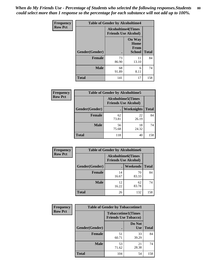*When do My Friends Use - Percentage of Students who selected the following responses.Students could select more than 1 response so the percentage for each substance will not add up to 100%.* **80**

| <b>Frequency</b> | <b>Table of Gender by Alcoholtime4</b> |                                                          |                                                |              |
|------------------|----------------------------------------|----------------------------------------------------------|------------------------------------------------|--------------|
| <b>Row Pct</b>   |                                        | <b>Alcoholtime4(Times</b><br><b>Friends Use Alcohol)</b> |                                                |              |
|                  | Gender(Gender)                         |                                                          | <b>On Way</b><br>Home<br>From<br><b>School</b> | <b>Total</b> |
|                  | <b>Female</b>                          | 73<br>86.90                                              | 11<br>13.10                                    | 84           |
|                  | <b>Male</b>                            | 68<br>91.89                                              | 6<br>8.11                                      | 74           |
|                  | <b>Total</b>                           | 141                                                      | 17                                             | 158          |

| <b>Frequency</b> | <b>Table of Gender by Alcoholtime5</b> |                                                          |             |              |
|------------------|----------------------------------------|----------------------------------------------------------|-------------|--------------|
| <b>Row Pct</b>   |                                        | <b>Alcoholtime5(Times</b><br><b>Friends Use Alcohol)</b> |             |              |
|                  | Gender(Gender)                         |                                                          | Weeknights  | <b>Total</b> |
|                  | <b>Female</b>                          | 62<br>73.81                                              | 22<br>26.19 | 84           |
|                  | <b>Male</b>                            | 56<br>75.68                                              | 18<br>24.32 | 74           |
|                  | <b>Total</b>                           | 118                                                      | 40          | 158          |

| <b>Frequency</b> | <b>Table of Gender by Alcoholtime6</b> |             |                                                           |              |  |
|------------------|----------------------------------------|-------------|-----------------------------------------------------------|--------------|--|
| <b>Row Pct</b>   |                                        |             | <b>Alcoholtime6</b> (Times<br><b>Friends Use Alcohol)</b> |              |  |
|                  | Gender(Gender)                         |             | Weekends                                                  | <b>Total</b> |  |
|                  | Female                                 | 14<br>16.67 | 70<br>83.33                                               | 84           |  |
|                  | <b>Male</b>                            | 12<br>16.22 | 62<br>83.78                                               | 74           |  |
|                  | <b>Total</b>                           | 26          | 132                                                       | 158          |  |

| Frequency      | <b>Table of Gender by Tobaccotime1</b> |                                                          |                      |              |
|----------------|----------------------------------------|----------------------------------------------------------|----------------------|--------------|
| <b>Row Pct</b> |                                        | <b>Tobaccotime1(Times</b><br><b>Friends Use Tobacco)</b> |                      |              |
|                | Gender(Gender)                         |                                                          | Do Not<br><b>Use</b> | <b>Total</b> |
|                | <b>Female</b>                          | 51<br>60.71                                              | 33<br>39.29          | 84           |
|                | <b>Male</b>                            | 53<br>71.62                                              | 21<br>28.38          | 74           |
|                | <b>Total</b>                           | 104                                                      | 54                   | 158          |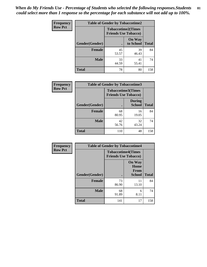*When do My Friends Use - Percentage of Students who selected the following responses.Students could select more than 1 response so the percentage for each substance will not add up to 100%.* **81**

| Frequency      | <b>Table of Gender by Tobaccotime2</b> |                                                          |                            |              |
|----------------|----------------------------------------|----------------------------------------------------------|----------------------------|--------------|
| <b>Row Pct</b> |                                        | <b>Tobaccotime2(Times</b><br><b>Friends Use Tobacco)</b> |                            |              |
|                | Gender(Gender)                         | $\bullet$                                                | <b>On Way</b><br>to School | <b>Total</b> |
|                | <b>Female</b>                          | 45<br>53.57                                              | 39<br>46.43                | 84           |
|                | <b>Male</b>                            | 33<br>44.59                                              | 41<br>55.41                | 74           |
|                | Total                                  | 78                                                       | 80                         | 158          |

| Frequency      | <b>Table of Gender by Tobaccotime3</b> |                                                          |                                |              |
|----------------|----------------------------------------|----------------------------------------------------------|--------------------------------|--------------|
| <b>Row Pct</b> |                                        | <b>Tobaccotime3(Times</b><br><b>Friends Use Tobacco)</b> |                                |              |
|                | Gender(Gender)                         | г                                                        | <b>During</b><br><b>School</b> | <b>Total</b> |
|                | Female                                 | 68<br>80.95                                              | 16<br>19.05                    | 84           |
|                | <b>Male</b>                            | 42<br>56.76                                              | 32<br>43.24                    | 74           |
|                | <b>Total</b>                           | 110                                                      | 48                             | 158          |

| <b>Frequency</b> | <b>Table of Gender by Tobaccotime4</b> |                                                          |                                                |              |
|------------------|----------------------------------------|----------------------------------------------------------|------------------------------------------------|--------------|
| <b>Row Pct</b>   |                                        | <b>Tobaccotime4(Times</b><br><b>Friends Use Tobacco)</b> |                                                |              |
|                  | Gender(Gender)                         |                                                          | <b>On Way</b><br>Home<br>From<br><b>School</b> | <b>Total</b> |
|                  | <b>Female</b>                          | 73<br>86.90                                              | 11<br>13.10                                    | 84           |
|                  | <b>Male</b>                            | 68<br>91.89                                              | 6<br>8.11                                      | 74           |
|                  | <b>Total</b>                           | 141                                                      | 17                                             | 158          |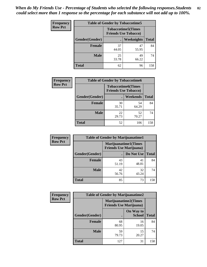| <b>Frequency</b> | <b>Table of Gender by Tobaccotime5</b> |                                                           |             |              |  |
|------------------|----------------------------------------|-----------------------------------------------------------|-------------|--------------|--|
| <b>Row Pct</b>   |                                        | <b>Tobaccotime5</b> (Times<br><b>Friends Use Tobacco)</b> |             |              |  |
|                  | <b>Gender</b> (Gender)                 |                                                           | Weeknights  | <b>Total</b> |  |
|                  | <b>Female</b>                          | 37<br>44.05                                               | 47<br>55.95 | 84           |  |
|                  | <b>Male</b>                            | 25<br>33.78                                               | 49<br>66.22 | 74           |  |
|                  | Total                                  | 62                                                        | 96          | 158          |  |

| Frequency      | <b>Table of Gender by Tobaccotime6</b> |                                                          |                 |              |
|----------------|----------------------------------------|----------------------------------------------------------|-----------------|--------------|
| <b>Row Pct</b> |                                        | <b>Tobaccotime6(Times</b><br><b>Friends Use Tobacco)</b> |                 |              |
|                | Gender(Gender)                         |                                                          | <b>Weekends</b> | <b>Total</b> |
|                | Female                                 | 30<br>35.71                                              | 54<br>64.29     | 84           |
|                | <b>Male</b>                            | 22<br>29.73                                              | 52<br>70.27     | 74           |
|                | <b>Total</b>                           | 52                                                       | 106             | 158          |

| Frequency      | <b>Table of Gender by Marijuanatime1</b> |                                |                             |              |  |
|----------------|------------------------------------------|--------------------------------|-----------------------------|--------------|--|
| <b>Row Pct</b> |                                          | <b>Friends Use Marijuana</b> ) | <b>Marijuanatime1(Times</b> |              |  |
|                | Gender(Gender)                           |                                | Do Not Use                  | <b>Total</b> |  |
|                | <b>Female</b>                            | 43<br>51.19                    | 41<br>48.81                 | 84           |  |
|                | <b>Male</b>                              | 42<br>56.76                    | 32<br>43.24                 | 74           |  |
|                | <b>Total</b>                             | 85                             | 73                          | 158          |  |

| <b>Frequency</b> | <b>Table of Gender by Marijuanatime2</b> |                                                               |                            |              |
|------------------|------------------------------------------|---------------------------------------------------------------|----------------------------|--------------|
| <b>Row Pct</b>   |                                          | <b>Marijuanatime2(Times</b><br><b>Friends Use Marijuana</b> ) |                            |              |
|                  | Gender(Gender)                           |                                                               | On Way to<br><b>School</b> | <b>Total</b> |
|                  | <b>Female</b>                            | 68<br>80.95                                                   | 16<br>19.05                | 84           |
|                  | <b>Male</b>                              | 59<br>79.73                                                   | 15<br>20.27                | 74           |
|                  | <b>Total</b>                             | 127                                                           | 31                         | 158          |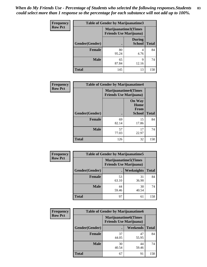| <b>Frequency</b> | <b>Table of Gender by Marijuanatime3</b> |                                |                                |              |
|------------------|------------------------------------------|--------------------------------|--------------------------------|--------------|
| <b>Row Pct</b>   |                                          | <b>Friends Use Marijuana</b> ) | Marijuanatime3(Times           |              |
|                  | Gender(Gender)                           |                                | <b>During</b><br><b>School</b> | <b>Total</b> |
|                  | <b>Female</b>                            | 80<br>95.24                    | $\overline{4}$<br>4.76         | 84           |
|                  | <b>Male</b>                              | 65<br>87.84                    | 9<br>12.16                     | 74           |
|                  | <b>Total</b>                             | 145                            | 13                             | 158          |

| Frequency      | <b>Table of Gender by Marijuanatime4</b> |                                |                                                       |              |
|----------------|------------------------------------------|--------------------------------|-------------------------------------------------------|--------------|
| <b>Row Pct</b> |                                          | <b>Friends Use Marijuana</b> ) | <b>Marijuanatime4</b> (Times                          |              |
|                | Gender(Gender)                           |                                | <b>On Way</b><br>Home<br><b>From</b><br><b>School</b> | <b>Total</b> |
|                | <b>Female</b>                            | 69<br>82.14                    | 15<br>17.86                                           | 84           |
|                | <b>Male</b>                              | 57<br>77.03                    | 17<br>22.97                                           | 74           |
|                | <b>Total</b>                             | 126                            | 32                                                    | 158          |

| Frequency      | <b>Table of Gender by Marijuanatime5</b> |                                                                |             |              |  |
|----------------|------------------------------------------|----------------------------------------------------------------|-------------|--------------|--|
| <b>Row Pct</b> |                                          | <b>Marijuanatime5</b> (Times<br><b>Friends Use Marijuana</b> ) |             |              |  |
|                | Gender(Gender)                           |                                                                | Weeknights  | <b>Total</b> |  |
|                | <b>Female</b>                            | 53<br>63.10                                                    | 31<br>36.90 | 84           |  |
|                | <b>Male</b>                              | 44<br>59.46                                                    | 30<br>40.54 | 74           |  |
|                | <b>Total</b>                             | 97                                                             | 61          | 158          |  |

| <b>Frequency</b> | <b>Table of Gender by Marijuanatime6</b> |                                                               |             |              |  |
|------------------|------------------------------------------|---------------------------------------------------------------|-------------|--------------|--|
| <b>Row Pct</b>   |                                          | <b>Marijuanatime6(Times</b><br><b>Friends Use Marijuana</b> ) |             |              |  |
|                  | Gender(Gender)                           |                                                               | Weekends    | <b>Total</b> |  |
|                  | Female                                   | 37<br>44.05                                                   | 47<br>55.95 | 84           |  |
|                  | <b>Male</b>                              | 30<br>40.54                                                   | 44<br>59.46 | 74           |  |
|                  | <b>Total</b>                             | 67                                                            | 91          | 158          |  |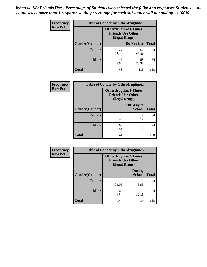*When do My Friends Use - Percentage of Students who selected the following responses.Students could select more than 1 response so the percentage for each substance will not add up to 100%.* **84**

| <b>Frequency</b> | <b>Table of Gender by Otherdrugtime1</b> |                                                                                    |             |              |  |
|------------------|------------------------------------------|------------------------------------------------------------------------------------|-------------|--------------|--|
| <b>Row Pct</b>   |                                          | <b>Otherdrugtime1</b> (Times<br><b>Friends Use Other</b><br><b>Illegal Drugs</b> ) |             |              |  |
|                  | <b>Gender</b> (Gender)                   |                                                                                    | Do Not Use  | <b>Total</b> |  |
|                  | <b>Female</b>                            | 27<br>32.14                                                                        | 57<br>67.86 | 84           |  |
|                  | <b>Male</b>                              | 16<br>21.62                                                                        | 58<br>78.38 | 74           |  |
|                  | <b>Total</b>                             | 43                                                                                 | 115         | 158          |  |

| <b>Frequency</b> | <b>Table of Gender by Otherdrugtime2</b>                                          |             |                            |              |  |
|------------------|-----------------------------------------------------------------------------------|-------------|----------------------------|--------------|--|
| <b>Row Pct</b>   | <b>Otherdrugtime2(Times</b><br><b>Friends Use Other</b><br><b>Illegal Drugs</b> ) |             |                            |              |  |
|                  | <b>Gender</b> (Gender)                                                            |             | On Way to<br><b>School</b> | <b>Total</b> |  |
|                  | <b>Female</b>                                                                     | 76<br>90.48 | 8<br>9.52                  | 84           |  |
|                  | <b>Male</b>                                                                       | 65<br>87.84 | 9<br>12.16                 | 74           |  |
|                  | <b>Total</b>                                                                      | 141         | 17                         | 158          |  |

| Frequency      | <b>Table of Gender by Otherdrugtime3</b> |                                                                                   |                                |              |  |
|----------------|------------------------------------------|-----------------------------------------------------------------------------------|--------------------------------|--------------|--|
| <b>Row Pct</b> |                                          | <b>Otherdrugtime3(Times</b><br><b>Friends Use Other</b><br><b>Illegal Drugs</b> ) |                                |              |  |
|                | Gender(Gender)                           |                                                                                   | <b>During</b><br><b>School</b> | <b>Total</b> |  |
|                | <b>Female</b>                            | 79<br>94.05                                                                       | 5<br>5.95                      | 84           |  |
|                | <b>Male</b>                              | 65<br>87.84                                                                       | $\mathbf Q$<br>12.16           | 74           |  |
|                | <b>Total</b>                             | 144                                                                               | 14                             | 158          |  |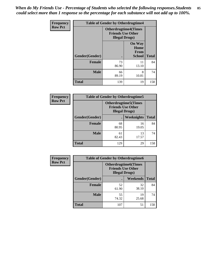*When do My Friends Use - Percentage of Students who selected the following responses.Students could select more than 1 response so the percentage for each substance will not add up to 100%.* **85**

| <b>Frequency</b> | <b>Table of Gender by Otherdrugtime4</b> |                                                                                   |                                                |              |  |
|------------------|------------------------------------------|-----------------------------------------------------------------------------------|------------------------------------------------|--------------|--|
| <b>Row Pct</b>   |                                          | <b>Otherdrugtime4(Times</b><br><b>Friends Use Other</b><br><b>Illegal Drugs</b> ) |                                                |              |  |
|                  | Gender(Gender)                           |                                                                                   | <b>On Way</b><br>Home<br>From<br><b>School</b> | <b>Total</b> |  |
|                  | <b>Female</b>                            | 73<br>86.90                                                                       | 11<br>13.10                                    | 84           |  |
|                  | <b>Male</b>                              | 66<br>89.19                                                                       | 8<br>10.81                                     | 74           |  |
|                  | <b>Total</b>                             | 139                                                                               | 19                                             | 158          |  |

| <b>Frequency</b> | <b>Table of Gender by Otherdrugtime5</b>                                           |             |             |              |  |
|------------------|------------------------------------------------------------------------------------|-------------|-------------|--------------|--|
| <b>Row Pct</b>   | <b>Otherdrugtime5</b> (Times<br><b>Friends Use Other</b><br><b>Illegal Drugs</b> ) |             |             |              |  |
|                  | Gender(Gender)                                                                     |             | Weeknights  | <b>Total</b> |  |
|                  | <b>Female</b>                                                                      | 68<br>80.95 | 16<br>19.05 | 84           |  |
|                  | <b>Male</b>                                                                        | 61<br>82.43 | 13<br>17.57 | 74           |  |
|                  | <b>Total</b>                                                                       | 129         | 29          | 158          |  |

| <b>Frequency</b> | <b>Table of Gender by Otherdrugtime6</b>                                          |             |             |              |  |
|------------------|-----------------------------------------------------------------------------------|-------------|-------------|--------------|--|
| <b>Row Pct</b>   | <b>Otherdrugtime6(Times</b><br><b>Friends Use Other</b><br><b>Illegal Drugs</b> ) |             |             |              |  |
|                  | Gender(Gender)                                                                    |             | Weekends    | <b>Total</b> |  |
|                  | <b>Female</b>                                                                     | 52<br>61.90 | 32<br>38.10 | 84           |  |
|                  | <b>Male</b>                                                                       | 55<br>74.32 | 19<br>25.68 | 74           |  |
|                  | <b>Total</b>                                                                      | 107         | 51          | 158          |  |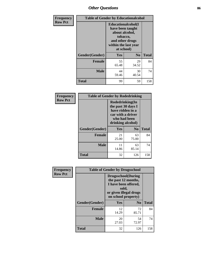# *Other Questions* **86**

| <b>Frequency</b> | <b>Table of Gender by Educationalcohol</b> |                                                                                                                                       |                |              |  |  |
|------------------|--------------------------------------------|---------------------------------------------------------------------------------------------------------------------------------------|----------------|--------------|--|--|
| <b>Row Pct</b>   |                                            | <b>Educationalcohol</b> (I<br>have been taught<br>about alcohol,<br>tobacco,<br>and other drugs<br>within the last year<br>at school) |                |              |  |  |
|                  | Gender(Gender)                             | <b>Yes</b>                                                                                                                            | N <sub>0</sub> | <b>Total</b> |  |  |
|                  | <b>Female</b>                              | 55<br>65.48                                                                                                                           | 29<br>34.52    | 84           |  |  |
|                  | <b>Male</b>                                | 44<br>59.46                                                                                                                           | 30<br>40.54    | 74           |  |  |
|                  | <b>Total</b>                               | 99                                                                                                                                    | 59             | 158          |  |  |

| Frequency      | <b>Table of Gender by Rodedrinking</b> |                                                                                                                     |                |              |
|----------------|----------------------------------------|---------------------------------------------------------------------------------------------------------------------|----------------|--------------|
| <b>Row Pct</b> |                                        | Rodedrinking(In<br>the past 30 days I<br>have ridden in a<br>car with a driver<br>who had been<br>drinking alcohol) |                |              |
|                | Gender(Gender)                         | Yes                                                                                                                 | N <sub>0</sub> | <b>Total</b> |
|                | <b>Female</b>                          | 21<br>25.00                                                                                                         | 63<br>75.00    | 84           |
|                | <b>Male</b>                            | 11<br>14.86                                                                                                         | 63<br>85.14    | 74           |
|                | <b>Total</b>                           | 32                                                                                                                  | 126            | 158          |

| Frequency      | <b>Table of Gender by Drugsschool</b> |                                                                                                                                     |                |              |  |
|----------------|---------------------------------------|-------------------------------------------------------------------------------------------------------------------------------------|----------------|--------------|--|
| <b>Row Pct</b> |                                       | <b>Drugsschool</b> (During<br>the past 12 months,<br>I have been offered,<br>sold,<br>or given illegal drugs<br>on school property) |                |              |  |
|                | Gender(Gender)                        | Yes                                                                                                                                 | N <sub>0</sub> | <b>Total</b> |  |
|                | <b>Female</b>                         | 12<br>14.29                                                                                                                         | 72<br>85.71    | 84           |  |
|                | <b>Male</b>                           | 20<br>27.03                                                                                                                         | 54<br>72.97    | 74           |  |
|                | <b>Total</b>                          | 32                                                                                                                                  | 126            | 158          |  |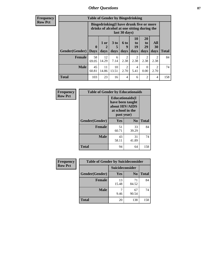# *Other Questions* **87**

**Frequency Row Pct**

| <b>Table of Gender by Bingedrinking</b> |                         |                                                                                                         |                   |                        |                        |                               |                        |              |
|-----------------------------------------|-------------------------|---------------------------------------------------------------------------------------------------------|-------------------|------------------------|------------------------|-------------------------------|------------------------|--------------|
|                                         |                         | Bingedrinking(I have drunk five or more<br>drinks of alcohol at one sitting during the<br>last 30 days) |                   |                        |                        |                               |                        |              |
| Gender(Gender)                          | $\bf{0}$<br><b>Days</b> | $1$ or<br>days                                                                                          | 3 to<br>5<br>days | 6 to<br>9<br>days      | 10<br>to<br>19<br>days | <b>20</b><br>to<br>29<br>days | All<br>30<br>days      | <b>Total</b> |
| Female                                  | 58<br>69.05             | 12<br>14.29                                                                                             | 6<br>7.14         | $\mathfrak{D}$<br>2.38 | $\overline{c}$<br>2.38 | $\overline{2}$<br>2.38        | $\mathfrak{D}$<br>2.38 | 84           |
| <b>Male</b>                             | 45<br>60.81             | 11<br>14.86                                                                                             | 10<br>13.51       | $\mathfrak{D}$<br>2.70 | 4<br>5.41              | $\Omega$<br>0.00              | $\mathfrak{D}$<br>2.70 | 74           |
| <b>Total</b>                            | 103                     | 23                                                                                                      | 16                | 4                      | 6                      | $\overline{2}$                | 4                      | 158          |

| Frequency      | <b>Table of Gender by Educationaids</b> |                                                                                                 |             |              |
|----------------|-----------------------------------------|-------------------------------------------------------------------------------------------------|-------------|--------------|
| <b>Row Pct</b> |                                         | <b>Educationaids</b> (I<br>have been taught<br>about HIV/AIDS<br>at school in the<br>past year) |             |              |
|                | Gender(Gender)                          | Yes                                                                                             | $\bf N_0$   | <b>Total</b> |
|                | <b>Female</b>                           | 51<br>60.71                                                                                     | 33<br>39.29 | 84           |
|                | <b>Male</b>                             | 43<br>58.11                                                                                     | 31<br>41.89 | 74           |
|                | <b>Total</b>                            | 94                                                                                              | 64          | 158          |

| <b>Frequency</b> | <b>Table of Gender by Suicideconsider</b> |                 |                |              |
|------------------|-------------------------------------------|-----------------|----------------|--------------|
| <b>Row Pct</b>   |                                           | Suicideconsider |                |              |
|                  | Gender(Gender)                            | Yes             | N <sub>0</sub> | <b>Total</b> |
|                  | <b>Female</b>                             | 13<br>15.48     | 71<br>84.52    | 84           |
|                  | <b>Male</b>                               | 9.46            | 67<br>90.54    | 74           |
|                  | <b>Total</b>                              | 20              | 138            | 158          |